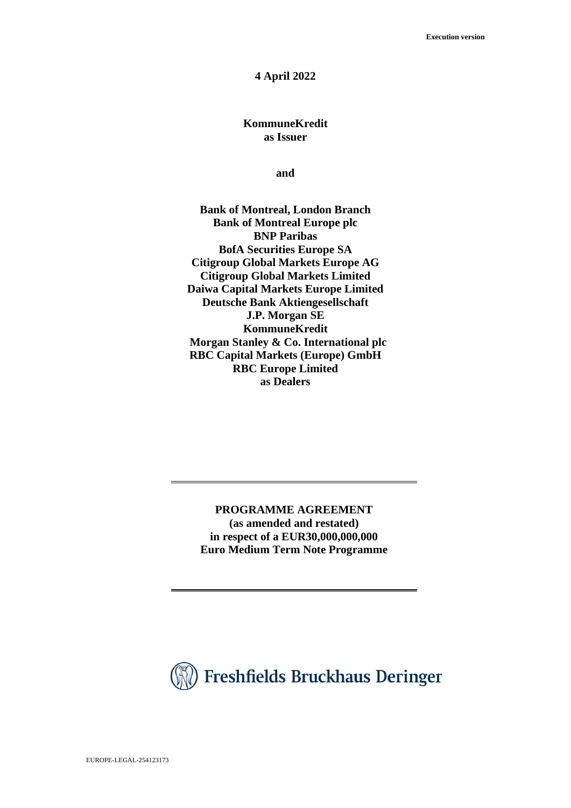#### **4 April 2022**

## **KommuneKredit as Issuer**

**and** 

**Bank of Montreal, London Branch Bank of Montreal Europe plc BNP Paribas BofA Securities Europe SA Citigroup Global Markets Europe AG Citigroup Global Markets Limited Daiwa Capital Markets Europe Limited Deutsche Bank Aktiengesellschaft J.P. Morgan SE KommuneKredit Morgan Stanley & Co. International plc RBC Capital Markets (Europe) GmbH RBC Europe Limited as Dealers**

**PROGRAMME AGREEMENT (as amended and restated) in respect of a EUR30,000,000,000 Euro Medium Term Note Programme**

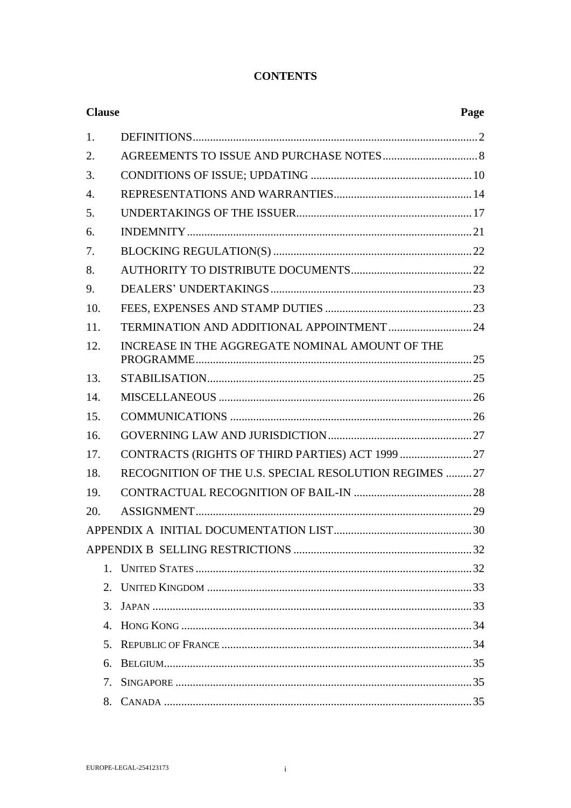# **CONTENTS**

| <b>Clause</b>         |                                                        | Page |
|-----------------------|--------------------------------------------------------|------|
| 1.                    |                                                        |      |
| 2.                    |                                                        |      |
| 3.                    |                                                        |      |
| 4.                    |                                                        |      |
| 5.                    |                                                        |      |
| 6.                    |                                                        |      |
| 7.                    |                                                        |      |
| 8.                    |                                                        |      |
| 9.                    |                                                        |      |
| 10.                   |                                                        |      |
| 11.                   |                                                        |      |
| 12.                   | INCREASE IN THE AGGREGATE NOMINAL AMOUNT OF THE        |      |
| 13.                   |                                                        |      |
| 14.                   |                                                        |      |
| 15.                   |                                                        |      |
| 16.                   |                                                        |      |
| 17.                   |                                                        |      |
| 18.                   | RECOGNITION OF THE U.S. SPECIAL RESOLUTION REGIMES  27 |      |
| 19.                   |                                                        |      |
| 20.                   |                                                        |      |
|                       |                                                        |      |
|                       |                                                        |      |
| $1_{-}$               |                                                        |      |
| 2.                    |                                                        |      |
| 3.                    |                                                        |      |
| $\mathcal{A}_{\cdot}$ |                                                        |      |
| 5.                    |                                                        |      |
| б.                    |                                                        |      |
| 7.                    |                                                        |      |
| 8.                    |                                                        |      |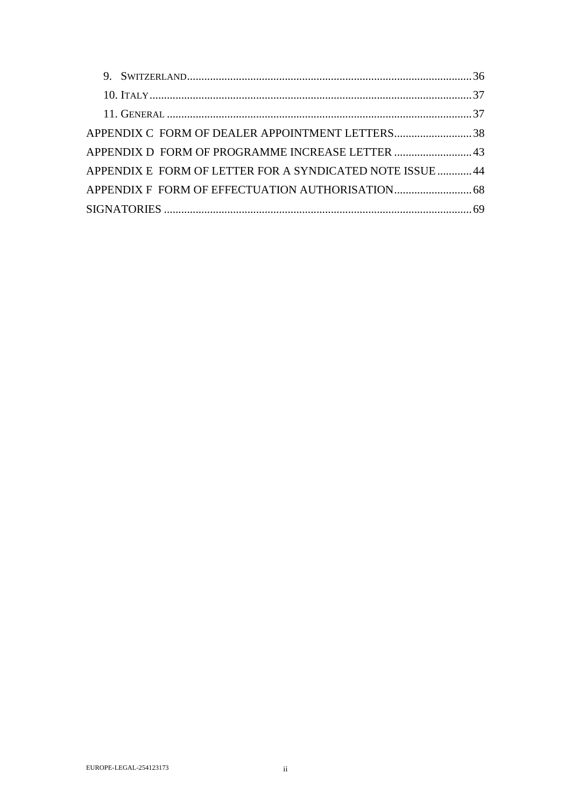| APPENDIX C FORM OF DEALER APPOINTMENT LETTERS38           |  |
|-----------------------------------------------------------|--|
| APPENDIX D FORM OF PROGRAMME INCREASE LETTER  43          |  |
| APPENDIX E FORM OF LETTER FOR A SYNDICATED NOTE ISSUE  44 |  |
|                                                           |  |
|                                                           |  |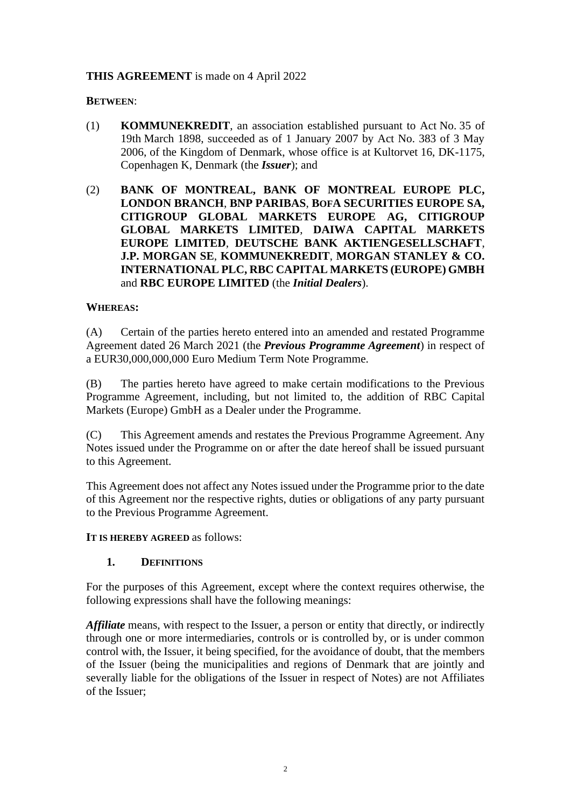#### **THIS AGREEMENT** is made on 4 April 2022

#### **BETWEEN**:

- (1) **KOMMUNEKREDIT**, an association established pursuant to Act No. 35 of 19th March 1898, succeeded as of 1 January 2007 by Act No. 383 of 3 May 2006, of the Kingdom of Denmark, whose office is at Kultorvet 16, DK-1175, Copenhagen K, Denmark (the *Issuer*); and
- (2) **BANK OF MONTREAL, BANK OF MONTREAL EUROPE PLC, LONDON BRANCH**, **BNP PARIBAS**, **BOFA SECURITIES EUROPE SA, CITIGROUP GLOBAL MARKETS EUROPE AG, CITIGROUP GLOBAL MARKETS LIMITED**, **DAIWA CAPITAL MARKETS EUROPE LIMITED**, **DEUTSCHE BANK AKTIENGESELLSCHAFT**, **J.P. MORGAN SE**, **KOMMUNEKREDIT**, **MORGAN STANLEY & CO. INTERNATIONAL PLC, RBC CAPITAL MARKETS (EUROPE) GMBH** and **RBC EUROPE LIMITED** (the *Initial Dealers*).

#### **WHEREAS:**

(A) Certain of the parties hereto entered into an amended and restated Programme Agreement dated 26 March 2021 (the *Previous Programme Agreement*) in respect of a EUR30,000,000,000 Euro Medium Term Note Programme.

(B) The parties hereto have agreed to make certain modifications to the Previous Programme Agreement, including, but not limited to, the addition of RBC Capital Markets (Europe) GmbH as a Dealer under the Programme.

(C) This Agreement amends and restates the Previous Programme Agreement. Any Notes issued under the Programme on or after the date hereof shall be issued pursuant to this Agreement.

This Agreement does not affect any Notes issued under the Programme prior to the date of this Agreement nor the respective rights, duties or obligations of any party pursuant to the Previous Programme Agreement.

**IT IS HEREBY AGREED** as follows:

#### **1. DEFINITIONS**

For the purposes of this Agreement, except where the context requires otherwise, the following expressions shall have the following meanings:

*Affiliate* means, with respect to the Issuer, a person or entity that directly, or indirectly through one or more intermediaries, controls or is controlled by, or is under common control with, the Issuer, it being specified, for the avoidance of doubt, that the members of the Issuer (being the municipalities and regions of Denmark that are jointly and severally liable for the obligations of the Issuer in respect of Notes) are not Affiliates of the Issuer;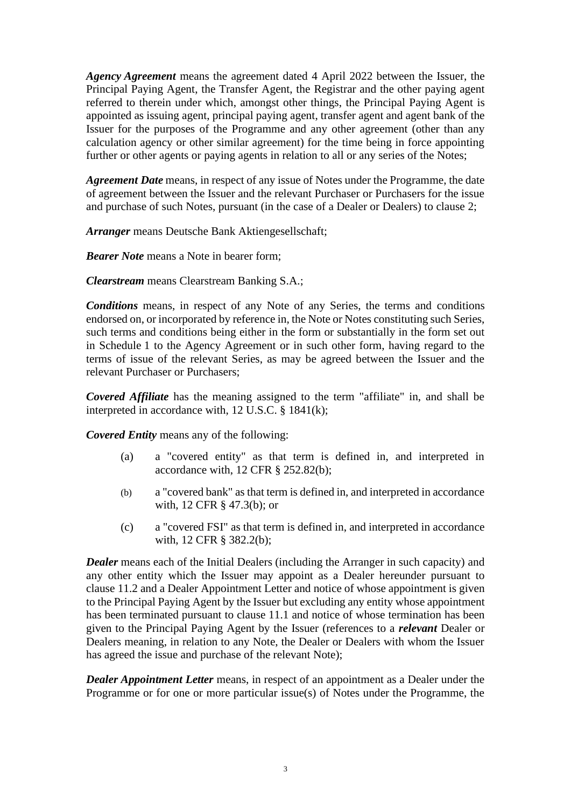*Agency Agreement* means the agreement dated 4 April 2022 between the Issuer, the Principal Paying Agent, the Transfer Agent, the Registrar and the other paying agent referred to therein under which, amongst other things, the Principal Paying Agent is appointed as issuing agent, principal paying agent, transfer agent and agent bank of the Issuer for the purposes of the Programme and any other agreement (other than any calculation agency or other similar agreement) for the time being in force appointing further or other agents or paying agents in relation to all or any series of the Notes;

*Agreement Date* means, in respect of any issue of Notes under the Programme, the date of agreement between the Issuer and the relevant Purchaser or Purchasers for the issue and purchase of such Notes, pursuant (in the case of a Dealer or Dealers) to clause [2;](#page-9-0)

*Arranger* means Deutsche Bank Aktiengesellschaft;

*Bearer Note* means a Note in bearer form;

*Clearstream* means Clearstream Banking S.A.;

*Conditions* means, in respect of any Note of any Series, the terms and conditions endorsed on, or incorporated by reference in, the Note or Notes constituting such Series, such terms and conditions being either in the form or substantially in the form set out in Schedule 1 to the Agency Agreement or in such other form, having regard to the terms of issue of the relevant Series, as may be agreed between the Issuer and the relevant Purchaser or Purchasers;

*Covered Affiliate* has the meaning assigned to the term "affiliate" in, and shall be interpreted in accordance with, 12 U.S.C. § 1841(k);

*Covered Entity* means any of the following:

- (a) a "covered entity" as that term is defined in, and interpreted in accordance with, 12 CFR § 252.82(b);
- (b) a "covered bank" as that term is defined in, and interpreted in accordance with, 12 CFR § 47.3(b); or
- (c) a "covered FSI" as that term is defined in, and interpreted in accordance with, 12 CFR § 382.2(b);

<span id="page-4-0"></span>*Dealer* means each of the Initial Dealers (including the Arranger in such capacity) and any other entity which the Issuer may appoint as a Dealer hereunder pursuant to clause [11.2](#page-25-0) and a Dealer Appointment Letter and notice of whose appointment is given to the Principal Paying Agent by the Issuer but excluding any entity whose appointment has been terminated pursuant to clause [11.1](#page-25-1) and notice of whose termination has been given to the Principal Paying Agent by the Issuer (references to a *relevant* Dealer or Dealers meaning, in relation to any Note, the Dealer or Dealers with whom the Issuer has agreed the issue and purchase of the relevant Note);

*Dealer Appointment Letter* means, in respect of an appointment as a Dealer under the Programme or for one or more particular issue(s) of Notes under the Programme, the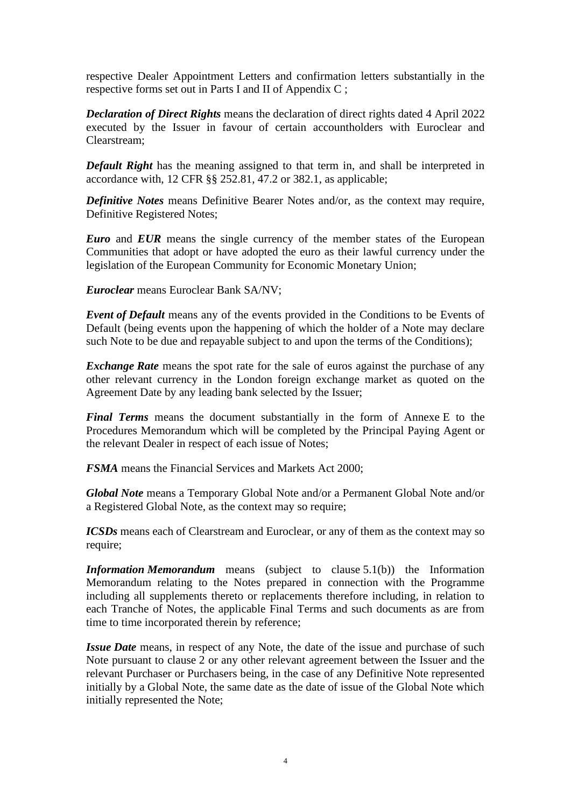respective Dealer Appointment Letters and confirmation letters substantially in the respective forms set out in Parts I and II of [Appendix](#page-39-0) C ;

*Declaration of Direct Rights* means the declaration of direct rights dated 4 April 2022 executed by the Issuer in favour of certain accountholders with Euroclear and Clearstream;

*Default Right* has the meaning assigned to that term in, and shall be interpreted in accordance with, 12 CFR §§ 252.81, 47.2 or 382.1, as applicable;

*Definitive Notes* means Definitive Bearer Notes and/or, as the context may require, Definitive Registered Notes;

*Euro* and *EUR* means the single currency of the member states of the European Communities that adopt or have adopted the euro as their lawful currency under the legislation of the European Community for Economic Monetary Union;

*Euroclear* means Euroclear Bank SA/NV;

*Event of Default* means any of the events provided in the Conditions to be Events of Default (being events upon the happening of which the holder of a Note may declare such Note to be due and repayable subject to and upon the terms of the Conditions);

*Exchange Rate* means the spot rate for the sale of euros against the purchase of any other relevant currency in the London foreign exchange market as quoted on the Agreement Date by any leading bank selected by the Issuer;

*Final Terms* means the document substantially in the form of Annexe E to the Procedures Memorandum which will be completed by the Principal Paying Agent or the relevant Dealer in respect of each issue of Notes;

*FSMA* means the Financial Services and Markets Act 2000;

*Global Note* means a Temporary Global Note and/or a Permanent Global Note and/or a Registered Global Note, as the context may so require;

*ICSDs* means each of Clearstream and Euroclear, or any of them as the context may so require;

*Information Memorandum* means (subject to clause [5.1\(b\)\)](#page-18-0) the Information Memorandum relating to the Notes prepared in connection with the Programme including all supplements thereto or replacements therefore including, in relation to each Tranche of Notes, the applicable Final Terms and such documents as are from time to time incorporated therein by reference;

*Issue Date* means, in respect of any Note, the date of the issue and purchase of such Note pursuant to clause [2](#page-9-0) or any other relevant agreement between the Issuer and the relevant Purchaser or Purchasers being, in the case of any Definitive Note represented initially by a Global Note, the same date as the date of issue of the Global Note which initially represented the Note;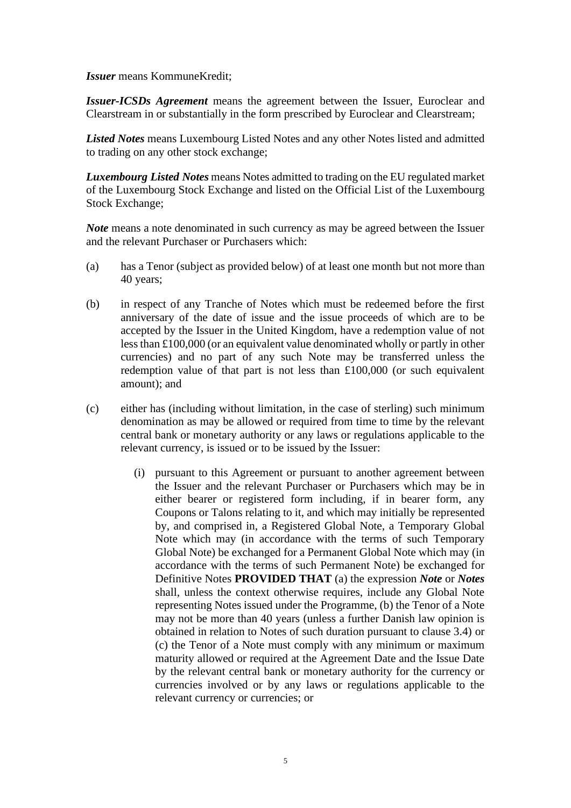*Issuer* means KommuneKredit;

*Issuer-ICSDs Agreement* means the agreement between the Issuer, Euroclear and Clearstream in or substantially in the form prescribed by Euroclear and Clearstream;

*Listed Notes* means Luxembourg Listed Notes and any other Notes listed and admitted to trading on any other stock exchange;

*Luxembourg Listed Notes* means Notes admitted to trading on the EU regulated market of the Luxembourg Stock Exchange and listed on the Official List of the Luxembourg Stock Exchange;

*Note* means a note denominated in such currency as may be agreed between the Issuer and the relevant Purchaser or Purchasers which:

- (a) has a Tenor (subject as provided below) of at least one month but not more than 40 years;
- (b) in respect of any Tranche of Notes which must be redeemed before the first anniversary of the date of issue and the issue proceeds of which are to be accepted by the Issuer in the United Kingdom, have a redemption value of not less than £100,000 (or an equivalent value denominated wholly or partly in other currencies) and no part of any such Note may be transferred unless the redemption value of that part is not less than £100,000 (or such equivalent amount); and
- (c) either has (including without limitation, in the case of sterling) such minimum denomination as may be allowed or required from time to time by the relevant central bank or monetary authority or any laws or regulations applicable to the relevant currency, is issued or to be issued by the Issuer:
	- (i) pursuant to this Agreement or pursuant to another agreement between the Issuer and the relevant Purchaser or Purchasers which may be in either bearer or registered form including, if in bearer form, any Coupons or Talons relating to it, and which may initially be represented by, and comprised in, a Registered Global Note, a Temporary Global Note which may (in accordance with the terms of such Temporary Global Note) be exchanged for a Permanent Global Note which may (in accordance with the terms of such Permanent Note) be exchanged for Definitive Notes **PROVIDED THAT** (a) the expression *Note* or *Notes* shall, unless the context otherwise requires, include any Global Note representing Notes issued under the Programme, (b) the Tenor of a Note may not be more than 40 years (unless a further Danish law opinion is obtained in relation to Notes of such duration pursuant to clause 3.4) or (c) the Tenor of a Note must comply with any minimum or maximum maturity allowed or required at the Agreement Date and the Issue Date by the relevant central bank or monetary authority for the currency or currencies involved or by any laws or regulations applicable to the relevant currency or currencies; or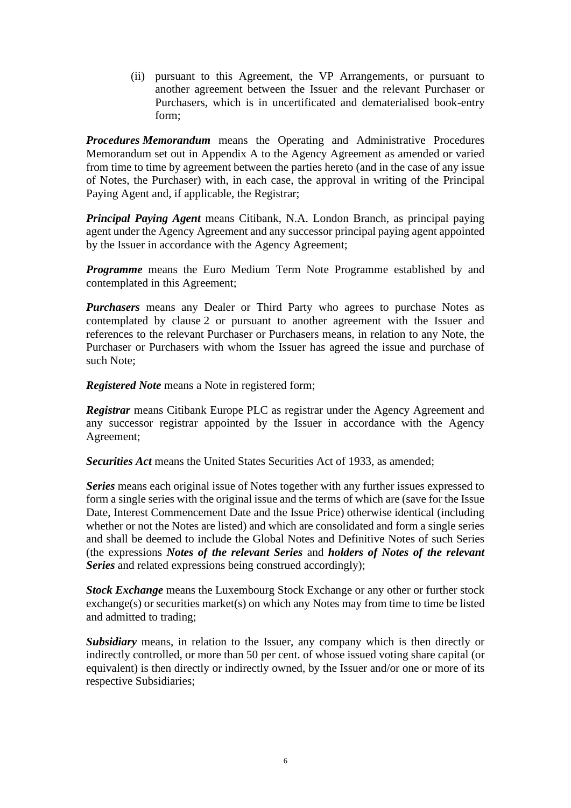(ii) pursuant to this Agreement, the VP Arrangements, or pursuant to another agreement between the Issuer and the relevant Purchaser or Purchasers, which is in uncertificated and dematerialised book-entry form;

*Procedures Memorandum* means the Operating and Administrative Procedures Memorandum set out in Appendix A to the Agency Agreement as amended or varied from time to time by agreement between the parties hereto (and in the case of any issue of Notes, the Purchaser) with, in each case, the approval in writing of the Principal Paying Agent and, if applicable, the Registrar;

*Principal Paying Agent* means Citibank, N.A. London Branch, as principal paying agent under the Agency Agreement and any successor principal paying agent appointed by the Issuer in accordance with the Agency Agreement;

*Programme* means the Euro Medium Term Note Programme established by and contemplated in this Agreement;

*Purchasers* means any Dealer or Third Party who agrees to purchase Notes as contemplated by clause [2](#page-9-0) or pursuant to another agreement with the Issuer and references to the relevant Purchaser or Purchasers means, in relation to any Note, the Purchaser or Purchasers with whom the Issuer has agreed the issue and purchase of such Note;

*Registered Note* means a Note in registered form;

*Registrar* means Citibank Europe PLC as registrar under the Agency Agreement and any successor registrar appointed by the Issuer in accordance with the Agency Agreement;

*Securities Act* means the United States Securities Act of 1933, as amended;

*Series* means each original issue of Notes together with any further issues expressed to form a single series with the original issue and the terms of which are (save for the Issue Date, Interest Commencement Date and the Issue Price) otherwise identical (including whether or not the Notes are listed) and which are consolidated and form a single series and shall be deemed to include the Global Notes and Definitive Notes of such Series (the expressions *Notes of the relevant Series* and *holders of Notes of the relevant Series* and related expressions being construed accordingly);

*Stock Exchange* means the Luxembourg Stock Exchange or any other or further stock exchange(s) or securities market(s) on which any Notes may from time to time be listed and admitted to trading;

*Subsidiary* means, in relation to the Issuer, any company which is then directly or indirectly controlled, or more than 50 per cent. of whose issued voting share capital (or equivalent) is then directly or indirectly owned, by the Issuer and/or one or more of its respective Subsidiaries;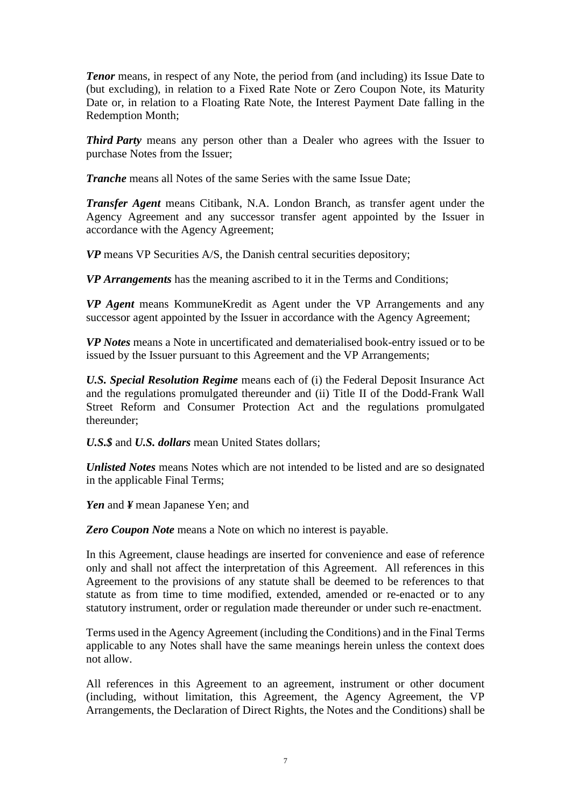*Tenor* means, in respect of any Note, the period from (and including) its Issue Date to (but excluding), in relation to a Fixed Rate Note or Zero Coupon Note, its Maturity Date or, in relation to a Floating Rate Note, the Interest Payment Date falling in the Redemption Month;

*Third Party* means any person other than a Dealer who agrees with the Issuer to purchase Notes from the Issuer;

*Tranche* means all Notes of the same Series with the same Issue Date:

*Transfer Agent* means Citibank, N.A. London Branch, as transfer agent under the Agency Agreement and any successor transfer agent appointed by the Issuer in accordance with the Agency Agreement;

*VP* means VP Securities A/S, the Danish central securities depository;

*VP Arrangements* has the meaning ascribed to it in the Terms and Conditions;

*VP Agent* means KommuneKredit as Agent under the VP Arrangements and any successor agent appointed by the Issuer in accordance with the Agency Agreement;

*VP Notes* means a Note in uncertificated and dematerialised book-entry issued or to be issued by the Issuer pursuant to this Agreement and the VP Arrangements;

*U.S. Special Resolution Regime* means each of (i) the Federal Deposit Insurance Act and the regulations promulgated thereunder and (ii) Title II of the Dodd-Frank Wall Street Reform and Consumer Protection Act and the regulations promulgated thereunder;

*U.S.\$* and *U.S. dollars* mean United States dollars;

*Unlisted Notes* means Notes which are not intended to be listed and are so designated in the applicable Final Terms;

*Yen* and *¥* mean Japanese Yen; and

*Zero Coupon Note* means a Note on which no interest is payable.

In this Agreement, clause headings are inserted for convenience and ease of reference only and shall not affect the interpretation of this Agreement. All references in this Agreement to the provisions of any statute shall be deemed to be references to that statute as from time to time modified, extended, amended or re-enacted or to any statutory instrument, order or regulation made thereunder or under such re-enactment.

Terms used in the Agency Agreement (including the Conditions) and in the Final Terms applicable to any Notes shall have the same meanings herein unless the context does not allow.

All references in this Agreement to an agreement, instrument or other document (including, without limitation, this Agreement, the Agency Agreement, the VP Arrangements, the Declaration of Direct Rights, the Notes and the Conditions) shall be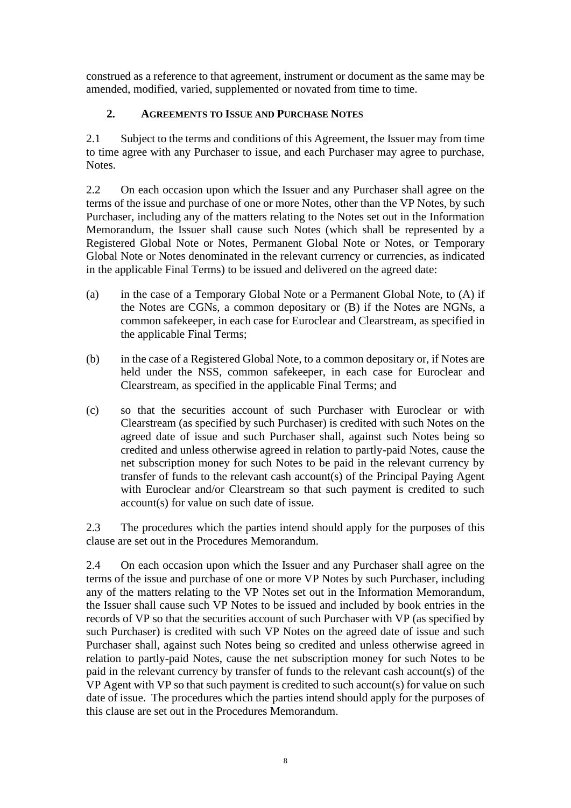construed as a reference to that agreement, instrument or document as the same may be amended, modified, varied, supplemented or novated from time to time.

# <span id="page-9-0"></span>**2. AGREEMENTS TO ISSUE AND PURCHASE NOTES**

<span id="page-9-1"></span>2.1 Subject to the terms and conditions of this Agreement, the Issuer may from time to time agree with any Purchaser to issue, and each Purchaser may agree to purchase, Notes.

2.2 On each occasion upon which the Issuer and any Purchaser shall agree on the terms of the issue and purchase of one or more Notes, other than the VP Notes, by such Purchaser, including any of the matters relating to the Notes set out in the Information Memorandum, the Issuer shall cause such Notes (which shall be represented by a Registered Global Note or Notes, Permanent Global Note or Notes, or Temporary Global Note or Notes denominated in the relevant currency or currencies, as indicated in the applicable Final Terms) to be issued and delivered on the agreed date:

- (a) in the case of a Temporary Global Note or a Permanent Global Note, to (A) if the Notes are CGNs, a common depositary or (B) if the Notes are NGNs, a common safekeeper, in each case for Euroclear and Clearstream, as specified in the applicable Final Terms;
- (b) in the case of a Registered Global Note, to a common depositary or, if Notes are held under the NSS, common safekeeper, in each case for Euroclear and Clearstream, as specified in the applicable Final Terms; and
- (c) so that the securities account of such Purchaser with Euroclear or with Clearstream (as specified by such Purchaser) is credited with such Notes on the agreed date of issue and such Purchaser shall, against such Notes being so credited and unless otherwise agreed in relation to partly-paid Notes, cause the net subscription money for such Notes to be paid in the relevant currency by transfer of funds to the relevant cash account(s) of the Principal Paying Agent with Euroclear and/or Clearstream so that such payment is credited to such account(s) for value on such date of issue.

2.3 The procedures which the parties intend should apply for the purposes of this clause are set out in the Procedures Memorandum.

2.4 On each occasion upon which the Issuer and any Purchaser shall agree on the terms of the issue and purchase of one or more VP Notes by such Purchaser, including any of the matters relating to the VP Notes set out in the Information Memorandum, the Issuer shall cause such VP Notes to be issued and included by book entries in the records of VP so that the securities account of such Purchaser with VP (as specified by such Purchaser) is credited with such VP Notes on the agreed date of issue and such Purchaser shall, against such Notes being so credited and unless otherwise agreed in relation to partly-paid Notes, cause the net subscription money for such Notes to be paid in the relevant currency by transfer of funds to the relevant cash account(s) of the VP Agent with VP so that such payment is credited to such account(s) for value on such date of issue. The procedures which the parties intend should apply for the purposes of this clause are set out in the Procedures Memorandum.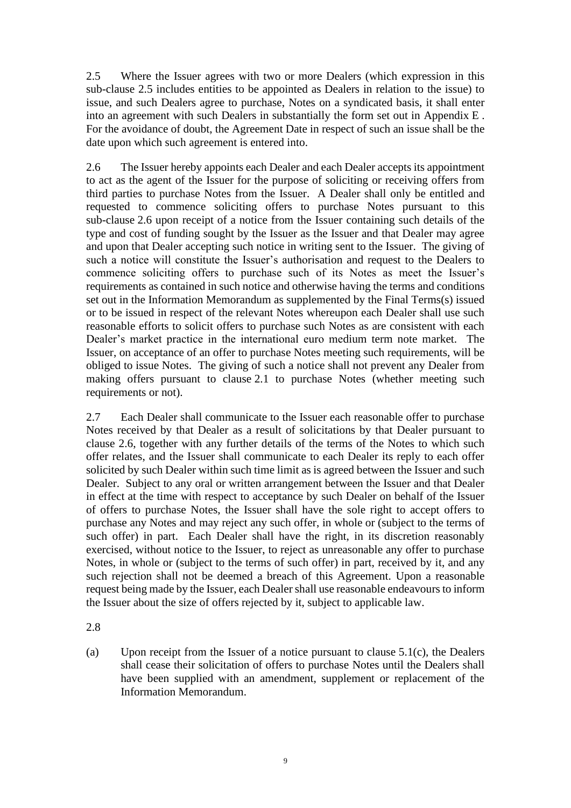<span id="page-10-0"></span>2.5 Where the Issuer agrees with two or more Dealers (which expression in this sub-clause [2.5](#page-10-0) includes entities to be appointed as Dealers in relation to the issue) to issue, and such Dealers agree to purchase, Notes on a syndicated basis, it shall enter into an agreement with such Dealers in substantially the form set out in [Appendix](#page-45-0) E . For the avoidance of doubt, the Agreement Date in respect of such an issue shall be the date upon which such agreement is entered into.

<span id="page-10-1"></span>2.6 The Issuer hereby appoints each Dealer and each Dealer accepts its appointment to act as the agent of the Issuer for the purpose of soliciting or receiving offers from third parties to purchase Notes from the Issuer. A Dealer shall only be entitled and requested to commence soliciting offers to purchase Notes pursuant to this sub-clause [2.6](#page-10-1) upon receipt of a notice from the Issuer containing such details of the type and cost of funding sought by the Issuer as the Issuer and that Dealer may agree and upon that Dealer accepting such notice in writing sent to the Issuer. The giving of such a notice will constitute the Issuer's authorisation and request to the Dealers to commence soliciting offers to purchase such of its Notes as meet the Issuer's requirements as contained in such notice and otherwise having the terms and conditions set out in the Information Memorandum as supplemented by the Final Terms(s) issued or to be issued in respect of the relevant Notes whereupon each Dealer shall use such reasonable efforts to solicit offers to purchase such Notes as are consistent with each Dealer's market practice in the international euro medium term note market. The Issuer, on acceptance of an offer to purchase Notes meeting such requirements, will be obliged to issue Notes. The giving of such a notice shall not prevent any Dealer from making offers pursuant to clause [2.1](#page-9-1) to purchase Notes (whether meeting such requirements or not).

2.7 Each Dealer shall communicate to the Issuer each reasonable offer to purchase Notes received by that Dealer as a result of solicitations by that Dealer pursuant to clause [2.6,](#page-10-1) together with any further details of the terms of the Notes to which such offer relates, and the Issuer shall communicate to each Dealer its reply to each offer solicited by such Dealer within such time limit as is agreed between the Issuer and such Dealer. Subject to any oral or written arrangement between the Issuer and that Dealer in effect at the time with respect to acceptance by such Dealer on behalf of the Issuer of offers to purchase Notes, the Issuer shall have the sole right to accept offers to purchase any Notes and may reject any such offer, in whole or (subject to the terms of such offer) in part. Each Dealer shall have the right, in its discretion reasonably exercised, without notice to the Issuer, to reject as unreasonable any offer to purchase Notes, in whole or (subject to the terms of such offer) in part, received by it, and any such rejection shall not be deemed a breach of this Agreement. Upon a reasonable request being made by the Issuer, each Dealer shall use reasonable endeavours to inform the Issuer about the size of offers rejected by it, subject to applicable law.

## 2.8

(a) Upon receipt from the Issuer of a notice pursuant to clause [5.1\(c\),](#page-19-0) the Dealers shall cease their solicitation of offers to purchase Notes until the Dealers shall have been supplied with an amendment, supplement or replacement of the Information Memorandum.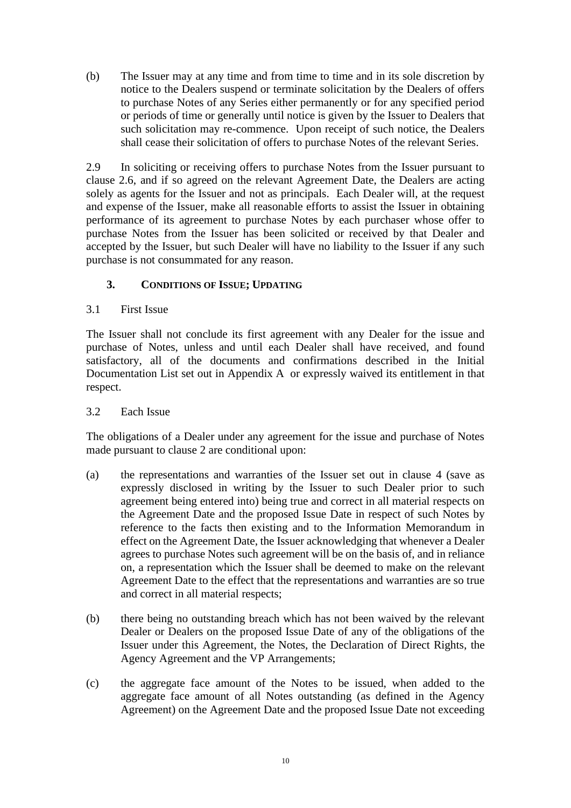(b) The Issuer may at any time and from time to time and in its sole discretion by notice to the Dealers suspend or terminate solicitation by the Dealers of offers to purchase Notes of any Series either permanently or for any specified period or periods of time or generally until notice is given by the Issuer to Dealers that such solicitation may re-commence. Upon receipt of such notice, the Dealers shall cease their solicitation of offers to purchase Notes of the relevant Series.

2.9 In soliciting or receiving offers to purchase Notes from the Issuer pursuant to clause [2.6,](#page-10-1) and if so agreed on the relevant Agreement Date, the Dealers are acting solely as agents for the Issuer and not as principals. Each Dealer will, at the request and expense of the Issuer, make all reasonable efforts to assist the Issuer in obtaining performance of its agreement to purchase Notes by each purchaser whose offer to purchase Notes from the Issuer has been solicited or received by that Dealer and accepted by the Issuer, but such Dealer will have no liability to the Issuer if any such purchase is not consummated for any reason.

# <span id="page-11-2"></span>**3. CONDITIONS OF ISSUE; UPDATING**

3.1 First Issue

The Issuer shall not conclude its first agreement with any Dealer for the issue and purchase of Notes, unless and until each Dealer shall have received, and found satisfactory, all of the documents and confirmations described in the Initial Documentation List set out in [Appendix](#page-30-0) A or expressly waived its entitlement in that respect.

## <span id="page-11-0"></span>3.2 Each Issue

The obligations of a Dealer under any agreement for the issue and purchase of Notes made pursuant to clause [2](#page-9-0) are conditional upon:

- (a) the representations and warranties of the Issuer set out in clause [4](#page-15-0) (save as expressly disclosed in writing by the Issuer to such Dealer prior to such agreement being entered into) being true and correct in all material respects on the Agreement Date and the proposed Issue Date in respect of such Notes by reference to the facts then existing and to the Information Memorandum in effect on the Agreement Date, the Issuer acknowledging that whenever a Dealer agrees to purchase Notes such agreement will be on the basis of, and in reliance on, a representation which the Issuer shall be deemed to make on the relevant Agreement Date to the effect that the representations and warranties are so true and correct in all material respects;
- (b) there being no outstanding breach which has not been waived by the relevant Dealer or Dealers on the proposed Issue Date of any of the obligations of the Issuer under this Agreement, the Notes, the Declaration of Direct Rights, the Agency Agreement and the VP Arrangements;
- <span id="page-11-1"></span>(c) the aggregate face amount of the Notes to be issued, when added to the aggregate face amount of all Notes outstanding (as defined in the Agency Agreement) on the Agreement Date and the proposed Issue Date not exceeding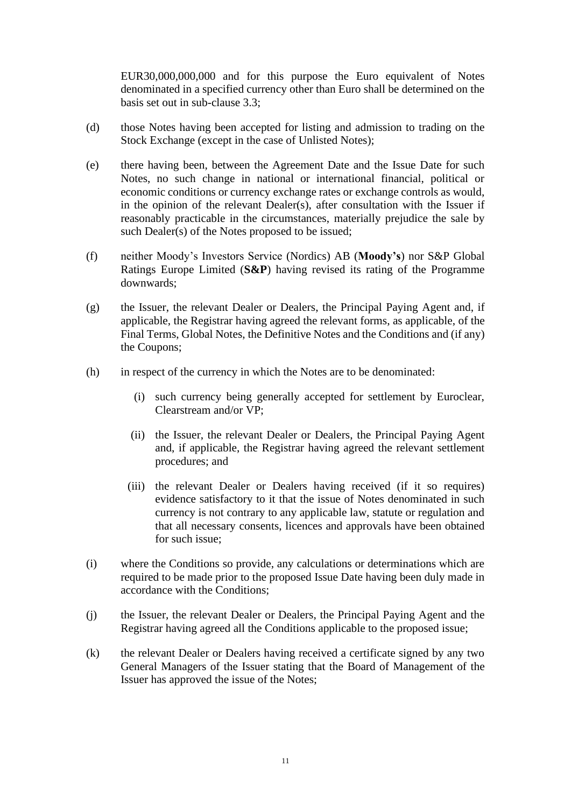EUR30,000,000,000 and for this purpose the Euro equivalent of Notes denominated in a specified currency other than Euro shall be determined on the basis set out in sub-clause [3.3;](#page-13-0)

- (d) those Notes having been accepted for listing and admission to trading on the Stock Exchange (except in the case of Unlisted Notes);
- (e) there having been, between the Agreement Date and the Issue Date for such Notes, no such change in national or international financial, political or economic conditions or currency exchange rates or exchange controls as would, in the opinion of the relevant Dealer(s), after consultation with the Issuer if reasonably practicable in the circumstances, materially prejudice the sale by such Dealer(s) of the Notes proposed to be issued;
- (f) neither Moody's Investors Service (Nordics) AB (**Moody's**) nor S&P Global Ratings Europe Limited (**S&P**) having revised its rating of the Programme downwards;
- (g) the Issuer, the relevant Dealer or Dealers, the Principal Paying Agent and, if applicable, the Registrar having agreed the relevant forms, as applicable, of the Final Terms, Global Notes, the Definitive Notes and the Conditions and (if any) the Coupons;
- (h) in respect of the currency in which the Notes are to be denominated:
	- (i) such currency being generally accepted for settlement by Euroclear, Clearstream and/or VP;
	- (ii) the Issuer, the relevant Dealer or Dealers, the Principal Paying Agent and, if applicable, the Registrar having agreed the relevant settlement procedures; and
	- (iii) the relevant Dealer or Dealers having received (if it so requires) evidence satisfactory to it that the issue of Notes denominated in such currency is not contrary to any applicable law, statute or regulation and that all necessary consents, licences and approvals have been obtained for such issue;
- <span id="page-12-0"></span>(i) where the Conditions so provide, any calculations or determinations which are required to be made prior to the proposed Issue Date having been duly made in accordance with the Conditions;
- (j) the Issuer, the relevant Dealer or Dealers, the Principal Paying Agent and the Registrar having agreed all the Conditions applicable to the proposed issue;
- (k) the relevant Dealer or Dealers having received a certificate signed by any two General Managers of the Issuer stating that the Board of Management of the Issuer has approved the issue of the Notes;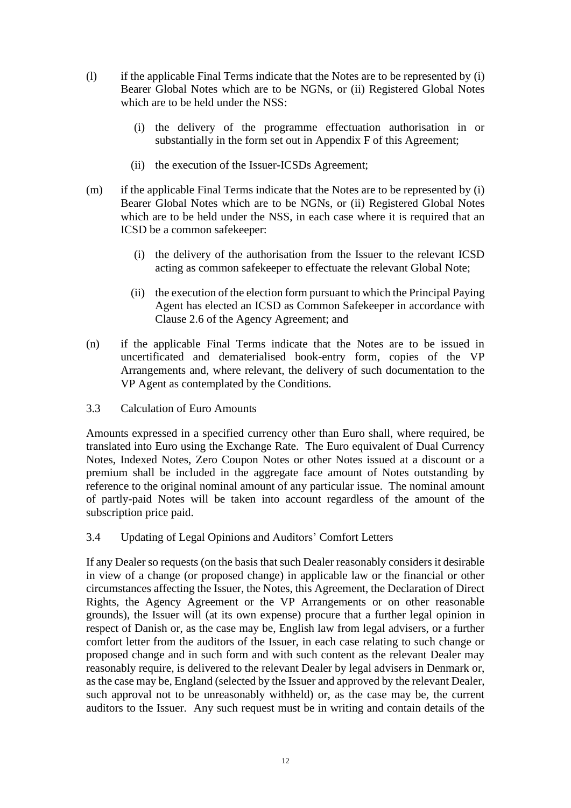- (l) if the applicable Final Terms indicate that the Notes are to be represented by (i) Bearer Global Notes which are to be NGNs, or (ii) Registered Global Notes which are to be held under the NSS:
	- (i) the delivery of the programme effectuation authorisation in or substantially in the form set out in [Appendix](#page-69-0) F of this Agreement;
	- (ii) the execution of the Issuer-ICSDs Agreement;
- (m) if the applicable Final Terms indicate that the Notes are to be represented by (i) Bearer Global Notes which are to be NGNs, or (ii) Registered Global Notes which are to be held under the NSS, in each case where it is required that an ICSD be a common safekeeper:
	- (i) the delivery of the authorisation from the Issuer to the relevant ICSD acting as common safekeeper to effectuate the relevant Global Note;
	- (ii) the execution of the election form pursuant to which the Principal Paying Agent has elected an ICSD as Common Safekeeper in accordance with Clause 2.6 of the Agency Agreement; and
- (n) if the applicable Final Terms indicate that the Notes are to be issued in uncertificated and dematerialised book-entry form, copies of the VP Arrangements and, where relevant, the delivery of such documentation to the VP Agent as contemplated by the Conditions.
- <span id="page-13-0"></span>3.3 Calculation of Euro Amounts

Amounts expressed in a specified currency other than Euro shall, where required, be translated into Euro using the Exchange Rate. The Euro equivalent of Dual Currency Notes, Indexed Notes, Zero Coupon Notes or other Notes issued at a discount or a premium shall be included in the aggregate face amount of Notes outstanding by reference to the original nominal amount of any particular issue. The nominal amount of partly-paid Notes will be taken into account regardless of the amount of the subscription price paid.

<span id="page-13-1"></span>3.4 Updating of Legal Opinions and Auditors' Comfort Letters

If any Dealer so requests (on the basis that such Dealer reasonably considers it desirable in view of a change (or proposed change) in applicable law or the financial or other circumstances affecting the Issuer, the Notes, this Agreement, the Declaration of Direct Rights, the Agency Agreement or the VP Arrangements or on other reasonable grounds), the Issuer will (at its own expense) procure that a further legal opinion in respect of Danish or, as the case may be, English law from legal advisers, or a further comfort letter from the auditors of the Issuer, in each case relating to such change or proposed change and in such form and with such content as the relevant Dealer may reasonably require, is delivered to the relevant Dealer by legal advisers in Denmark or, as the case may be, England (selected by the Issuer and approved by the relevant Dealer, such approval not to be unreasonably withheld) or, as the case may be, the current auditors to the Issuer. Any such request must be in writing and contain details of the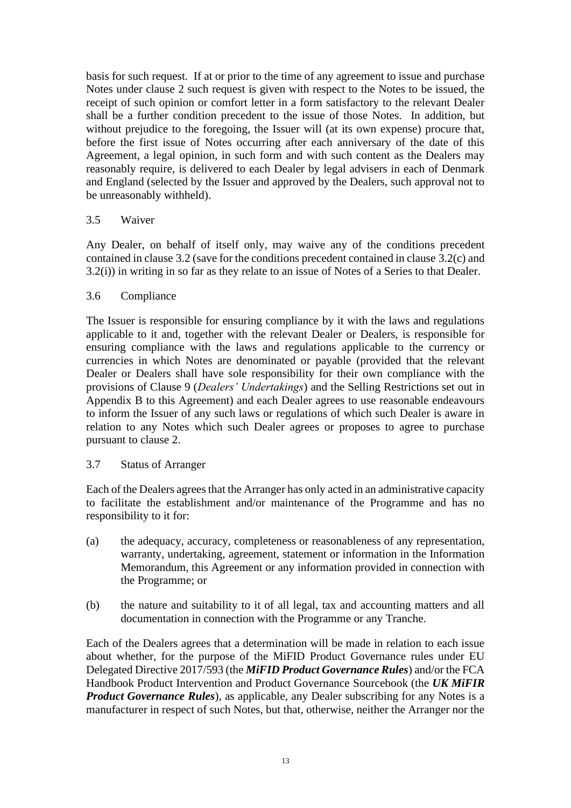basis for such request. If at or prior to the time of any agreement to issue and purchase Notes under clause [2](#page-9-0) such request is given with respect to the Notes to be issued, the receipt of such opinion or comfort letter in a form satisfactory to the relevant Dealer shall be a further condition precedent to the issue of those Notes. In addition, but without prejudice to the foregoing, the Issuer will (at its own expense) procure that, before the first issue of Notes occurring after each anniversary of the date of this Agreement, a legal opinion, in such form and with such content as the Dealers may reasonably require, is delivered to each Dealer by legal advisers in each of Denmark and England (selected by the Issuer and approved by the Dealers, such approval not to be unreasonably withheld).

## 3.5 Waiver

Any Dealer, on behalf of itself only, may waive any of the conditions precedent contained in clause [3.2](#page-11-0) (save for the conditions precedent contained in clause [3.2\(c\)](#page-11-1) and [3.2\(i\)\)](#page-12-0) in writing in so far as they relate to an issue of Notes of a Series to that Dealer.

#### 3.6 Compliance

The Issuer is responsible for ensuring compliance by it with the laws and regulations applicable to it and, together with the relevant Dealer or Dealers, is responsible for ensuring compliance with the laws and regulations applicable to the currency or currencies in which Notes are denominated or payable (provided that the relevant Dealer or Dealers shall have sole responsibility for their own compliance with the provisions of Clause 9 (*Dealers' Undertakings*) and the Selling Restrictions set out in Appendix B to this Agreement) and each Dealer agrees to use reasonable endeavours to inform the Issuer of any such laws or regulations of which such Dealer is aware in relation to any Notes which such Dealer agrees or proposes to agree to purchase pursuant to clause [2.](#page-9-0)

#### 3.7 Status of Arranger

Each of the Dealers agrees that the Arranger has only acted in an administrative capacity to facilitate the establishment and/or maintenance of the Programme and has no responsibility to it for:

- (a) the adequacy, accuracy, completeness or reasonableness of any representation, warranty, undertaking, agreement, statement or information in the Information Memorandum, this Agreement or any information provided in connection with the Programme; or
- (b) the nature and suitability to it of all legal, tax and accounting matters and all documentation in connection with the Programme or any Tranche.

Each of the Dealers agrees that a determination will be made in relation to each issue about whether, for the purpose of the MiFID Product Governance rules under EU Delegated Directive 2017/593 (the *MiFID Product Governance Rules*) and/or the FCA Handbook Product Intervention and Product Governance Sourcebook (the *UK MiFIR Product Governance Rules*), as applicable, any Dealer subscribing for any Notes is a manufacturer in respect of such Notes, but that, otherwise, neither the Arranger nor the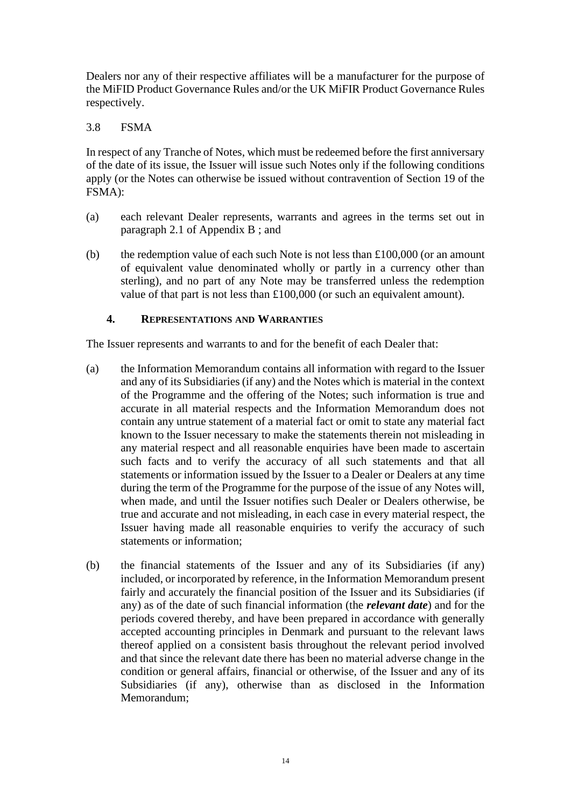Dealers nor any of their respective affiliates will be a manufacturer for the purpose of the MiFID Product Governance Rules and/or the UK MiFIR Product Governance Rules respectively.

#### 3.8 FSMA

In respect of any Tranche of Notes, which must be redeemed before the first anniversary of the date of its issue, the Issuer will issue such Notes only if the following conditions apply (or the Notes can otherwise be issued without contravention of Section 19 of the FSMA):

- (a) each relevant Dealer represents, warrants and agrees in the terms set out in paragraph [2.1](#page-34-0) of [Appendix](#page-33-0) B ; and
- (b) the redemption value of each such Note is not less than  $£100,000$  (or an amount of equivalent value denominated wholly or partly in a currency other than sterling), and no part of any Note may be transferred unless the redemption value of that part is not less than £100,000 (or such an equivalent amount).

#### <span id="page-15-0"></span>**4. REPRESENTATIONS AND WARRANTIES**

The Issuer represents and warrants to and for the benefit of each Dealer that:

- <span id="page-15-1"></span>(a) the Information Memorandum contains all information with regard to the Issuer and any of its Subsidiaries (if any) and the Notes which is material in the context of the Programme and the offering of the Notes; such information is true and accurate in all material respects and the Information Memorandum does not contain any untrue statement of a material fact or omit to state any material fact known to the Issuer necessary to make the statements therein not misleading in any material respect and all reasonable enquiries have been made to ascertain such facts and to verify the accuracy of all such statements and that all statements or information issued by the Issuer to a Dealer or Dealers at any time during the term of the Programme for the purpose of the issue of any Notes will, when made, and until the Issuer notifies such Dealer or Dealers otherwise, be true and accurate and not misleading, in each case in every material respect, the Issuer having made all reasonable enquiries to verify the accuracy of such statements or information;
- (b) the financial statements of the Issuer and any of its Subsidiaries (if any) included, or incorporated by reference, in the Information Memorandum present fairly and accurately the financial position of the Issuer and its Subsidiaries (if any) as of the date of such financial information (the *relevant date*) and for the periods covered thereby, and have been prepared in accordance with generally accepted accounting principles in Denmark and pursuant to the relevant laws thereof applied on a consistent basis throughout the relevant period involved and that since the relevant date there has been no material adverse change in the condition or general affairs, financial or otherwise, of the Issuer and any of its Subsidiaries (if any), otherwise than as disclosed in the Information Memorandum;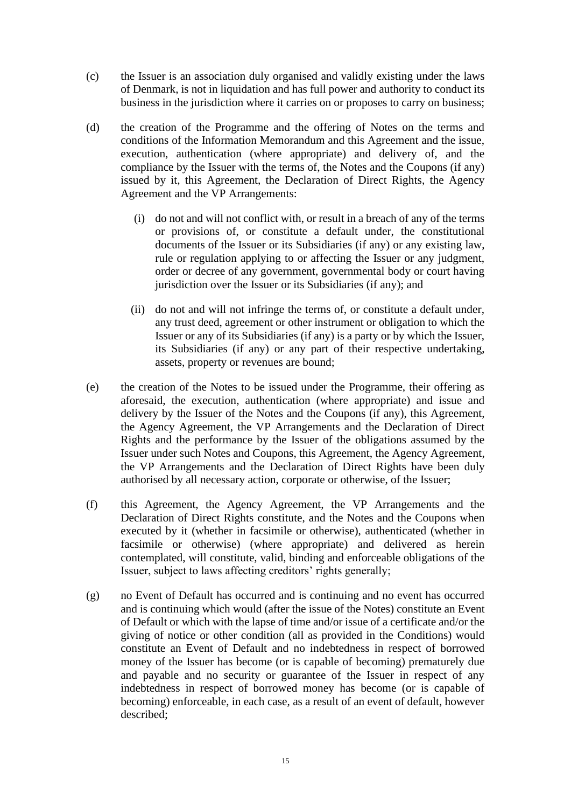- (c) the Issuer is an association duly organised and validly existing under the laws of Denmark, is not in liquidation and has full power and authority to conduct its business in the jurisdiction where it carries on or proposes to carry on business;
- (d) the creation of the Programme and the offering of Notes on the terms and conditions of the Information Memorandum and this Agreement and the issue, execution, authentication (where appropriate) and delivery of, and the compliance by the Issuer with the terms of, the Notes and the Coupons (if any) issued by it, this Agreement, the Declaration of Direct Rights, the Agency Agreement and the VP Arrangements:
	- (i) do not and will not conflict with, or result in a breach of any of the terms or provisions of, or constitute a default under, the constitutional documents of the Issuer or its Subsidiaries (if any) or any existing law, rule or regulation applying to or affecting the Issuer or any judgment, order or decree of any government, governmental body or court having jurisdiction over the Issuer or its Subsidiaries (if any); and
	- (ii) do not and will not infringe the terms of, or constitute a default under, any trust deed, agreement or other instrument or obligation to which the Issuer or any of its Subsidiaries (if any) is a party or by which the Issuer, its Subsidiaries (if any) or any part of their respective undertaking, assets, property or revenues are bound;
- (e) the creation of the Notes to be issued under the Programme, their offering as aforesaid, the execution, authentication (where appropriate) and issue and delivery by the Issuer of the Notes and the Coupons (if any), this Agreement, the Agency Agreement, the VP Arrangements and the Declaration of Direct Rights and the performance by the Issuer of the obligations assumed by the Issuer under such Notes and Coupons, this Agreement, the Agency Agreement, the VP Arrangements and the Declaration of Direct Rights have been duly authorised by all necessary action, corporate or otherwise, of the Issuer;
- (f) this Agreement, the Agency Agreement, the VP Arrangements and the Declaration of Direct Rights constitute, and the Notes and the Coupons when executed by it (whether in facsimile or otherwise), authenticated (whether in facsimile or otherwise) (where appropriate) and delivered as herein contemplated, will constitute, valid, binding and enforceable obligations of the Issuer, subject to laws affecting creditors' rights generally;
- (g) no Event of Default has occurred and is continuing and no event has occurred and is continuing which would (after the issue of the Notes) constitute an Event of Default or which with the lapse of time and/or issue of a certificate and/or the giving of notice or other condition (all as provided in the Conditions) would constitute an Event of Default and no indebtedness in respect of borrowed money of the Issuer has become (or is capable of becoming) prematurely due and payable and no security or guarantee of the Issuer in respect of any indebtedness in respect of borrowed money has become (or is capable of becoming) enforceable, in each case, as a result of an event of default, however described;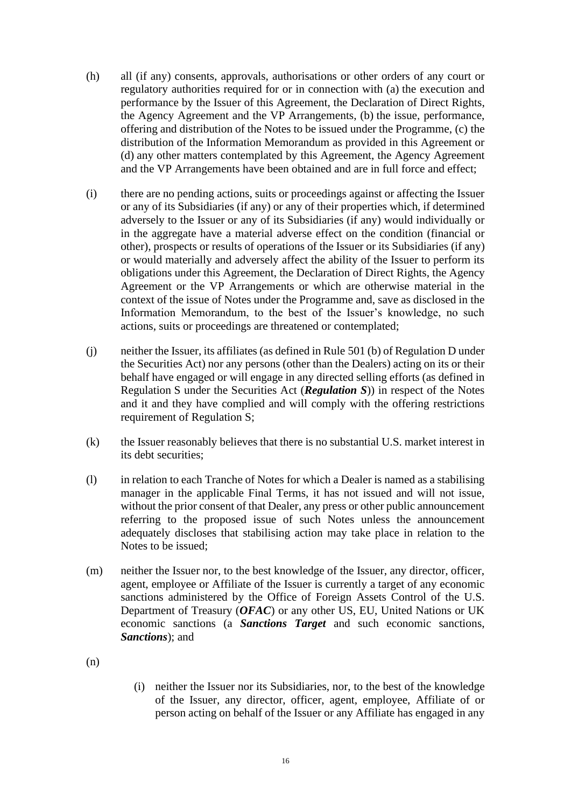- (h) all (if any) consents, approvals, authorisations or other orders of any court or regulatory authorities required for or in connection with (a) the execution and performance by the Issuer of this Agreement, the Declaration of Direct Rights, the Agency Agreement and the VP Arrangements, (b) the issue, performance, offering and distribution of the Notes to be issued under the Programme, (c) the distribution of the Information Memorandum as provided in this Agreement or (d) any other matters contemplated by this Agreement, the Agency Agreement and the VP Arrangements have been obtained and are in full force and effect;
- (i) there are no pending actions, suits or proceedings against or affecting the Issuer or any of its Subsidiaries (if any) or any of their properties which, if determined adversely to the Issuer or any of its Subsidiaries (if any) would individually or in the aggregate have a material adverse effect on the condition (financial or other), prospects or results of operations of the Issuer or its Subsidiaries (if any) or would materially and adversely affect the ability of the Issuer to perform its obligations under this Agreement, the Declaration of Direct Rights, the Agency Agreement or the VP Arrangements or which are otherwise material in the context of the issue of Notes under the Programme and, save as disclosed in the Information Memorandum, to the best of the Issuer's knowledge, no such actions, suits or proceedings are threatened or contemplated;
- (j) neither the Issuer, its affiliates (as defined in Rule 501 (b) of Regulation D under the Securities Act) nor any persons (other than the Dealers) acting on its or their behalf have engaged or will engage in any directed selling efforts (as defined in Regulation S under the Securities Act (*Regulation S*)) in respect of the Notes and it and they have complied and will comply with the offering restrictions requirement of Regulation S;
- (k) the Issuer reasonably believes that there is no substantial U.S. market interest in its debt securities;
- (l) in relation to each Tranche of Notes for which a Dealer is named as a stabilising manager in the applicable Final Terms, it has not issued and will not issue, without the prior consent of that Dealer, any press or other public announcement referring to the proposed issue of such Notes unless the announcement adequately discloses that stabilising action may take place in relation to the Notes to be issued;
- <span id="page-17-0"></span>(m) neither the Issuer nor, to the best knowledge of the Issuer, any director, officer, agent, employee or Affiliate of the Issuer is currently a target of any economic sanctions administered by the Office of Foreign Assets Control of the U.S. Department of Treasury (*OFAC*) or any other US, EU, United Nations or UK economic sanctions (a *Sanctions Target* and such economic sanctions, *Sanctions*); and
- <span id="page-17-1"></span>(n)
- (i) neither the Issuer nor its Subsidiaries, nor, to the best of the knowledge of the Issuer, any director, officer, agent, employee, Affiliate of or person acting on behalf of the Issuer or any Affiliate has engaged in any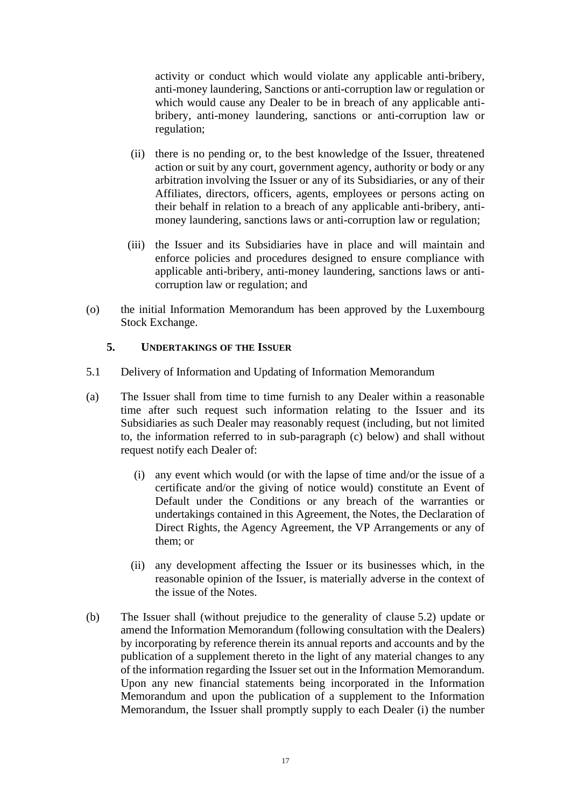activity or conduct which would violate any applicable anti-bribery, anti-money laundering, Sanctions or anti-corruption law or regulation or which would cause any Dealer to be in breach of any applicable antibribery, anti-money laundering, sanctions or anti-corruption law or regulation;

- (ii) there is no pending or, to the best knowledge of the Issuer, threatened action or suit by any court, government agency, authority or body or any arbitration involving the Issuer or any of its Subsidiaries, or any of their Affiliates, directors, officers, agents, employees or persons acting on their behalf in relation to a breach of any applicable anti-bribery, antimoney laundering, sanctions laws or anti-corruption law or regulation;
- (iii) the Issuer and its Subsidiaries have in place and will maintain and enforce policies and procedures designed to ensure compliance with applicable anti-bribery, anti-money laundering, sanctions laws or anticorruption law or regulation; and
- (o) the initial Information Memorandum has been approved by the Luxembourg Stock Exchange.

## **5. UNDERTAKINGS OF THE ISSUER**

- 5.1 Delivery of Information and Updating of Information Memorandum
- (a) The Issuer shall from time to time furnish to any Dealer within a reasonable time after such request such information relating to the Issuer and its Subsidiaries as such Dealer may reasonably request (including, but not limited to, the information referred to in sub-paragraph [\(c\)](#page-4-0) below) and shall without request notify each Dealer of:
	- (i) any event which would (or with the lapse of time and/or the issue of a certificate and/or the giving of notice would) constitute an Event of Default under the Conditions or any breach of the warranties or undertakings contained in this Agreement, the Notes, the Declaration of Direct Rights, the Agency Agreement, the VP Arrangements or any of them; or
	- (ii) any development affecting the Issuer or its businesses which, in the reasonable opinion of the Issuer, is materially adverse in the context of the issue of the Notes.
- <span id="page-18-0"></span>(b) The Issuer shall (without prejudice to the generality of clause [5.2\)](#page-19-1) update or amend the Information Memorandum (following consultation with the Dealers) by incorporating by reference therein its annual reports and accounts and by the publication of a supplement thereto in the light of any material changes to any of the information regarding the Issuer set out in the Information Memorandum. Upon any new financial statements being incorporated in the Information Memorandum and upon the publication of a supplement to the Information Memorandum, the Issuer shall promptly supply to each Dealer (i) the number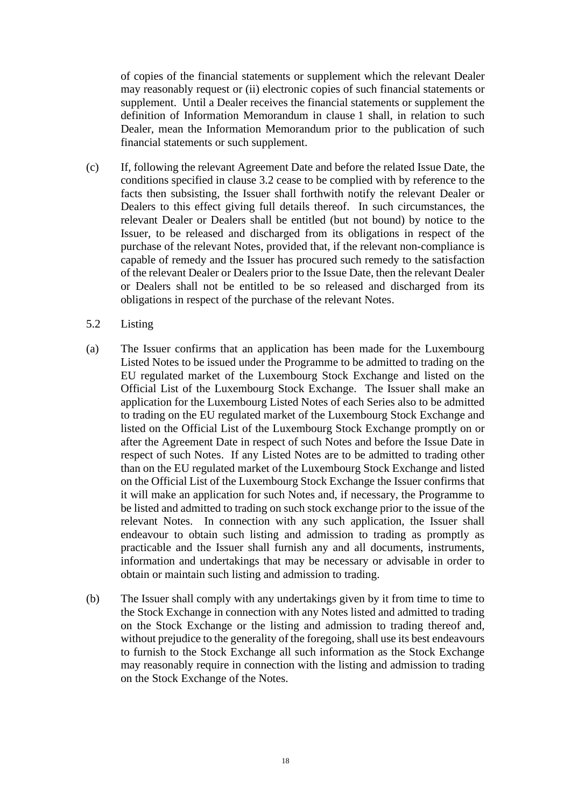of copies of the financial statements or supplement which the relevant Dealer may reasonably request or (ii) electronic copies of such financial statements or supplement. Until a Dealer receives the financial statements or supplement the definition of Information Memorandum in clause 1 shall, in relation to such Dealer, mean the Information Memorandum prior to the publication of such financial statements or such supplement.

- <span id="page-19-0"></span>(c) If, following the relevant Agreement Date and before the related Issue Date, the conditions specified in clause [3.2](#page-11-0) cease to be complied with by reference to the facts then subsisting, the Issuer shall forthwith notify the relevant Dealer or Dealers to this effect giving full details thereof. In such circumstances, the relevant Dealer or Dealers shall be entitled (but not bound) by notice to the Issuer, to be released and discharged from its obligations in respect of the purchase of the relevant Notes, provided that, if the relevant non-compliance is capable of remedy and the Issuer has procured such remedy to the satisfaction of the relevant Dealer or Dealers prior to the Issue Date, then the relevant Dealer or Dealers shall not be entitled to be so released and discharged from its obligations in respect of the purchase of the relevant Notes.
- <span id="page-19-1"></span>5.2 Listing
- (a) The Issuer confirms that an application has been made for the Luxembourg Listed Notes to be issued under the Programme to be admitted to trading on the EU regulated market of the Luxembourg Stock Exchange and listed on the Official List of the Luxembourg Stock Exchange. The Issuer shall make an application for the Luxembourg Listed Notes of each Series also to be admitted to trading on the EU regulated market of the Luxembourg Stock Exchange and listed on the Official List of the Luxembourg Stock Exchange promptly on or after the Agreement Date in respect of such Notes and before the Issue Date in respect of such Notes. If any Listed Notes are to be admitted to trading other than on the EU regulated market of the Luxembourg Stock Exchange and listed on the Official List of the Luxembourg Stock Exchange the Issuer confirms that it will make an application for such Notes and, if necessary, the Programme to be listed and admitted to trading on such stock exchange prior to the issue of the relevant Notes. In connection with any such application, the Issuer shall endeavour to obtain such listing and admission to trading as promptly as practicable and the Issuer shall furnish any and all documents, instruments, information and undertakings that may be necessary or advisable in order to obtain or maintain such listing and admission to trading.
- (b) The Issuer shall comply with any undertakings given by it from time to time to the Stock Exchange in connection with any Notes listed and admitted to trading on the Stock Exchange or the listing and admission to trading thereof and, without prejudice to the generality of the foregoing, shall use its best endeavours to furnish to the Stock Exchange all such information as the Stock Exchange may reasonably require in connection with the listing and admission to trading on the Stock Exchange of the Notes.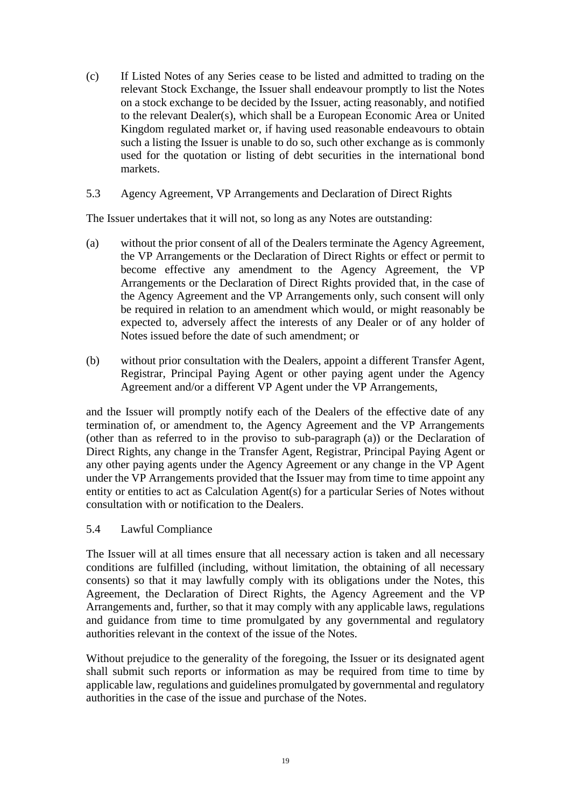- (c) If Listed Notes of any Series cease to be listed and admitted to trading on the relevant Stock Exchange, the Issuer shall endeavour promptly to list the Notes on a stock exchange to be decided by the Issuer, acting reasonably, and notified to the relevant Dealer(s), which shall be a European Economic Area or United Kingdom regulated market or, if having used reasonable endeavours to obtain such a listing the Issuer is unable to do so, such other exchange as is commonly used for the quotation or listing of debt securities in the international bond markets.
- 5.3 Agency Agreement, VP Arrangements and Declaration of Direct Rights

The Issuer undertakes that it will not, so long as any Notes are outstanding:

- (a) without the prior consent of all of the Dealers terminate the Agency Agreement, the VP Arrangements or the Declaration of Direct Rights or effect or permit to become effective any amendment to the Agency Agreement, the VP Arrangements or the Declaration of Direct Rights provided that, in the case of the Agency Agreement and the VP Arrangements only, such consent will only be required in relation to an amendment which would, or might reasonably be expected to, adversely affect the interests of any Dealer or of any holder of Notes issued before the date of such amendment; or
- (b) without prior consultation with the Dealers, appoint a different Transfer Agent, Registrar, Principal Paying Agent or other paying agent under the Agency Agreement and/or a different VP Agent under the VP Arrangements,

and the Issuer will promptly notify each of the Dealers of the effective date of any termination of, or amendment to, the Agency Agreement and the VP Arrangements (other than as referred to in the proviso to sub-paragraph (a)) or the Declaration of Direct Rights, any change in the Transfer Agent, Registrar, Principal Paying Agent or any other paying agents under the Agency Agreement or any change in the VP Agent under the VP Arrangements provided that the Issuer may from time to time appoint any entity or entities to act as Calculation Agent(s) for a particular Series of Notes without consultation with or notification to the Dealers.

## 5.4 Lawful Compliance

The Issuer will at all times ensure that all necessary action is taken and all necessary conditions are fulfilled (including, without limitation, the obtaining of all necessary consents) so that it may lawfully comply with its obligations under the Notes, this Agreement, the Declaration of Direct Rights, the Agency Agreement and the VP Arrangements and, further, so that it may comply with any applicable laws, regulations and guidance from time to time promulgated by any governmental and regulatory authorities relevant in the context of the issue of the Notes.

Without prejudice to the generality of the foregoing, the Issuer or its designated agent shall submit such reports or information as may be required from time to time by applicable law, regulations and guidelines promulgated by governmental and regulatory authorities in the case of the issue and purchase of the Notes.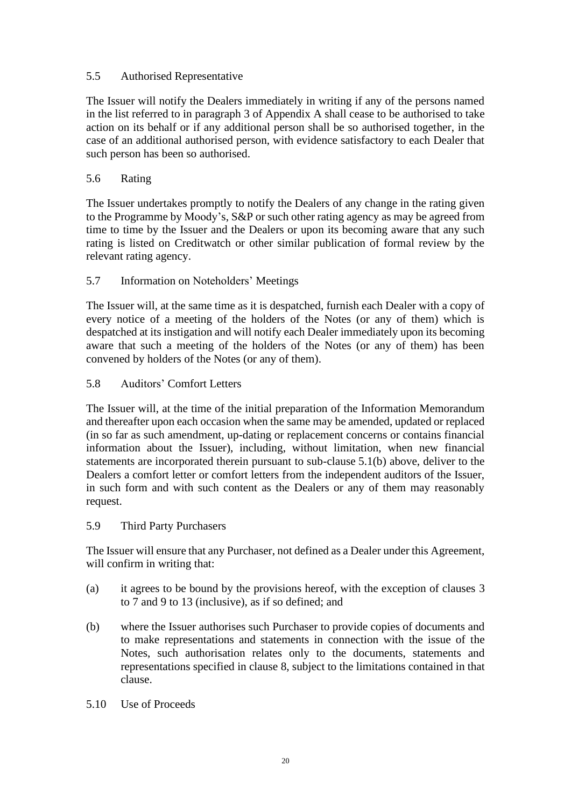## 5.5 Authorised Representative

The Issuer will notify the Dealers immediately in writing if any of the persons named in the list referred to in paragraph [3](#page-11-2) of [Appendix](#page-30-0) A shall cease to be authorised to take action on its behalf or if any additional person shall be so authorised together, in the case of an additional authorised person, with evidence satisfactory to each Dealer that such person has been so authorised.

#### 5.6 Rating

The Issuer undertakes promptly to notify the Dealers of any change in the rating given to the Programme by Moody's, S&P or such other rating agency as may be agreed from time to time by the Issuer and the Dealers or upon its becoming aware that any such rating is listed on Creditwatch or other similar publication of formal review by the relevant rating agency.

## 5.7 Information on Noteholders' Meetings

The Issuer will, at the same time as it is despatched, furnish each Dealer with a copy of every notice of a meeting of the holders of the Notes (or any of them) which is despatched at its instigation and will notify each Dealer immediately upon its becoming aware that such a meeting of the holders of the Notes (or any of them) has been convened by holders of the Notes (or any of them).

#### <span id="page-21-1"></span>5.8 Auditors' Comfort Letters

The Issuer will, at the time of the initial preparation of the Information Memorandum and thereafter upon each occasion when the same may be amended, updated or replaced (in so far as such amendment, up-dating or replacement concerns or contains financial information about the Issuer), including, without limitation, when new financial statements are incorporated therein pursuant to sub-clause [5.1\(b\)](#page-18-0) above, deliver to the Dealers a comfort letter or comfort letters from the independent auditors of the Issuer, in such form and with such content as the Dealers or any of them may reasonably request.

#### 5.9 Third Party Purchasers

The Issuer will ensure that any Purchaser, not defined as a Dealer under this Agreement, will confirm in writing that:

- (a) it agrees to be bound by the provisions hereof, with the exception of clauses [3](#page-11-2) to [7](#page-23-0) and [9](#page-24-0) to [13](#page-26-0) (inclusive), as if so defined; and
- (b) where the Issuer authorises such Purchaser to provide copies of documents and to make representations and statements in connection with the issue of the Notes, such authorisation relates only to the documents, statements and representations specified in clause [8,](#page-23-1) subject to the limitations contained in that clause.
- <span id="page-21-0"></span>5.10 Use of Proceeds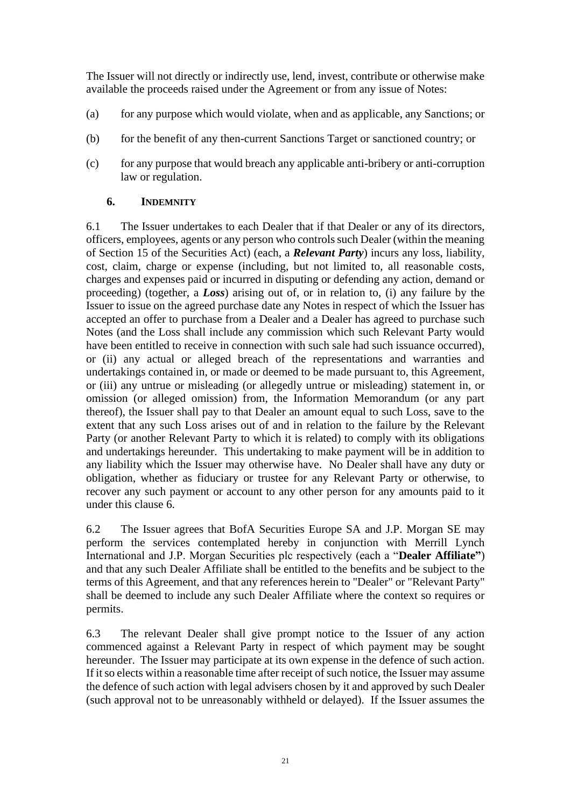The Issuer will not directly or indirectly use, lend, invest, contribute or otherwise make available the proceeds raised under the Agreement or from any issue of Notes:

- (a) for any purpose which would violate, when and as applicable, any Sanctions; or
- (b) for the benefit of any then-current Sanctions Target or sanctioned country; or
- (c) for any purpose that would breach any applicable anti-bribery or anti-corruption law or regulation.

#### <span id="page-22-0"></span>**6. INDEMNITY**

6.1 The Issuer undertakes to each Dealer that if that Dealer or any of its directors, officers, employees, agents or any person who controls such Dealer (within the meaning of Section 15 of the Securities Act) (each, a *Relevant Party*) incurs any loss, liability, cost, claim, charge or expense (including, but not limited to, all reasonable costs, charges and expenses paid or incurred in disputing or defending any action, demand or proceeding) (together, a *Loss*) arising out of, or in relation to, (i) any failure by the Issuer to issue on the agreed purchase date any Notes in respect of which the Issuer has accepted an offer to purchase from a Dealer and a Dealer has agreed to purchase such Notes (and the Loss shall include any commission which such Relevant Party would have been entitled to receive in connection with such sale had such issuance occurred), or (ii) any actual or alleged breach of the representations and warranties and undertakings contained in, or made or deemed to be made pursuant to, this Agreement, or (iii) any untrue or misleading (or allegedly untrue or misleading) statement in, or omission (or alleged omission) from, the Information Memorandum (or any part thereof), the Issuer shall pay to that Dealer an amount equal to such Loss, save to the extent that any such Loss arises out of and in relation to the failure by the Relevant Party (or another Relevant Party to which it is related) to comply with its obligations and undertakings hereunder. This undertaking to make payment will be in addition to any liability which the Issuer may otherwise have. No Dealer shall have any duty or obligation, whether as fiduciary or trustee for any Relevant Party or otherwise, to recover any such payment or account to any other person for any amounts paid to it under this clause [6.](#page-22-0)

<span id="page-22-2"></span>6.2 The Issuer agrees that BofA Securities Europe SA and J.P. Morgan SE may perform the services contemplated hereby in conjunction with Merrill Lynch International and J.P. Morgan Securities plc respectively (each a "**Dealer Affiliate"**) and that any such Dealer Affiliate shall be entitled to the benefits and be subject to the terms of this Agreement, and that any references herein to "Dealer" or "Relevant Party" shall be deemed to include any such Dealer Affiliate where the context so requires or permits.

<span id="page-22-1"></span>6.3 The relevant Dealer shall give prompt notice to the Issuer of any action commenced against a Relevant Party in respect of which payment may be sought hereunder. The Issuer may participate at its own expense in the defence of such action. If it so elects within a reasonable time after receipt of such notice, the Issuer may assume the defence of such action with legal advisers chosen by it and approved by such Dealer (such approval not to be unreasonably withheld or delayed). If the Issuer assumes the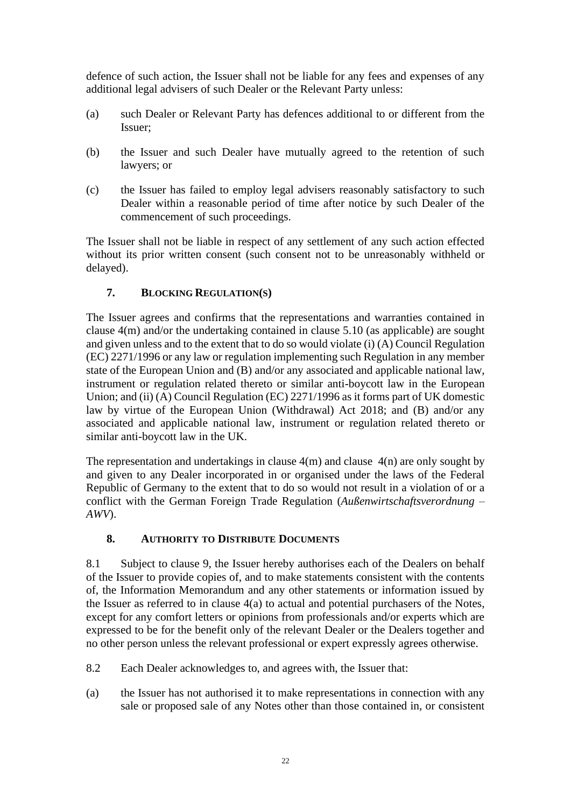defence of such action, the Issuer shall not be liable for any fees and expenses of any additional legal advisers of such Dealer or the Relevant Party unless:

- (a) such Dealer or Relevant Party has defences additional to or different from the Issuer;
- (b) the Issuer and such Dealer have mutually agreed to the retention of such lawyers; or
- (c) the Issuer has failed to employ legal advisers reasonably satisfactory to such Dealer within a reasonable period of time after notice by such Dealer of the commencement of such proceedings.

The Issuer shall not be liable in respect of any settlement of any such action effected without its prior written consent (such consent not to be unreasonably withheld or delayed).

# <span id="page-23-0"></span>**7. BLOCKING REGULATION(S)**

The Issuer agrees and confirms that the representations and warranties contained in clause [4\(m\)](#page-17-0) and/or the undertaking contained in clause [5.10](#page-21-0) (as applicable) are sought and given unless and to the extent that to do so would violate (i) (A) Council Regulation (EC) 2271/1996 or any law or regulation implementing such Regulation in any member state of the European Union and (B) and/or any associated and applicable national law, instrument or regulation related thereto or similar anti-boycott law in the European Union; and (ii) (A) Council Regulation (EC) 2271/1996 as it forms part of UK domestic law by virtue of the European Union (Withdrawal) Act 2018; and (B) and/or any associated and applicable national law, instrument or regulation related thereto or similar anti-boycott law in the UK.

The representation and undertakings in clause [4\(m\)](#page-17-0) and clause [4\(n\)](#page-17-1) are only sought by and given to any Dealer incorporated in or organised under the laws of the Federal Republic of Germany to the extent that to do so would not result in a violation of or a conflict with the German Foreign Trade Regulation (*Außenwirtschaftsverordnung – AWV*).

## <span id="page-23-1"></span>**8. AUTHORITY TO DISTRIBUTE DOCUMENTS**

<span id="page-23-2"></span>8.1 Subject to clause [9,](#page-24-0) the Issuer hereby authorises each of the Dealers on behalf of the Issuer to provide copies of, and to make statements consistent with the contents of, the Information Memorandum and any other statements or information issued by the Issuer as referred to in clause [4\(a\)](#page-15-1) to actual and potential purchasers of the Notes, except for any comfort letters or opinions from professionals and/or experts which are expressed to be for the benefit only of the relevant Dealer or the Dealers together and no other person unless the relevant professional or expert expressly agrees otherwise.

- 8.2 Each Dealer acknowledges to, and agrees with, the Issuer that:
- (a) the Issuer has not authorised it to make representations in connection with any sale or proposed sale of any Notes other than those contained in, or consistent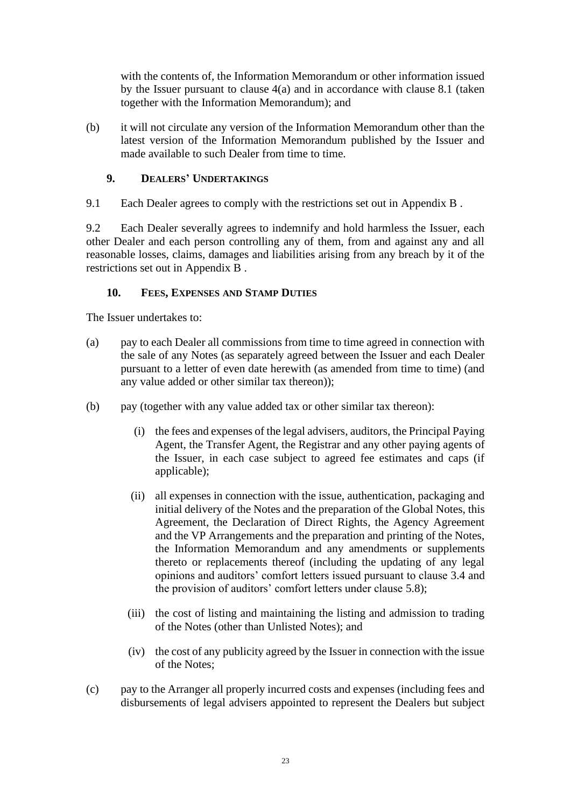with the contents of, the Information Memorandum or other information issued by the Issuer pursuant to clause [4\(a\)](#page-15-1) and in accordance with clause [8.1](#page-23-2) (taken together with the Information Memorandum); and

(b) it will not circulate any version of the Information Memorandum other than the latest version of the Information Memorandum published by the Issuer and made available to such Dealer from time to time.

#### <span id="page-24-0"></span>**9. DEALERS' UNDERTAKINGS**

9.1 Each Dealer agrees to comply with the restrictions set out in [Appendix](#page-33-0) B .

9.2 Each Dealer severally agrees to indemnify and hold harmless the Issuer, each other Dealer and each person controlling any of them, from and against any and all reasonable losses, claims, damages and liabilities arising from any breach by it of the restrictions set out in [Appendix](#page-33-0) B .

#### <span id="page-24-1"></span>**10. FEES, EXPENSES AND STAMP DUTIES**

The Issuer undertakes to:

- (a) pay to each Dealer all commissions from time to time agreed in connection with the sale of any Notes (as separately agreed between the Issuer and each Dealer pursuant to a letter of even date herewith (as amended from time to time) (and any value added or other similar tax thereon));
- (b) pay (together with any value added tax or other similar tax thereon):
	- (i) the fees and expenses of the legal advisers, auditors, the Principal Paying Agent, the Transfer Agent, the Registrar and any other paying agents of the Issuer, in each case subject to agreed fee estimates and caps (if applicable);
	- (ii) all expenses in connection with the issue, authentication, packaging and initial delivery of the Notes and the preparation of the Global Notes, this Agreement, the Declaration of Direct Rights, the Agency Agreement and the VP Arrangements and the preparation and printing of the Notes, the Information Memorandum and any amendments or supplements thereto or replacements thereof (including the updating of any legal opinions and auditors' comfort letters issued pursuant to clause [3.4](#page-13-1) and the provision of auditors' comfort letters under clause [5.8\)](#page-21-1);
	- (iii) the cost of listing and maintaining the listing and admission to trading of the Notes (other than Unlisted Notes); and
	- (iv) the cost of any publicity agreed by the Issuer in connection with the issue of the Notes;
- (c) pay to the Arranger all properly incurred costs and expenses (including fees and disbursements of legal advisers appointed to represent the Dealers but subject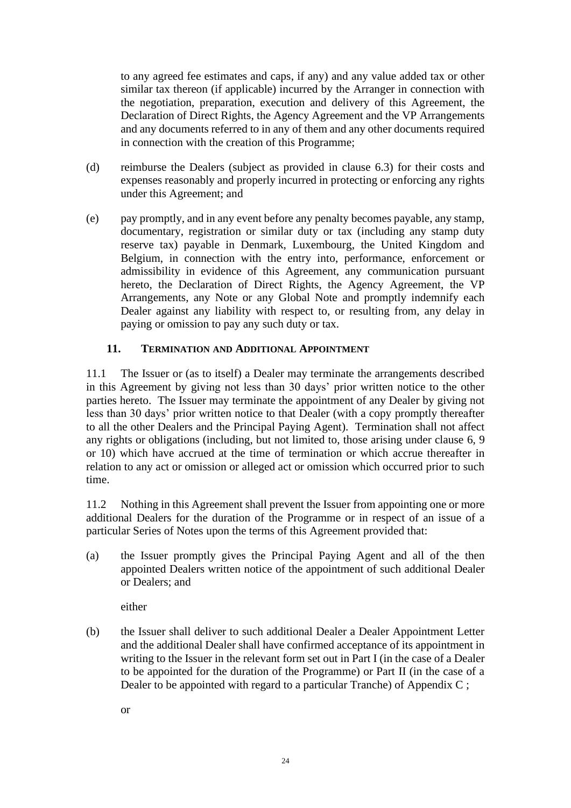to any agreed fee estimates and caps, if any) and any value added tax or other similar tax thereon (if applicable) incurred by the Arranger in connection with the negotiation, preparation, execution and delivery of this Agreement, the Declaration of Direct Rights, the Agency Agreement and the VP Arrangements and any documents referred to in any of them and any other documents required in connection with the creation of this Programme;

- (d) reimburse the Dealers (subject as provided in clause [6.3\)](#page-22-1) for their costs and expenses reasonably and properly incurred in protecting or enforcing any rights under this Agreement; and
- (e) pay promptly, and in any event before any penalty becomes payable, any stamp, documentary, registration or similar duty or tax (including any stamp duty reserve tax) payable in Denmark, Luxembourg, the United Kingdom and Belgium, in connection with the entry into, performance, enforcement or admissibility in evidence of this Agreement, any communication pursuant hereto, the Declaration of Direct Rights, the Agency Agreement, the VP Arrangements, any Note or any Global Note and promptly indemnify each Dealer against any liability with respect to, or resulting from, any delay in paying or omission to pay any such duty or tax.

## **11. TERMINATION AND ADDITIONAL APPOINTMENT**

<span id="page-25-1"></span>11.1 The Issuer or (as to itself) a Dealer may terminate the arrangements described in this Agreement by giving not less than 30 days' prior written notice to the other parties hereto. The Issuer may terminate the appointment of any Dealer by giving not less than 30 days' prior written notice to that Dealer (with a copy promptly thereafter to all the other Dealers and the Principal Paying Agent). Termination shall not affect any rights or obligations (including, but not limited to, those arising under clause [6,](#page-22-0) [9](#page-24-0) or [10\)](#page-24-1) which have accrued at the time of termination or which accrue thereafter in relation to any act or omission or alleged act or omission which occurred prior to such time.

<span id="page-25-0"></span>11.2 Nothing in this Agreement shall prevent the Issuer from appointing one or more additional Dealers for the duration of the Programme or in respect of an issue of a particular Series of Notes upon the terms of this Agreement provided that:

(a) the Issuer promptly gives the Principal Paying Agent and all of the then appointed Dealers written notice of the appointment of such additional Dealer or Dealers; and

either

(b) the Issuer shall deliver to such additional Dealer a Dealer Appointment Letter and the additional Dealer shall have confirmed acceptance of its appointment in writing to the Issuer in the relevant form set out in Part I (in the case of a Dealer to be appointed for the duration of the Programme) or Part II (in the case of a Dealer to be appointed with regard to a particular Tranche) of [Appendix](#page-39-0) C ;

or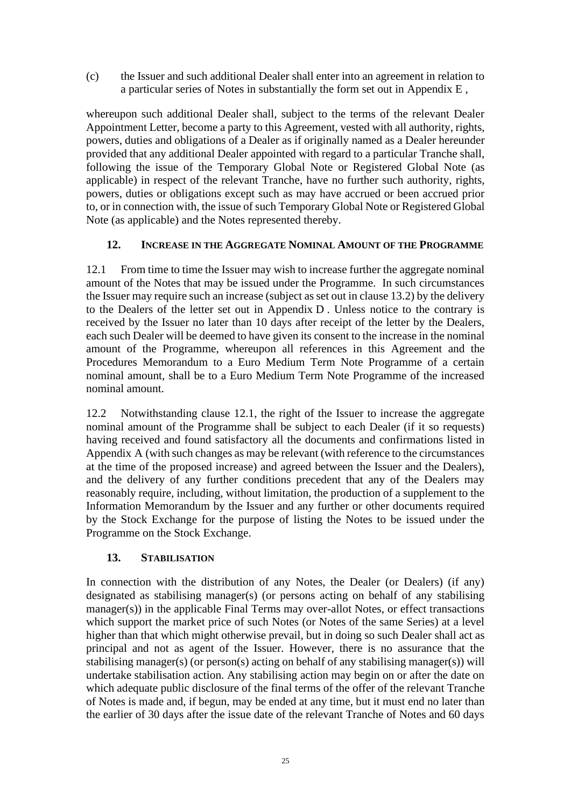(c) the Issuer and such additional Dealer shall enter into an agreement in relation to a particular series of Notes in substantially the form set out in [Appendix](#page-45-0) E ,

whereupon such additional Dealer shall, subject to the terms of the relevant Dealer Appointment Letter, become a party to this Agreement, vested with all authority, rights, powers, duties and obligations of a Dealer as if originally named as a Dealer hereunder provided that any additional Dealer appointed with regard to a particular Tranche shall, following the issue of the Temporary Global Note or Registered Global Note (as applicable) in respect of the relevant Tranche, have no further such authority, rights, powers, duties or obligations except such as may have accrued or been accrued prior to, or in connection with, the issue of such Temporary Global Note or Registered Global Note (as applicable) and the Notes represented thereby.

## **12. INCREASE IN THE AGGREGATE NOMINAL AMOUNT OF THE PROGRAMME**

<span id="page-26-1"></span>12.1 From time to time the Issuer may wish to increase further the aggregate nominal amount of the Notes that may be issued under the Programme. In such circumstances the Issuer may require such an increase (subject as set out in clause 13.2) by the delivery to the Dealers of the letter set out in [Appendix](#page-44-0) D . Unless notice to the contrary is received by the Issuer no later than 10 days after receipt of the letter by the Dealers, each such Dealer will be deemed to have given its consent to the increase in the nominal amount of the Programme, whereupon all references in this Agreement and the Procedures Memorandum to a Euro Medium Term Note Programme of a certain nominal amount, shall be to a Euro Medium Term Note Programme of the increased nominal amount.

12.2 Notwithstanding clause [12.1,](#page-26-1) the right of the Issuer to increase the aggregate nominal amount of the Programme shall be subject to each Dealer (if it so requests) having received and found satisfactory all the documents and confirmations listed in [Appendix](#page-30-0) A (with such changes as may be relevant (with reference to the circumstances at the time of the proposed increase) and agreed between the Issuer and the Dealers), and the delivery of any further conditions precedent that any of the Dealers may reasonably require, including, without limitation, the production of a supplement to the Information Memorandum by the Issuer and any further or other documents required by the Stock Exchange for the purpose of listing the Notes to be issued under the Programme on the Stock Exchange.

## <span id="page-26-0"></span>**13. STABILISATION**

In connection with the distribution of any Notes, the Dealer (or Dealers) (if any) designated as stabilising manager(s) (or persons acting on behalf of any stabilising manager(s)) in the applicable Final Terms may over-allot Notes, or effect transactions which support the market price of such Notes (or Notes of the same Series) at a level higher than that which might otherwise prevail, but in doing so such Dealer shall act as principal and not as agent of the Issuer. However, there is no assurance that the stabilising manager(s) (or person(s) acting on behalf of any stabilising manager(s)) will undertake stabilisation action. Any stabilising action may begin on or after the date on which adequate public disclosure of the final terms of the offer of the relevant Tranche of Notes is made and, if begun, may be ended at any time, but it must end no later than the earlier of 30 days after the issue date of the relevant Tranche of Notes and 60 days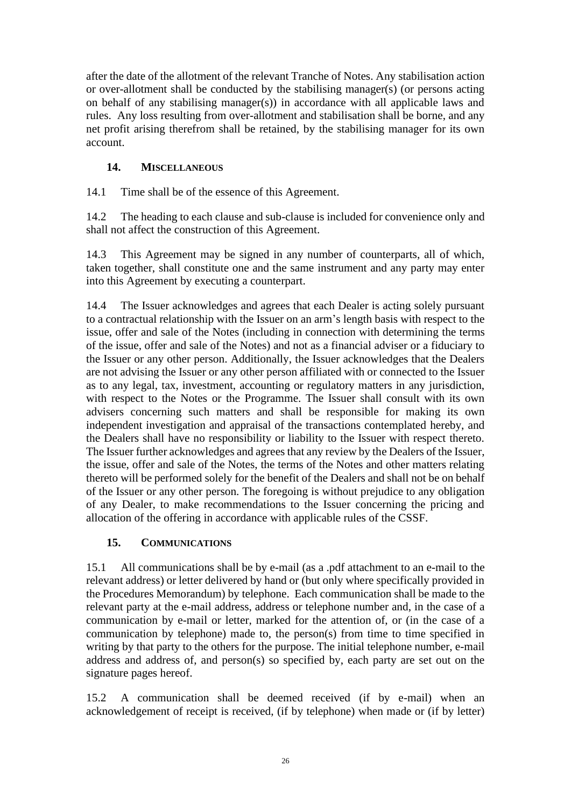after the date of the allotment of the relevant Tranche of Notes. Any stabilisation action or over-allotment shall be conducted by the stabilising manager(s) (or persons acting on behalf of any stabilising manager(s)) in accordance with all applicable laws and rules. Any loss resulting from over-allotment and stabilisation shall be borne, and any net profit arising therefrom shall be retained, by the stabilising manager for its own account.

# **14. MISCELLANEOUS**

14.1 Time shall be of the essence of this Agreement.

14.2 The heading to each clause and sub-clause is included for convenience only and shall not affect the construction of this Agreement.

14.3 This Agreement may be signed in any number of counterparts, all of which, taken together, shall constitute one and the same instrument and any party may enter into this Agreement by executing a counterpart.

14.4 The Issuer acknowledges and agrees that each Dealer is acting solely pursuant to a contractual relationship with the Issuer on an arm's length basis with respect to the issue, offer and sale of the Notes (including in connection with determining the terms of the issue, offer and sale of the Notes) and not as a financial adviser or a fiduciary to the Issuer or any other person. Additionally, the Issuer acknowledges that the Dealers are not advising the Issuer or any other person affiliated with or connected to the Issuer as to any legal, tax, investment, accounting or regulatory matters in any jurisdiction, with respect to the Notes or the Programme. The Issuer shall consult with its own advisers concerning such matters and shall be responsible for making its own independent investigation and appraisal of the transactions contemplated hereby, and the Dealers shall have no responsibility or liability to the Issuer with respect thereto. The Issuer further acknowledges and agrees that any review by the Dealers of the Issuer, the issue, offer and sale of the Notes, the terms of the Notes and other matters relating thereto will be performed solely for the benefit of the Dealers and shall not be on behalf of the Issuer or any other person. The foregoing is without prejudice to any obligation of any Dealer, to make recommendations to the Issuer concerning the pricing and allocation of the offering in accordance with applicable rules of the CSSF.

## **15. COMMUNICATIONS**

15.1 All communications shall be by e-mail (as a .pdf attachment to an e-mail to the relevant address) or letter delivered by hand or (but only where specifically provided in the Procedures Memorandum) by telephone. Each communication shall be made to the relevant party at the e-mail address, address or telephone number and, in the case of a communication by e-mail or letter, marked for the attention of, or (in the case of a communication by telephone) made to, the person(s) from time to time specified in writing by that party to the others for the purpose. The initial telephone number, e-mail address and address of, and person(s) so specified by, each party are set out on the signature pages hereof.

15.2 A communication shall be deemed received (if by e-mail) when an acknowledgement of receipt is received, (if by telephone) when made or (if by letter)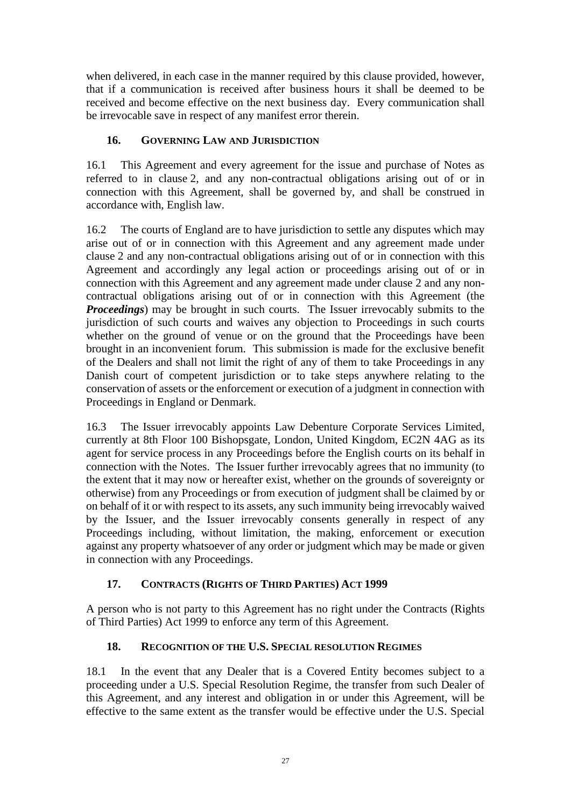when delivered, in each case in the manner required by this clause provided, however, that if a communication is received after business hours it shall be deemed to be received and become effective on the next business day. Every communication shall be irrevocable save in respect of any manifest error therein.

# **16. GOVERNING LAW AND JURISDICTION**

16.1 This Agreement and every agreement for the issue and purchase of Notes as referred to in clause [2,](#page-9-0) and any non-contractual obligations arising out of or in connection with this Agreement, shall be governed by, and shall be construed in accordance with, English law.

16.2 The courts of England are to have jurisdiction to settle any disputes which may arise out of or in connection with this Agreement and any agreement made under clause [2](#page-9-0) and any non-contractual obligations arising out of or in connection with this Agreement and accordingly any legal action or proceedings arising out of or in connection with this Agreement and any agreement made under clause [2](#page-9-0) and any noncontractual obligations arising out of or in connection with this Agreement (the *Proceedings*) may be brought in such courts. The Issuer irrevocably submits to the jurisdiction of such courts and waives any objection to Proceedings in such courts whether on the ground of venue or on the ground that the Proceedings have been brought in an inconvenient forum. This submission is made for the exclusive benefit of the Dealers and shall not limit the right of any of them to take Proceedings in any Danish court of competent jurisdiction or to take steps anywhere relating to the conservation of assets or the enforcement or execution of a judgment in connection with Proceedings in England or Denmark.

16.3 The Issuer irrevocably appoints Law Debenture Corporate Services Limited, currently at 8th Floor 100 Bishopsgate, London, United Kingdom, EC2N 4AG as its agent for service process in any Proceedings before the English courts on its behalf in connection with the Notes. The Issuer further irrevocably agrees that no immunity (to the extent that it may now or hereafter exist, whether on the grounds of sovereignty or otherwise) from any Proceedings or from execution of judgment shall be claimed by or on behalf of it or with respect to its assets, any such immunity being irrevocably waived by the Issuer, and the Issuer irrevocably consents generally in respect of any Proceedings including, without limitation, the making, enforcement or execution against any property whatsoever of any order or judgment which may be made or given in connection with any Proceedings.

# **17. CONTRACTS (RIGHTS OF THIRD PARTIES) ACT 1999**

A person who is not party to this Agreement has no right under the Contracts (Rights of Third Parties) Act 1999 to enforce any term of this Agreement.

# **18. RECOGNITION OF THE U.S. SPECIAL RESOLUTION REGIMES**

18.1 In the event that any Dealer that is a Covered Entity becomes subject to a proceeding under a U.S. Special Resolution Regime, the transfer from such Dealer of this Agreement, and any interest and obligation in or under this Agreement, will be effective to the same extent as the transfer would be effective under the U.S. Special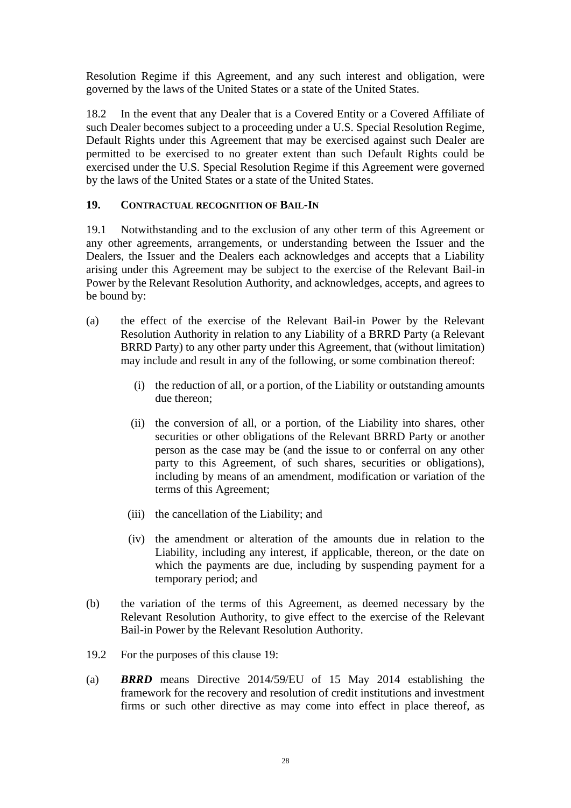Resolution Regime if this Agreement, and any such interest and obligation, were governed by the laws of the United States or a state of the United States.

18.2 In the event that any Dealer that is a Covered Entity or a Covered Affiliate of such Dealer becomes subject to a proceeding under a U.S. Special Resolution Regime, Default Rights under this Agreement that may be exercised against such Dealer are permitted to be exercised to no greater extent than such Default Rights could be exercised under the U.S. Special Resolution Regime if this Agreement were governed by the laws of the United States or a state of the United States.

#### **19. CONTRACTUAL RECOGNITION OF BAIL-IN**

19.1 Notwithstanding and to the exclusion of any other term of this Agreement or any other agreements, arrangements, or understanding between the Issuer and the Dealers, the Issuer and the Dealers each acknowledges and accepts that a Liability arising under this Agreement may be subject to the exercise of the Relevant Bail-in Power by the Relevant Resolution Authority, and acknowledges, accepts, and agrees to be bound by:

- (a) the effect of the exercise of the Relevant Bail-in Power by the Relevant Resolution Authority in relation to any Liability of a BRRD Party (a Relevant BRRD Party) to any other party under this Agreement, that (without limitation) may include and result in any of the following, or some combination thereof:
	- (i) the reduction of all, or a portion, of the Liability or outstanding amounts due thereon;
	- (ii) the conversion of all, or a portion, of the Liability into shares, other securities or other obligations of the Relevant BRRD Party or another person as the case may be (and the issue to or conferral on any other party to this Agreement, of such shares, securities or obligations), including by means of an amendment, modification or variation of the terms of this Agreement;
	- (iii) the cancellation of the Liability; and
	- (iv) the amendment or alteration of the amounts due in relation to the Liability, including any interest, if applicable, thereon, or the date on which the payments are due, including by suspending payment for a temporary period; and
- (b) the variation of the terms of this Agreement, as deemed necessary by the Relevant Resolution Authority, to give effect to the exercise of the Relevant Bail-in Power by the Relevant Resolution Authority.
- 19.2 For the purposes of this clause 19:
- (a) *BRRD* means Directive 2014/59/EU of 15 May 2014 establishing the framework for the recovery and resolution of credit institutions and investment firms or such other directive as may come into effect in place thereof, as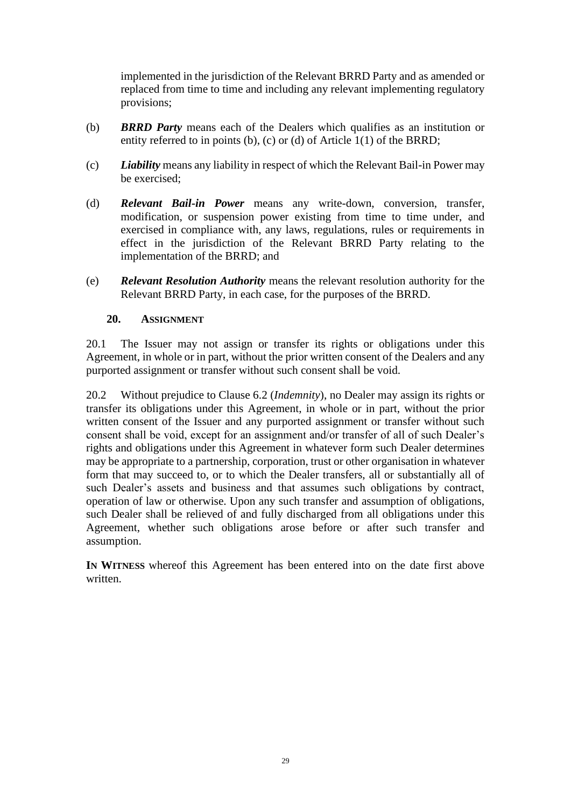implemented in the jurisdiction of the Relevant BRRD Party and as amended or replaced from time to time and including any relevant implementing regulatory provisions;

- (b) *BRRD Party* means each of the Dealers which qualifies as an institution or entity referred to in points (b), (c) or (d) of Article 1(1) of the BRRD;
- (c) *Liability* means any liability in respect of which the Relevant Bail-in Power may be exercised;
- (d) *Relevant Bail-in Power* means any write-down, conversion, transfer, modification, or suspension power existing from time to time under, and exercised in compliance with, any laws, regulations, rules or requirements in effect in the jurisdiction of the Relevant BRRD Party relating to the implementation of the BRRD; and
- (e) *Relevant Resolution Authority* means the relevant resolution authority for the Relevant BRRD Party, in each case, for the purposes of the BRRD.

#### **20. ASSIGNMENT**

20.1 The Issuer may not assign or transfer its rights or obligations under this Agreement, in whole or in part, without the prior written consent of the Dealers and any purported assignment or transfer without such consent shall be void.

20.2 Without prejudice to Clause [6.2](#page-22-2) (*Indemnity*), no Dealer may assign its rights or transfer its obligations under this Agreement, in whole or in part, without the prior written consent of the Issuer and any purported assignment or transfer without such consent shall be void, except for an assignment and/or transfer of all of such Dealer's rights and obligations under this Agreement in whatever form such Dealer determines may be appropriate to a partnership, corporation, trust or other organisation in whatever form that may succeed to, or to which the Dealer transfers, all or substantially all of such Dealer's assets and business and that assumes such obligations by contract, operation of law or otherwise. Upon any such transfer and assumption of obligations, such Dealer shall be relieved of and fully discharged from all obligations under this Agreement, whether such obligations arose before or after such transfer and assumption.

<span id="page-30-0"></span>**IN WITNESS** whereof this Agreement has been entered into on the date first above written.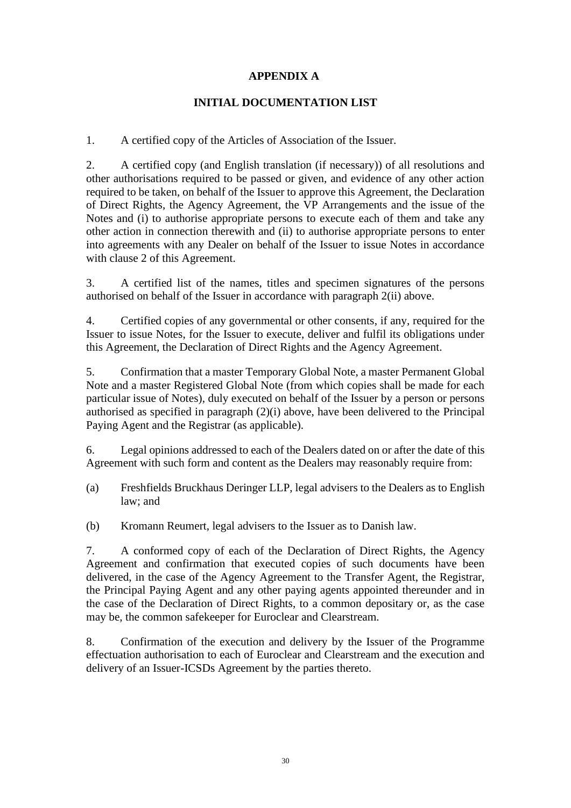## **APPENDIX A**

## **INITIAL DOCUMENTATION LIST**

1. A certified copy of the Articles of Association of the Issuer.

2. A certified copy (and English translation (if necessary)) of all resolutions and other authorisations required to be passed or given, and evidence of any other action required to be taken, on behalf of the Issuer to approve this Agreement, the Declaration of Direct Rights, the Agency Agreement, the VP Arrangements and the issue of the Notes and (i) to authorise appropriate persons to execute each of them and take any other action in connection therewith and (ii) to authorise appropriate persons to enter into agreements with any Dealer on behalf of the Issuer to issue Notes in accordance with clause [2](#page-9-0) of this Agreement.

3. A certified list of the names, titles and specimen signatures of the persons authorised on behalf of the Issuer in accordance with paragraph 2(ii) above.

4. Certified copies of any governmental or other consents, if any, required for the Issuer to issue Notes, for the Issuer to execute, deliver and fulfil its obligations under this Agreement, the Declaration of Direct Rights and the Agency Agreement.

5. Confirmation that a master Temporary Global Note, a master Permanent Global Note and a master Registered Global Note (from which copies shall be made for each particular issue of Notes), duly executed on behalf of the Issuer by a person or persons authorised as specified in paragraph (2)(i) above, have been delivered to the Principal Paying Agent and the Registrar (as applicable).

6. Legal opinions addressed to each of the Dealers dated on or after the date of this Agreement with such form and content as the Dealers may reasonably require from:

- (a) Freshfields Bruckhaus Deringer LLP, legal advisers to the Dealers as to English law; and
- (b) Kromann Reumert, legal advisers to the Issuer as to Danish law.

7. A conformed copy of each of the Declaration of Direct Rights, the Agency Agreement and confirmation that executed copies of such documents have been delivered, in the case of the Agency Agreement to the Transfer Agent, the Registrar, the Principal Paying Agent and any other paying agents appointed thereunder and in the case of the Declaration of Direct Rights, to a common depositary or, as the case may be, the common safekeeper for Euroclear and Clearstream.

8. Confirmation of the execution and delivery by the Issuer of the Programme effectuation authorisation to each of Euroclear and Clearstream and the execution and delivery of an Issuer-ICSDs Agreement by the parties thereto.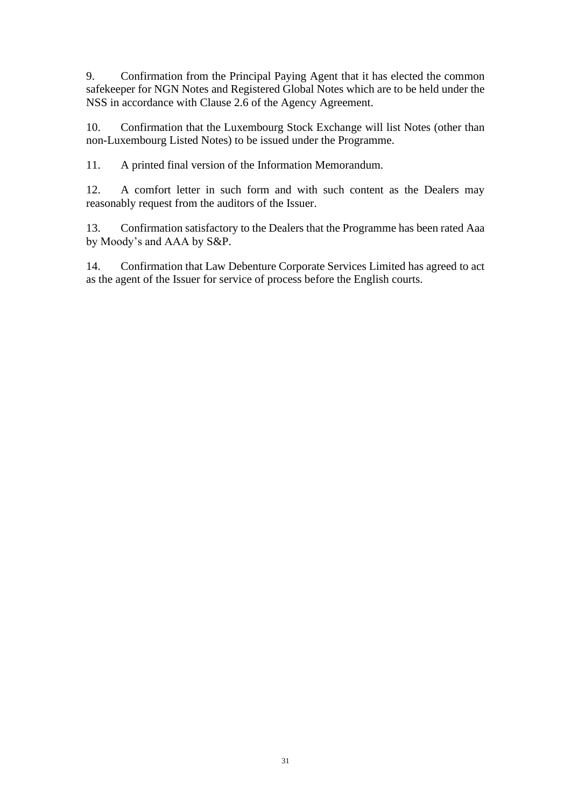9. Confirmation from the Principal Paying Agent that it has elected the common safekeeper for NGN Notes and Registered Global Notes which are to be held under the NSS in accordance with Clause 2.6 of the Agency Agreement.

10. Confirmation that the Luxembourg Stock Exchange will list Notes (other than non-Luxembourg Listed Notes) to be issued under the Programme.

11. A printed final version of the Information Memorandum.

12. A comfort letter in such form and with such content as the Dealers may reasonably request from the auditors of the Issuer.

13. Confirmation satisfactory to the Dealers that the Programme has been rated Aaa by Moody's and AAA by S&P.

14. Confirmation that Law Debenture Corporate Services Limited has agreed to act as the agent of the Issuer for service of process before the English courts.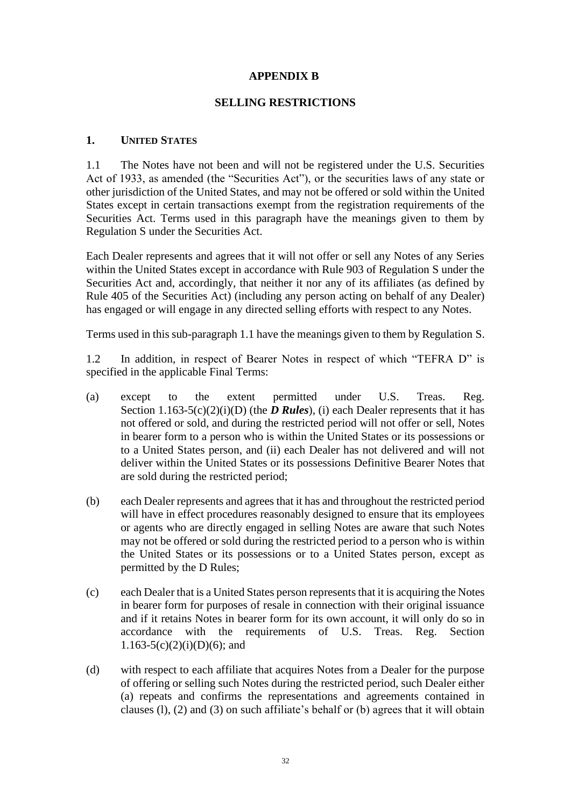#### **APPENDIX B**

#### **SELLING RESTRICTIONS**

#### <span id="page-33-0"></span>**1. UNITED STATES**

<span id="page-33-1"></span>1.1 The Notes have not been and will not be registered under the U.S. Securities Act of 1933, as amended (the "Securities Act"), or the securities laws of any state or other jurisdiction of the United States, and may not be offered or sold within the United States except in certain transactions exempt from the registration requirements of the Securities Act. Terms used in this paragraph have the meanings given to them by Regulation S under the Securities Act.

Each Dealer represents and agrees that it will not offer or sell any Notes of any Series within the United States except in accordance with Rule 903 of Regulation S under the Securities Act and, accordingly, that neither it nor any of its affiliates (as defined by Rule 405 of the Securities Act) (including any person acting on behalf of any Dealer) has engaged or will engage in any directed selling efforts with respect to any Notes.

Terms used in this sub-paragraph [1.1](#page-33-1) have the meanings given to them by Regulation S.

1.2 In addition, in respect of Bearer Notes in respect of which "TEFRA D" is specified in the applicable Final Terms:

- (a) except to the extent permitted under U.S. Treas. Reg. Section 1.163-5(c)(2)(i)(D) (the *D Rules*), (i) each Dealer represents that it has not offered or sold, and during the restricted period will not offer or sell, Notes in bearer form to a person who is within the United States or its possessions or to a United States person, and (ii) each Dealer has not delivered and will not deliver within the United States or its possessions Definitive Bearer Notes that are sold during the restricted period;
- (b) each Dealer represents and agrees that it has and throughout the restricted period will have in effect procedures reasonably designed to ensure that its employees or agents who are directly engaged in selling Notes are aware that such Notes may not be offered or sold during the restricted period to a person who is within the United States or its possessions or to a United States person, except as permitted by the D Rules;
- (c) each Dealer that is a United States person represents that it is acquiring the Notes in bearer form for purposes of resale in connection with their original issuance and if it retains Notes in bearer form for its own account, it will only do so in accordance with the requirements of U.S. Treas. Reg. Section  $1.163-5(c)(2)(i)(D)(6)$ ; and
- (d) with respect to each affiliate that acquires Notes from a Dealer for the purpose of offering or selling such Notes during the restricted period, such Dealer either (a) repeats and confirms the representations and agreements contained in clauses (l), (2) and (3) on such affiliate's behalf or (b) agrees that it will obtain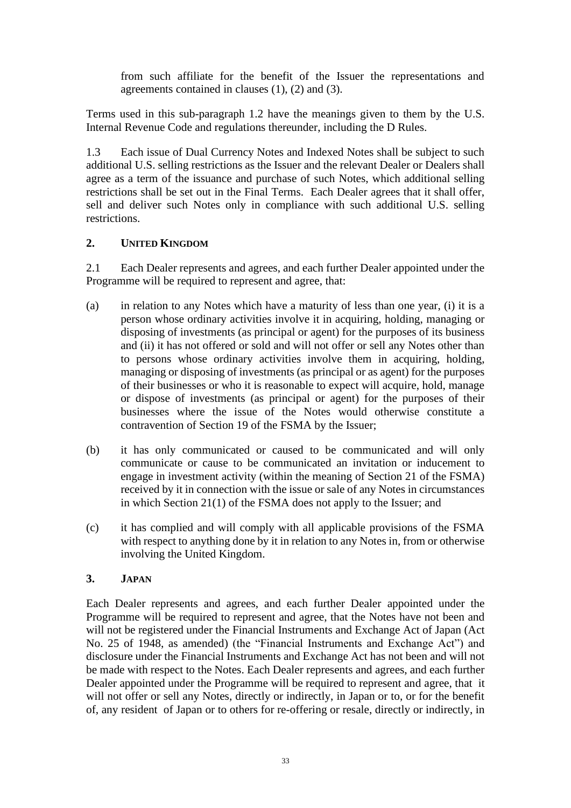from such affiliate for the benefit of the Issuer the representations and agreements contained in clauses (1), (2) and (3).

Terms used in this sub-paragraph 1.2 have the meanings given to them by the U.S. Internal Revenue Code and regulations thereunder, including the D Rules.

1.3 Each issue of Dual Currency Notes and Indexed Notes shall be subject to such additional U.S. selling restrictions as the Issuer and the relevant Dealer or Dealers shall agree as a term of the issuance and purchase of such Notes, which additional selling restrictions shall be set out in the Final Terms. Each Dealer agrees that it shall offer, sell and deliver such Notes only in compliance with such additional U.S. selling restrictions.

## **2. UNITED KINGDOM**

<span id="page-34-0"></span>2.1 Each Dealer represents and agrees, and each further Dealer appointed under the Programme will be required to represent and agree, that:

- (a) in relation to any Notes which have a maturity of less than one year, (i) it is a person whose ordinary activities involve it in acquiring, holding, managing or disposing of investments (as principal or agent) for the purposes of its business and (ii) it has not offered or sold and will not offer or sell any Notes other than to persons whose ordinary activities involve them in acquiring, holding, managing or disposing of investments (as principal or as agent) for the purposes of their businesses or who it is reasonable to expect will acquire, hold, manage or dispose of investments (as principal or agent) for the purposes of their businesses where the issue of the Notes would otherwise constitute a contravention of Section 19 of the FSMA by the Issuer;
- (b) it has only communicated or caused to be communicated and will only communicate or cause to be communicated an invitation or inducement to engage in investment activity (within the meaning of Section 21 of the FSMA) received by it in connection with the issue or sale of any Notes in circumstances in which Section 21(1) of the FSMA does not apply to the Issuer; and
- (c) it has complied and will comply with all applicable provisions of the FSMA with respect to anything done by it in relation to any Notes in, from or otherwise involving the United Kingdom.

## **3. JAPAN**

Each Dealer represents and agrees, and each further Dealer appointed under the Programme will be required to represent and agree, that the Notes have not been and will not be registered under the Financial Instruments and Exchange Act of Japan (Act No. 25 of 1948, as amended) (the "Financial Instruments and Exchange Act") and disclosure under the Financial Instruments and Exchange Act has not been and will not be made with respect to the Notes. Each Dealer represents and agrees, and each further Dealer appointed under the Programme will be required to represent and agree, that it will not offer or sell any Notes, directly or indirectly, in Japan or to, or for the benefit of, any resident of Japan or to others for re-offering or resale, directly or indirectly, in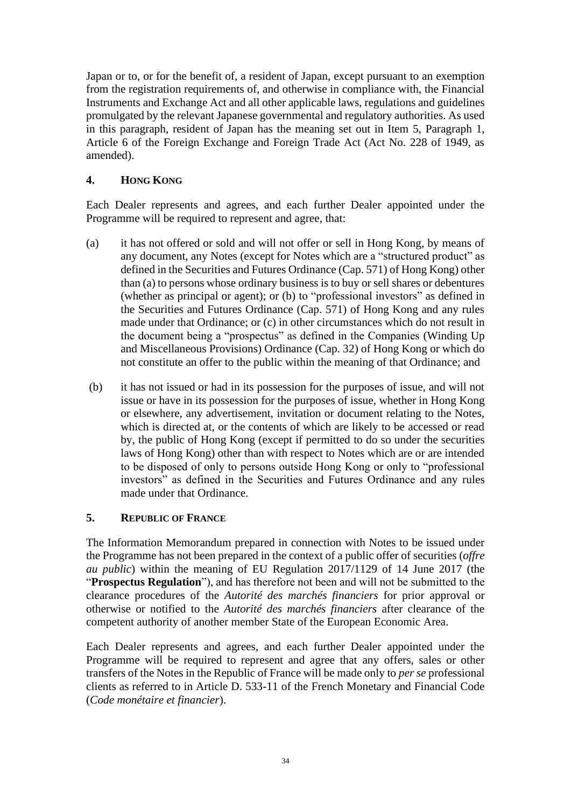Japan or to, or for the benefit of, a resident of Japan, except pursuant to an exemption from the registration requirements of, and otherwise in compliance with, the Financial Instruments and Exchange Act and all other applicable laws, regulations and guidelines promulgated by the relevant Japanese governmental and regulatory authorities. As used in this paragraph, resident of Japan has the meaning set out in Item 5, Paragraph 1, Article 6 of the Foreign Exchange and Foreign Trade Act (Act No. 228 of 1949, as amended).

# **4. HONG KONG**

Each Dealer represents and agrees, and each further Dealer appointed under the Programme will be required to represent and agree, that:

- (a) it has not offered or sold and will not offer or sell in Hong Kong, by means of any document, any Notes (except for Notes which are a "structured product" as defined in the Securities and Futures Ordinance (Cap. 571) of Hong Kong) other than (a) to persons whose ordinary business is to buy or sell shares or debentures (whether as principal or agent); or (b) to "professional investors" as defined in the Securities and Futures Ordinance (Cap. 571) of Hong Kong and any rules made under that Ordinance; or (c) in other circumstances which do not result in the document being a "prospectus" as defined in the Companies (Winding Up and Miscellaneous Provisions) Ordinance (Cap. 32) of Hong Kong or which do not constitute an offer to the public within the meaning of that Ordinance; and
- (b) it has not issued or had in its possession for the purposes of issue, and will not issue or have in its possession for the purposes of issue, whether in Hong Kong or elsewhere, any advertisement, invitation or document relating to the Notes, which is directed at, or the contents of which are likely to be accessed or read by, the public of Hong Kong (except if permitted to do so under the securities laws of Hong Kong) other than with respect to Notes which are or are intended to be disposed of only to persons outside Hong Kong or only to "professional investors" as defined in the Securities and Futures Ordinance and any rules made under that Ordinance.

## **5. REPUBLIC OF FRANCE**

The Information Memorandum prepared in connection with Notes to be issued under the Programme has not been prepared in the context of a public offer of securities (*offre au public*) within the meaning of EU Regulation 2017/1129 of 14 June 2017 (the "**Prospectus Regulation**"), and has therefore not been and will not be submitted to the clearance procedures of the *Autorité des marchés financiers* for prior approval or otherwise or notified to the *Autorité des marchés financiers* after clearance of the competent authority of another member State of the European Economic Area.

Each Dealer represents and agrees, and each further Dealer appointed under the Programme will be required to represent and agree that any offers, sales or other transfers of the Notes in the Republic of France will be made only to *per se* professional clients as referred to in Article D. 533-11 of the French Monetary and Financial Code (*Code monétaire et financier*).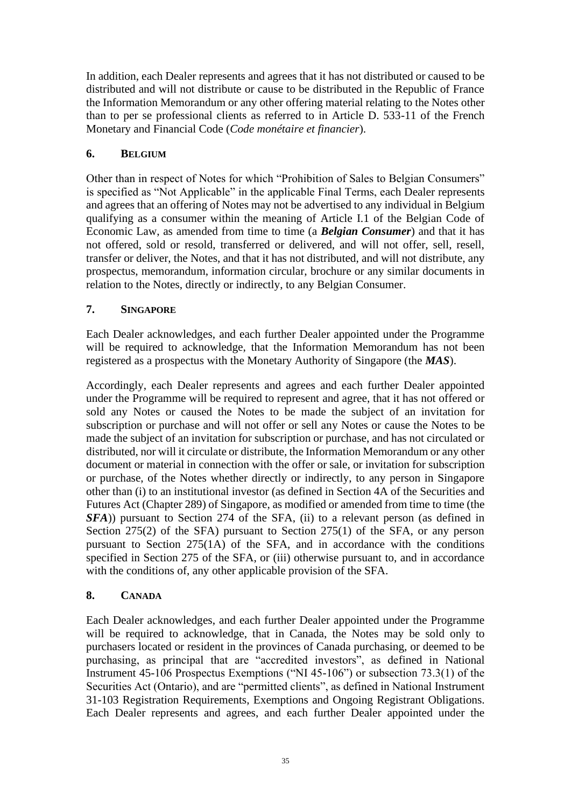In addition, each Dealer represents and agrees that it has not distributed or caused to be distributed and will not distribute or cause to be distributed in the Republic of France the Information Memorandum or any other offering material relating to the Notes other than to per se professional clients as referred to in Article D. 533-11 of the French Monetary and Financial Code (*Code monétaire et financier*).

# **6. BELGIUM**

Other than in respect of Notes for which "Prohibition of Sales to Belgian Consumers" is specified as "Not Applicable" in the applicable Final Terms, each Dealer represents and agrees that an offering of Notes may not be advertised to any individual in Belgium qualifying as a consumer within the meaning of Article I.1 of the Belgian Code of Economic Law, as amended from time to time (a *Belgian Consumer*) and that it has not offered, sold or resold, transferred or delivered, and will not offer, sell, resell, transfer or deliver, the Notes, and that it has not distributed, and will not distribute, any prospectus, memorandum, information circular, brochure or any similar documents in relation to the Notes, directly or indirectly, to any Belgian Consumer.

# **7. SINGAPORE**

Each Dealer acknowledges, and each further Dealer appointed under the Programme will be required to acknowledge, that the Information Memorandum has not been registered as a prospectus with the Monetary Authority of Singapore (the *MAS*).

Accordingly, each Dealer represents and agrees and each further Dealer appointed under the Programme will be required to represent and agree, that it has not offered or sold any Notes or caused the Notes to be made the subject of an invitation for subscription or purchase and will not offer or sell any Notes or cause the Notes to be made the subject of an invitation for subscription or purchase, and has not circulated or distributed, nor will it circulate or distribute, the Information Memorandum or any other document or material in connection with the offer or sale, or invitation for subscription or purchase, of the Notes whether directly or indirectly, to any person in Singapore other than (i) to an institutional investor (as defined in Section 4A of the Securities and Futures Act (Chapter 289) of Singapore, as modified or amended from time to time (the *SFA*)) pursuant to Section 274 of the SFA, (ii) to a relevant person (as defined in Section 275(2) of the SFA) pursuant to Section 275(1) of the SFA, or any person pursuant to Section 275(1A) of the SFA, and in accordance with the conditions specified in Section 275 of the SFA, or (iii) otherwise pursuant to, and in accordance with the conditions of, any other applicable provision of the SFA.

# **8. CANADA**

Each Dealer acknowledges, and each further Dealer appointed under the Programme will be required to acknowledge, that in Canada, the Notes may be sold only to purchasers located or resident in the provinces of Canada purchasing, or deemed to be purchasing, as principal that are "accredited investors", as defined in National Instrument 45-106 Prospectus Exemptions ("NI 45-106") or subsection 73.3(1) of the Securities Act (Ontario), and are "permitted clients", as defined in National Instrument 31-103 Registration Requirements, Exemptions and Ongoing Registrant Obligations. Each Dealer represents and agrees, and each further Dealer appointed under the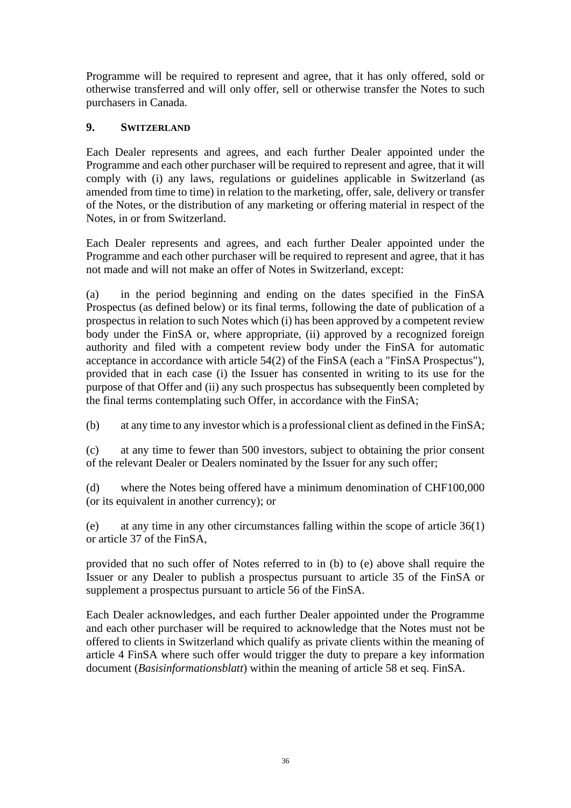Programme will be required to represent and agree, that it has only offered, sold or otherwise transferred and will only offer, sell or otherwise transfer the Notes to such purchasers in Canada.

# **9. SWITZERLAND**

Each Dealer represents and agrees, and each further Dealer appointed under the Programme and each other purchaser will be required to represent and agree, that it will comply with (i) any laws, regulations or guidelines applicable in Switzerland (as amended from time to time) in relation to the marketing, offer, sale, delivery or transfer of the Notes, or the distribution of any marketing or offering material in respect of the Notes, in or from Switzerland.

Each Dealer represents and agrees, and each further Dealer appointed under the Programme and each other purchaser will be required to represent and agree, that it has not made and will not make an offer of Notes in Switzerland, except:

(a) in the period beginning and ending on the dates specified in the FinSA Prospectus (as defined below) or its final terms, following the date of publication of a prospectus in relation to such Notes which (i) has been approved by a competent review body under the FinSA or, where appropriate, (ii) approved by a recognized foreign authority and filed with a competent review body under the FinSA for automatic acceptance in accordance with article 54(2) of the FinSA (each a "FinSA Prospectus"), provided that in each case (i) the Issuer has consented in writing to its use for the purpose of that Offer and (ii) any such prospectus has subsequently been completed by the final terms contemplating such Offer, in accordance with the FinSA;

(b) at any time to any investor which is a professional client as defined in the FinSA;

(c) at any time to fewer than 500 investors, subject to obtaining the prior consent of the relevant Dealer or Dealers nominated by the Issuer for any such offer;

(d) where the Notes being offered have a minimum denomination of CHF100,000 (or its equivalent in another currency); or

(e) at any time in any other circumstances falling within the scope of article 36(1) or article 37 of the FinSA,

provided that no such offer of Notes referred to in (b) to (e) above shall require the Issuer or any Dealer to publish a prospectus pursuant to article 35 of the FinSA or supplement a prospectus pursuant to article 56 of the FinSA.

Each Dealer acknowledges, and each further Dealer appointed under the Programme and each other purchaser will be required to acknowledge that the Notes must not be offered to clients in Switzerland which qualify as private clients within the meaning of article 4 FinSA where such offer would trigger the duty to prepare a key information document (*Basisinformationsblatt*) within the meaning of article 58 et seq. FinSA.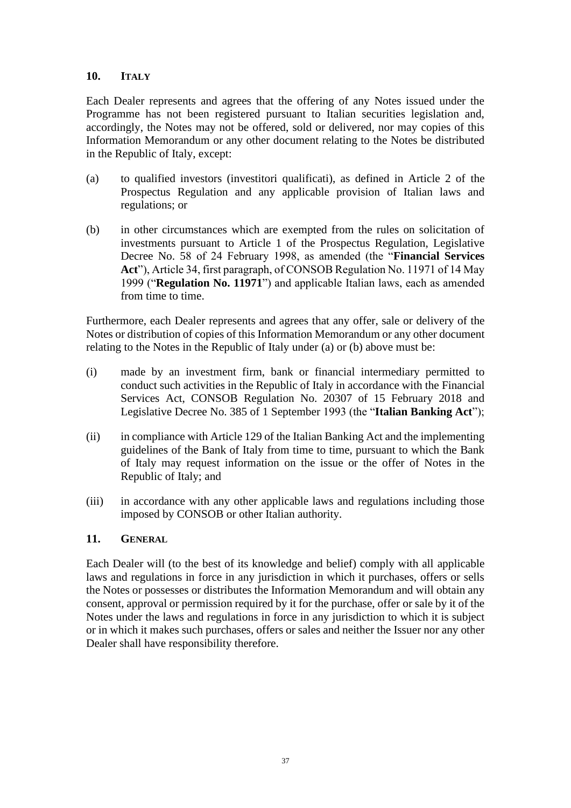## **10. ITALY**

Each Dealer represents and agrees that the offering of any Notes issued under the Programme has not been registered pursuant to Italian securities legislation and, accordingly, the Notes may not be offered, sold or delivered, nor may copies of this Information Memorandum or any other document relating to the Notes be distributed in the Republic of Italy, except:

- (a) to qualified investors (investitori qualificati), as defined in Article 2 of the Prospectus Regulation and any applicable provision of Italian laws and regulations; or
- (b) in other circumstances which are exempted from the rules on solicitation of investments pursuant to Article 1 of the Prospectus Regulation, Legislative Decree No. 58 of 24 February 1998, as amended (the "**Financial Services Act**"), Article 34, first paragraph, of CONSOB Regulation No. 11971 of 14 May 1999 ("**Regulation No. 11971**") and applicable Italian laws, each as amended from time to time.

Furthermore, each Dealer represents and agrees that any offer, sale or delivery of the Notes or distribution of copies of this Information Memorandum or any other document relating to the Notes in the Republic of Italy under (a) or (b) above must be:

- (i) made by an investment firm, bank or financial intermediary permitted to conduct such activities in the Republic of Italy in accordance with the Financial Services Act, CONSOB Regulation No. 20307 of 15 February 2018 and Legislative Decree No. 385 of 1 September 1993 (the "**Italian Banking Act**");
- (ii) in compliance with Article 129 of the Italian Banking Act and the implementing guidelines of the Bank of Italy from time to time, pursuant to which the Bank of Italy may request information on the issue or the offer of Notes in the Republic of Italy; and
- (iii) in accordance with any other applicable laws and regulations including those imposed by CONSOB or other Italian authority.

#### **11. GENERAL**

Each Dealer will (to the best of its knowledge and belief) comply with all applicable laws and regulations in force in any jurisdiction in which it purchases, offers or sells the Notes or possesses or distributes the Information Memorandum and will obtain any consent, approval or permission required by it for the purchase, offer or sale by it of the Notes under the laws and regulations in force in any jurisdiction to which it is subject or in which it makes such purchases, offers or sales and neither the Issuer nor any other Dealer shall have responsibility therefore.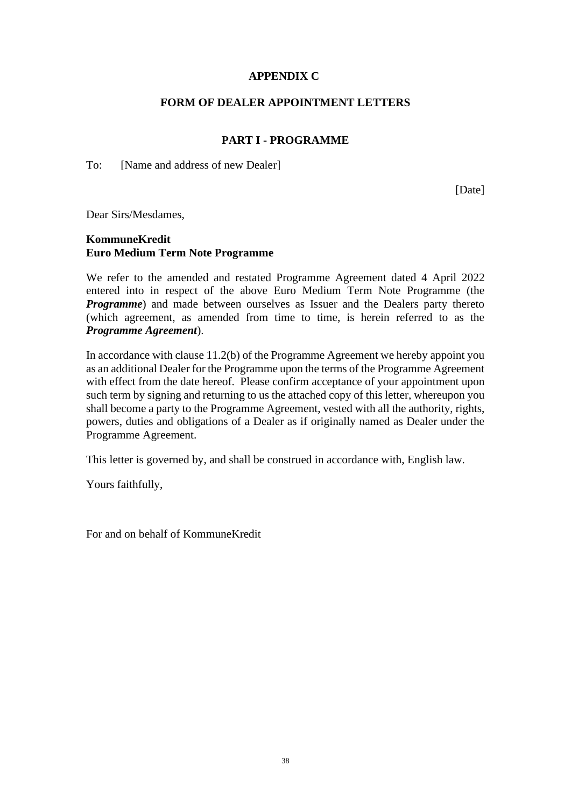## **APPENDIX C**

## **FORM OF DEALER APPOINTMENT LETTERS**

## **PART I - PROGRAMME**

To: [Name and address of new Dealer]

[Date]

Dear Sirs/Mesdames,

## **KommuneKredit Euro Medium Term Note Programme**

We refer to the amended and restated Programme Agreement dated 4 April 2022 entered into in respect of the above Euro Medium Term Note Programme (the *Programme*) and made between ourselves as Issuer and the Dealers party thereto (which agreement, as amended from time to time, is herein referred to as the *Programme Agreement*).

In accordance with clause 11.2(b) of the Programme Agreement we hereby appoint you as an additional Dealer for the Programme upon the terms of the Programme Agreement with effect from the date hereof. Please confirm acceptance of your appointment upon such term by signing and returning to us the attached copy of this letter, whereupon you shall become a party to the Programme Agreement, vested with all the authority, rights, powers, duties and obligations of a Dealer as if originally named as Dealer under the Programme Agreement.

This letter is governed by, and shall be construed in accordance with, English law.

Yours faithfully,

For and on behalf of KommuneKredit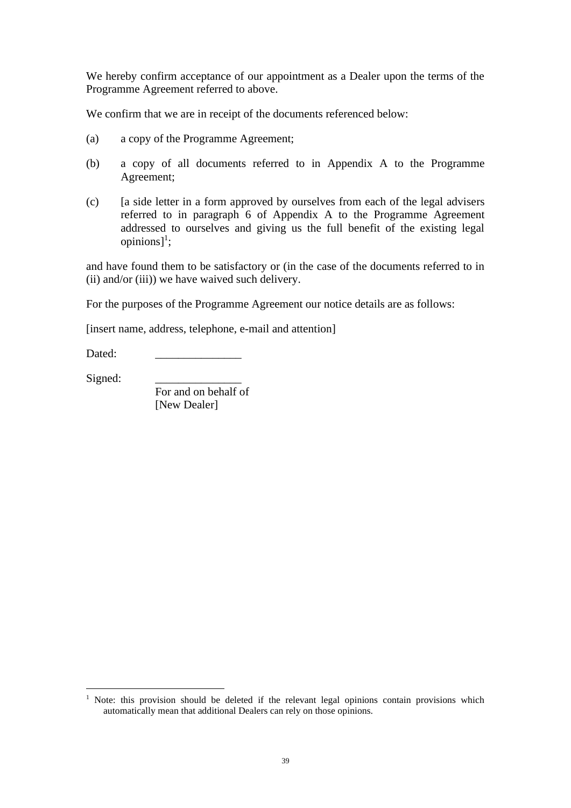We hereby confirm acceptance of our appointment as a Dealer upon the terms of the Programme Agreement referred to above.

We confirm that we are in receipt of the documents referenced below:

- (a) a copy of the Programme Agreement;
- (b) a copy of all documents referred to in Appendix A to the Programme Agreement;
- (c) [a side letter in a form approved by ourselves from each of the legal advisers referred to in paragraph 6 of Appendix A to the Programme Agreement addressed to ourselves and giving us the full benefit of the existing legal opinions] 1 ;

and have found them to be satisfactory or (in the case of the documents referred to in (ii) and/or (iii)) we have waived such delivery.

For the purposes of the Programme Agreement our notice details are as follows:

[insert name, address, telephone, e-mail and attention]

Dated:

Signed:

For and on behalf of [New Dealer]

<sup>&</sup>lt;sup>1</sup> Note: this provision should be deleted if the relevant legal opinions contain provisions which automatically mean that additional Dealers can rely on those opinions.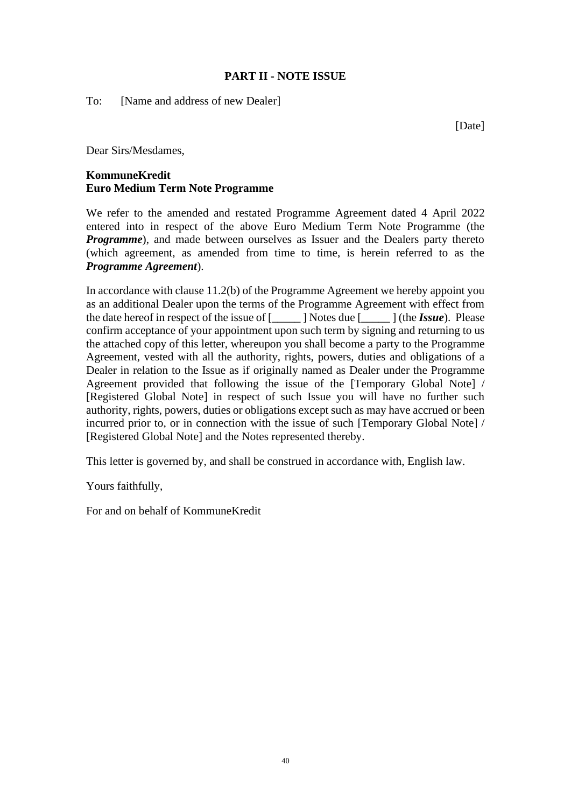## **PART II - NOTE ISSUE**

To: [Name and address of new Dealer]

[Date]

Dear Sirs/Mesdames,

# **KommuneKredit Euro Medium Term Note Programme**

We refer to the amended and restated Programme Agreement dated 4 April 2022 entered into in respect of the above Euro Medium Term Note Programme (the *Programme*), and made between ourselves as Issuer and the Dealers party thereto (which agreement, as amended from time to time, is herein referred to as the *Programme Agreement*).

In accordance with clause 11.2(b) of the Programme Agreement we hereby appoint you as an additional Dealer upon the terms of the Programme Agreement with effect from the date hereof in respect of the issue of [\_\_\_\_\_ ] Notes due [\_\_\_\_\_ ] (the *Issue*). Please confirm acceptance of your appointment upon such term by signing and returning to us the attached copy of this letter, whereupon you shall become a party to the Programme Agreement, vested with all the authority, rights, powers, duties and obligations of a Dealer in relation to the Issue as if originally named as Dealer under the Programme Agreement provided that following the issue of the [Temporary Global Note] / [Registered Global Note] in respect of such Issue you will have no further such authority, rights, powers, duties or obligations except such as may have accrued or been incurred prior to, or in connection with the issue of such [Temporary Global Note] / [Registered Global Note] and the Notes represented thereby.

This letter is governed by, and shall be construed in accordance with, English law.

Yours faithfully,

For and on behalf of KommuneKredit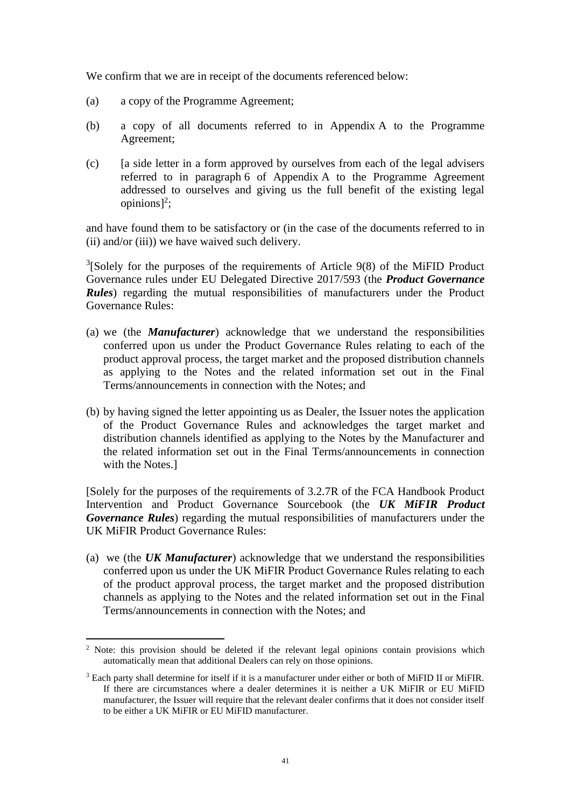We confirm that we are in receipt of the documents referenced below:

- (a) a copy of the Programme Agreement;
- (b) a copy of all documents referred to in Appendix A to the Programme Agreement;
- (c) [a side letter in a form approved by ourselves from each of the legal advisers referred to in paragraph 6 of Appendix A to the Programme Agreement addressed to ourselves and giving us the full benefit of the existing legal opinions] 2 ;

and have found them to be satisfactory or (in the case of the documents referred to in (ii) and/or (iii)) we have waived such delivery.

 $3$ [Solely for the purposes of the requirements of Article 9(8) of the MiFID Product Governance rules under EU Delegated Directive 2017/593 (the *Product Governance Rules*) regarding the mutual responsibilities of manufacturers under the Product Governance Rules:

- (a) we (the *Manufacturer*) acknowledge that we understand the responsibilities conferred upon us under the Product Governance Rules relating to each of the product approval process, the target market and the proposed distribution channels as applying to the Notes and the related information set out in the Final Terms/announcements in connection with the Notes; and
- (b) by having signed the letter appointing us as Dealer, the Issuer notes the application of the Product Governance Rules and acknowledges the target market and distribution channels identified as applying to the Notes by the Manufacturer and the related information set out in the Final Terms/announcements in connection with the Notes.]

[Solely for the purposes of the requirements of 3.2.7R of the FCA Handbook Product Intervention and Product Governance Sourcebook (the *UK MiFIR Product Governance Rules*) regarding the mutual responsibilities of manufacturers under the UK MiFIR Product Governance Rules:

(a) we (the *UK Manufacturer*) acknowledge that we understand the responsibilities conferred upon us under the UK MiFIR Product Governance Rules relating to each of the product approval process, the target market and the proposed distribution channels as applying to the Notes and the related information set out in the Final Terms/announcements in connection with the Notes; and

<sup>&</sup>lt;sup>2</sup> Note: this provision should be deleted if the relevant legal opinions contain provisions which automatically mean that additional Dealers can rely on those opinions.

<sup>&</sup>lt;sup>3</sup> Each party shall determine for itself if it is a manufacturer under either or both of MiFID II or MiFIR. If there are circumstances where a dealer determines it is neither a UK MiFIR or EU MiFID manufacturer, the Issuer will require that the relevant dealer confirms that it does not consider itself to be either a UK MiFIR or EU MiFID manufacturer.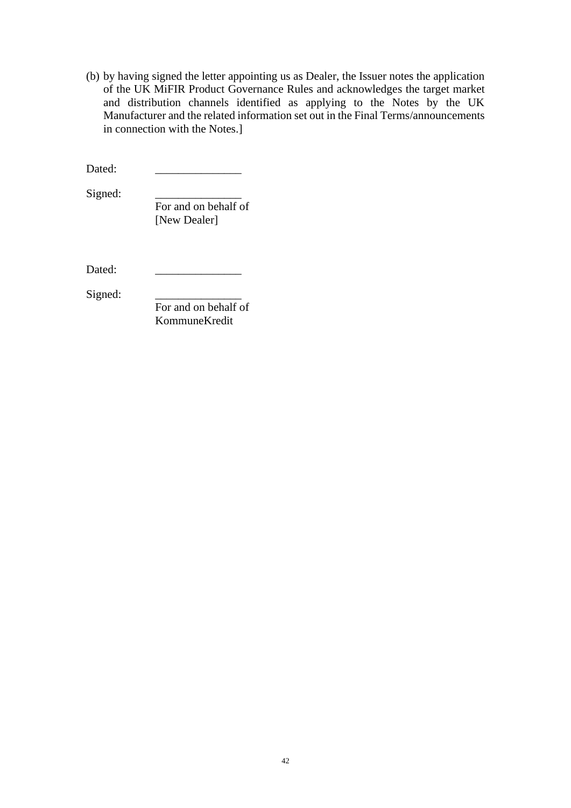(b) by having signed the letter appointing us as Dealer, the Issuer notes the application of the UK MiFIR Product Governance Rules and acknowledges the target market and distribution channels identified as applying to the Notes by the UK Manufacturer and the related information set out in the Final Terms/announcements in connection with the Notes.]

Dated:

Signed:

For and on behalf of [New Dealer]

Dated:

Signed:

For and on behalf of KommuneKredit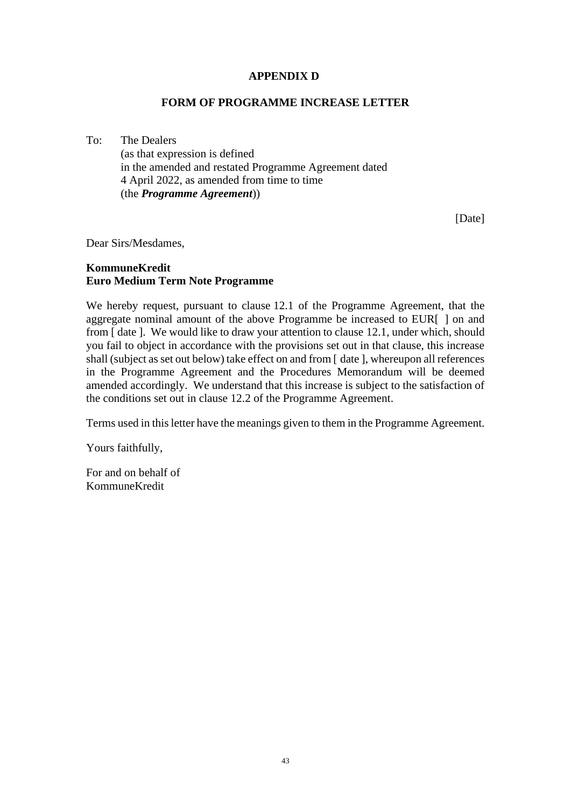#### **APPENDIX D**

#### **FORM OF PROGRAMME INCREASE LETTER**

To: The Dealers (as that expression is defined in the amended and restated Programme Agreement dated 4 April 2022, as amended from time to time (the *Programme Agreement*))

[Date]

Dear Sirs/Mesdames,

# **KommuneKredit Euro Medium Term Note Programme**

We hereby request, pursuant to clause 12.1 of the Programme Agreement, that the aggregate nominal amount of the above Programme be increased to EUR[ ] on and from [ date ]. We would like to draw your attention to clause [12.1,](#page-26-0) under which, should you fail to object in accordance with the provisions set out in that clause, this increase shall (subject as set out below) take effect on and from [ date ], whereupon all references in the Programme Agreement and the Procedures Memorandum will be deemed amended accordingly. We understand that this increase is subject to the satisfaction of the conditions set out in clause 12.2 of the Programme Agreement.

Terms used in this letter have the meanings given to them in the Programme Agreement.

Yours faithfully,

For and on behalf of KommuneKredit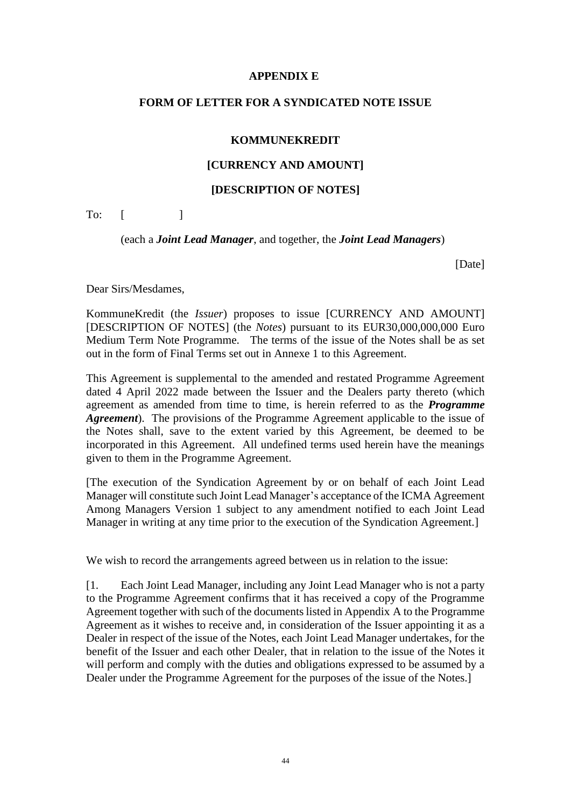#### **APPENDIX E**

#### **FORM OF LETTER FOR A SYNDICATED NOTE ISSUE**

#### **KOMMUNEKREDIT**

#### **[CURRENCY AND AMOUNT]**

#### **[DESCRIPTION OF NOTES]**

 $To:$   $\lceil$   $\rceil$ 

(each a *Joint Lead Manager*, and together, the *Joint Lead Managers*)

[Date]

Dear Sirs/Mesdames,

KommuneKredit (the *Issuer*) proposes to issue [CURRENCY AND AMOUNT] [DESCRIPTION OF NOTES] (the *Notes*) pursuant to its EUR30,000,000,000 Euro Medium Term Note Programme. The terms of the issue of the Notes shall be as set out in the form of Final Terms set out in Annexe 1 to this Agreement.

This Agreement is supplemental to the amended and restated Programme Agreement dated 4 April 2022 made between the Issuer and the Dealers party thereto (which agreement as amended from time to time, is herein referred to as the *Programme Agreement*). The provisions of the Programme Agreement applicable to the issue of the Notes shall, save to the extent varied by this Agreement, be deemed to be incorporated in this Agreement. All undefined terms used herein have the meanings given to them in the Programme Agreement.

[The execution of the Syndication Agreement by or on behalf of each Joint Lead Manager will constitute such Joint Lead Manager's acceptance of the ICMA Agreement Among Managers Version 1 subject to any amendment notified to each Joint Lead Manager in writing at any time prior to the execution of the Syndication Agreement.]

We wish to record the arrangements agreed between us in relation to the issue:

[1. Each Joint Lead Manager, including any Joint Lead Manager who is not a party to the Programme Agreement confirms that it has received a copy of the Programme Agreement together with such of the documents listed in Appendix A to the Programme Agreement as it wishes to receive and, in consideration of the Issuer appointing it as a Dealer in respect of the issue of the Notes, each Joint Lead Manager undertakes, for the benefit of the Issuer and each other Dealer, that in relation to the issue of the Notes it will perform and comply with the duties and obligations expressed to be assumed by a Dealer under the Programme Agreement for the purposes of the issue of the Notes.]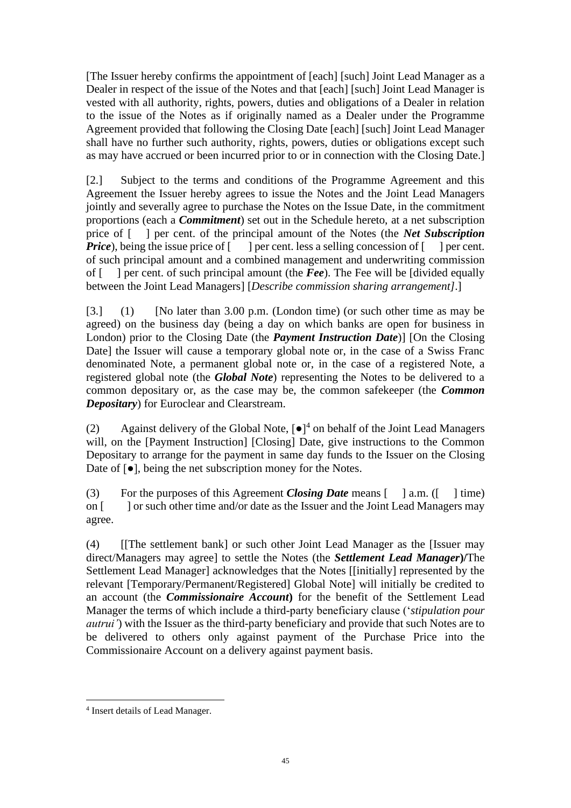[The Issuer hereby confirms the appointment of [each] [such] Joint Lead Manager as a Dealer in respect of the issue of the Notes and that [each] [such] Joint Lead Manager is vested with all authority, rights, powers, duties and obligations of a Dealer in relation to the issue of the Notes as if originally named as a Dealer under the Programme Agreement provided that following the Closing Date [each] [such] Joint Lead Manager shall have no further such authority, rights, powers, duties or obligations except such as may have accrued or been incurred prior to or in connection with the Closing Date.]

[2.] Subject to the terms and conditions of the Programme Agreement and this Agreement the Issuer hereby agrees to issue the Notes and the Joint Lead Managers jointly and severally agree to purchase the Notes on the Issue Date, in the commitment proportions (each a *Commitment*) set out in the Schedule hereto, at a net subscription price of [ ] per cent. of the principal amount of the Notes (the *Net Subscription Price*), being the issue price of  $\lceil \cdot \rceil$  per cent. less a selling concession of  $\lceil \cdot \rceil$  per cent. of such principal amount and a combined management and underwriting commission of [ ] per cent. of such principal amount (the *Fee*). The Fee will be [divided equally between the Joint Lead Managers] [*Describe commission sharing arrangement]*.]

[3.] (1) [No later than 3.00 p.m. (London time) (or such other time as may be agreed) on the business day (being a day on which banks are open for business in London) prior to the Closing Date (the *Payment Instruction Date*)] [On the Closing Date] the Issuer will cause a temporary global note or, in the case of a Swiss Franc denominated Note, a permanent global note or, in the case of a registered Note, a registered global note (the *Global Note*) representing the Notes to be delivered to a common depositary or, as the case may be, the common safekeeper (the *Common Depositary*) for Euroclear and Clearstream.

(2) Against delivery of the Global Note,  $\lceil \bullet \rceil^4$  on behalf of the Joint Lead Managers will, on the [Payment Instruction] [Closing] Date, give instructions to the Common Depositary to arrange for the payment in same day funds to the Issuer on the Closing Date of [●], being the net subscription money for the Notes.

(3) For the purposes of this Agreement *Closing Date* means [ ] a.m. ([ ] time) on [ ] or such other time and/or date as the Issuer and the Joint Lead Managers may agree.

(4) [[The settlement bank] or such other Joint Lead Manager as the [Issuer may direct/Managers may agree] to settle the Notes (the *Settlement Lead Manager***)/**The Settlement Lead Manager] acknowledges that the Notes [[initially] represented by the relevant [Temporary/Permanent/Registered] Global Note] will initially be credited to an account (the *Commissionaire Account***)** for the benefit of the Settlement Lead Manager the terms of which include a third-party beneficiary clause ('*stipulation pour autrui'*) with the Issuer as the third-party beneficiary and provide that such Notes are to be delivered to others only against payment of the Purchase Price into the Commissionaire Account on a delivery against payment basis.

<sup>4</sup> Insert details of Lead Manager.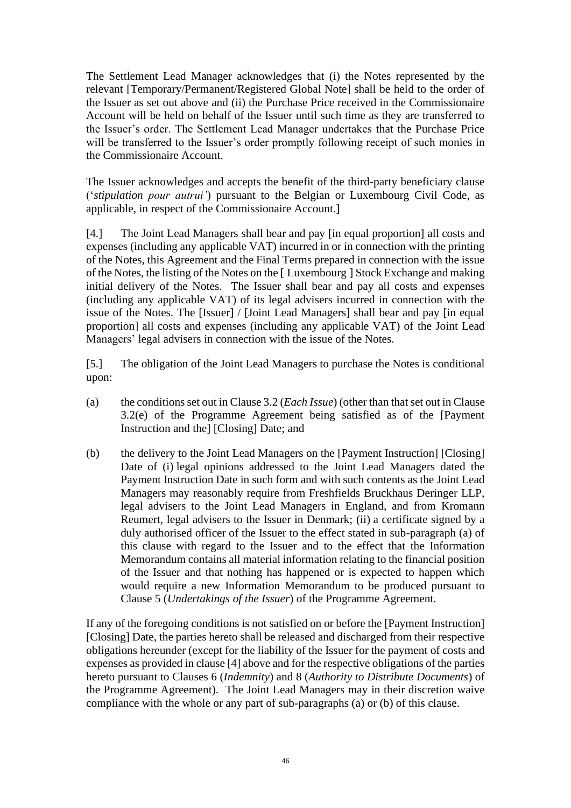The Settlement Lead Manager acknowledges that (i) the Notes represented by the relevant [Temporary/Permanent/Registered Global Note] shall be held to the order of the Issuer as set out above and (ii) the Purchase Price received in the Commissionaire Account will be held on behalf of the Issuer until such time as they are transferred to the Issuer's order. The Settlement Lead Manager undertakes that the Purchase Price will be transferred to the Issuer's order promptly following receipt of such monies in the Commissionaire Account.

The Issuer acknowledges and accepts the benefit of the third-party beneficiary clause ('*stipulation pour autrui'*) pursuant to the Belgian or Luxembourg Civil Code, as applicable, in respect of the Commissionaire Account.]

[4.] The Joint Lead Managers shall bear and pay [in equal proportion] all costs and expenses (including any applicable VAT) incurred in or in connection with the printing of the Notes, this Agreement and the Final Terms prepared in connection with the issue of the Notes, the listing of the Notes on the [ Luxembourg ] Stock Exchange and making initial delivery of the Notes. The Issuer shall bear and pay all costs and expenses (including any applicable VAT) of its legal advisers incurred in connection with the issue of the Notes. The [Issuer] / [Joint Lead Managers] shall bear and pay [in equal proportion] all costs and expenses (including any applicable VAT) of the Joint Lead Managers' legal advisers in connection with the issue of the Notes.

[5.] The obligation of the Joint Lead Managers to purchase the Notes is conditional upon:

- (a) the conditions set out in Clause [3.2](#page-11-0) (*Each Issue*) (other than that set out in Clause [3.2\(e\)](#page-12-0) of the Programme Agreement being satisfied as of the [Payment Instruction and the] [Closing] Date; and
- (b) the delivery to the Joint Lead Managers on the [Payment Instruction] [Closing] Date of (i) legal opinions addressed to the Joint Lead Managers dated the Payment Instruction Date in such form and with such contents as the Joint Lead Managers may reasonably require from Freshfields Bruckhaus Deringer LLP, legal advisers to the Joint Lead Managers in England, and from Kromann Reumert, legal advisers to the Issuer in Denmark; (ii) a certificate signed by a duly authorised officer of the Issuer to the effect stated in sub-paragraph (a) of this clause with regard to the Issuer and to the effect that the Information Memorandum contains all material information relating to the financial position of the Issuer and that nothing has happened or is expected to happen which would require a new Information Memorandum to be produced pursuant to Clause 5 (*Undertakings of the Issuer*) of the Programme Agreement.

If any of the foregoing conditions is not satisfied on or before the [Payment Instruction] [Closing] Date, the parties hereto shall be released and discharged from their respective obligations hereunder (except for the liability of the Issuer for the payment of costs and expenses as provided in clause [4] above and for the respective obligations of the parties hereto pursuant to Clauses 6 (*Indemnity*) and 8 (*Authority to Distribute Documents*) of the Programme Agreement). The Joint Lead Managers may in their discretion waive compliance with the whole or any part of sub-paragraphs (a) or (b) of this clause.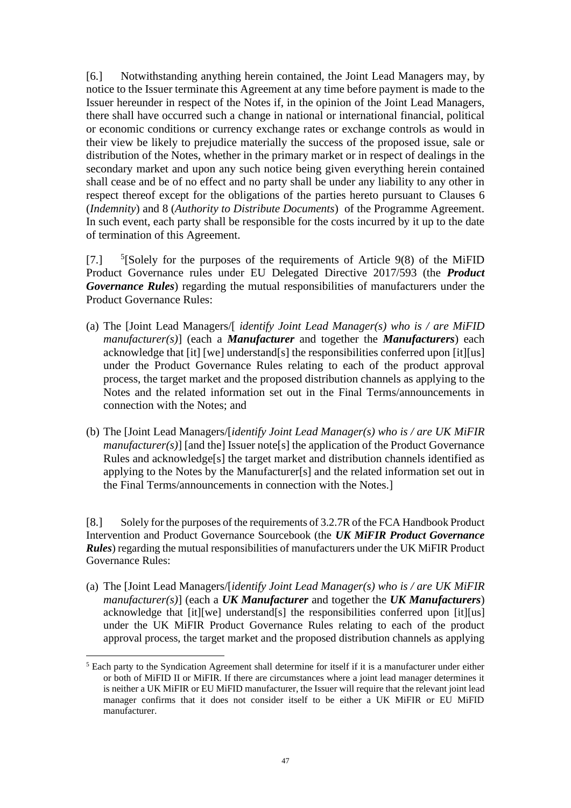[6.] Notwithstanding anything herein contained, the Joint Lead Managers may, by notice to the Issuer terminate this Agreement at any time before payment is made to the Issuer hereunder in respect of the Notes if, in the opinion of the Joint Lead Managers, there shall have occurred such a change in national or international financial, political or economic conditions or currency exchange rates or exchange controls as would in their view be likely to prejudice materially the success of the proposed issue, sale or distribution of the Notes, whether in the primary market or in respect of dealings in the secondary market and upon any such notice being given everything herein contained shall cease and be of no effect and no party shall be under any liability to any other in respect thereof except for the obligations of the parties hereto pursuant to Clauses 6 (*Indemnity*) and 8 (*Authority to Distribute Documents*) of the Programme Agreement. In such event, each party shall be responsible for the costs incurred by it up to the date of termination of this Agreement.

 $[7.]$  $<sup>5</sup>[Solely for the purposes of the requirements of Article 9(8) of the MiFD]$ </sup> Product Governance rules under EU Delegated Directive 2017/593 (the *Product Governance Rules*) regarding the mutual responsibilities of manufacturers under the Product Governance Rules:

- (a) The [Joint Lead Managers/[ *identify Joint Lead Manager(s) who is / are MiFID manufacturer(s)*] (each a *Manufacturer* and together the *Manufacturers*) each acknowledge that [it] [we] understand[s] the responsibilities conferred upon [it][us] under the Product Governance Rules relating to each of the product approval process, the target market and the proposed distribution channels as applying to the Notes and the related information set out in the Final Terms/announcements in connection with the Notes; and
- (b) The [Joint Lead Managers/[*identify Joint Lead Manager(s) who is / are UK MiFIR manufacturer(s)*] [and the] Issuer note<sup>[s]</sup> the application of the Product Governance Rules and acknowledge[s] the target market and distribution channels identified as applying to the Notes by the Manufacturer[s] and the related information set out in the Final Terms/announcements in connection with the Notes.]

[8.] Solely for the purposes of the requirements of 3.2.7R of the FCA Handbook Product Intervention and Product Governance Sourcebook (the *UK MiFIR Product Governance Rules*) regarding the mutual responsibilities of manufacturers under the UK MiFIR Product Governance Rules:

(a) The [Joint Lead Managers/[*identify Joint Lead Manager(s) who is / are UK MiFIR manufacturer(s)*] (each a *UK Manufacturer* and together the *UK Manufacturers*) acknowledge that [it][we] understand[s] the responsibilities conferred upon [it][us] under the UK MiFIR Product Governance Rules relating to each of the product approval process, the target market and the proposed distribution channels as applying

<sup>&</sup>lt;sup>5</sup> Each party to the Syndication Agreement shall determine for itself if it is a manufacturer under either or both of MiFID II or MiFIR. If there are circumstances where a joint lead manager determines it is neither a UK MiFIR or EU MiFID manufacturer, the Issuer will require that the relevant joint lead manager confirms that it does not consider itself to be either a UK MiFIR or EU MiFID manufacturer.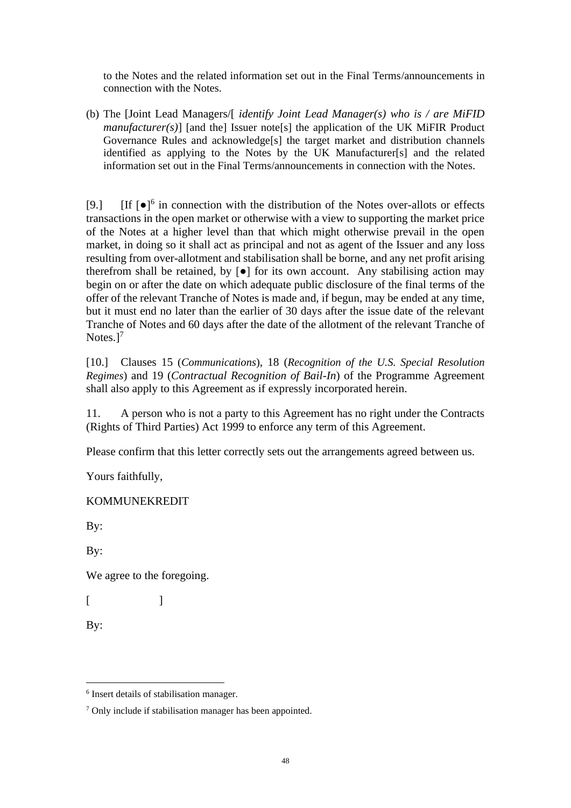to the Notes and the related information set out in the Final Terms/announcements in connection with the Notes.

(b) The [Joint Lead Managers/[ *identify Joint Lead Manager(s) who is / are MiFID manufacturer(s)*] [and the] Issuer note[s] the application of the UK MiFIR Product Governance Rules and acknowledge[s] the target market and distribution channels identified as applying to the Notes by the UK Manufacturer[s] and the related information set out in the Final Terms/announcements in connection with the Notes.

[9.] [If  $\left[\bullet\right]^6$  in connection with the distribution of the Notes over-allots or effects transactions in the open market or otherwise with a view to supporting the market price of the Notes at a higher level than that which might otherwise prevail in the open market, in doing so it shall act as principal and not as agent of the Issuer and any loss resulting from over-allotment and stabilisation shall be borne, and any net profit arising therefrom shall be retained, by  $\lceil \bullet \rceil$  for its own account. Any stabilising action may begin on or after the date on which adequate public disclosure of the final terms of the offer of the relevant Tranche of Notes is made and, if begun, may be ended at any time, but it must end no later than the earlier of 30 days after the issue date of the relevant Tranche of Notes and 60 days after the date of the allotment of the relevant Tranche of Notes.]<sup>7</sup>

[10.] Clauses [15](#page-27-0) (*Communications*), [18](#page-28-0) (*Recognition of the U.S. Special Resolution Regimes*) and [19](#page-29-0) (*Contractual Recognition of Bail-In*) of the Programme Agreement shall also apply to this Agreement as if expressly incorporated herein.

11. A person who is not a party to this Agreement has no right under the Contracts (Rights of Third Parties) Act 1999 to enforce any term of this Agreement.

Please confirm that this letter correctly sets out the arrangements agreed between us.

Yours faithfully,

KOMMUNEKREDIT

By:

By:

We agree to the foregoing.

 $[$   $]$ 

By:

<sup>6</sup> Insert details of stabilisation manager.

<sup>&</sup>lt;sup>7</sup> Only include if stabilisation manager has been appointed.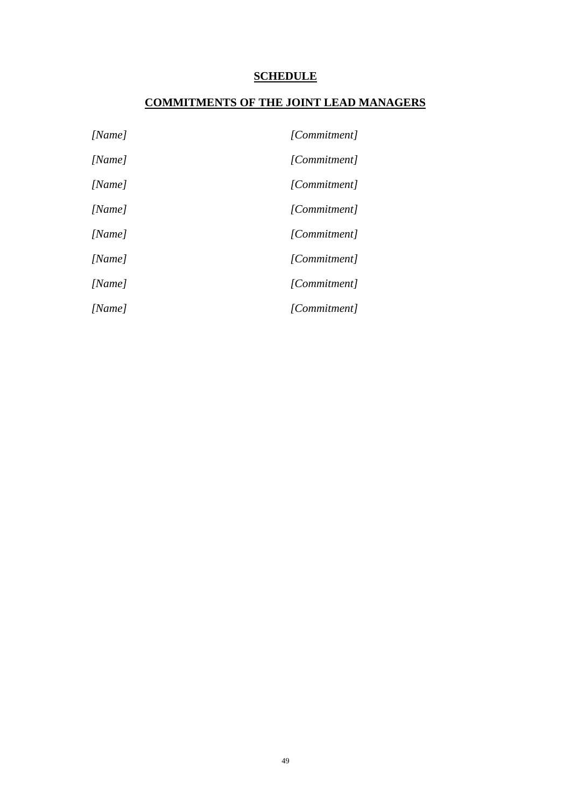# **SCHEDULE**

# **COMMITMENTS OF THE JOINT LEAD MANAGERS**

| [Name] | [Commitment] |
|--------|--------------|
| [Name] | [Commitment] |
| [Name] | [Commitment] |
| [Name] | [Commitment] |
| [Name] | [Commitment] |
| [Name] | [Commitment] |
| [Name] | [Commitment] |
| [Name] | [Commitment] |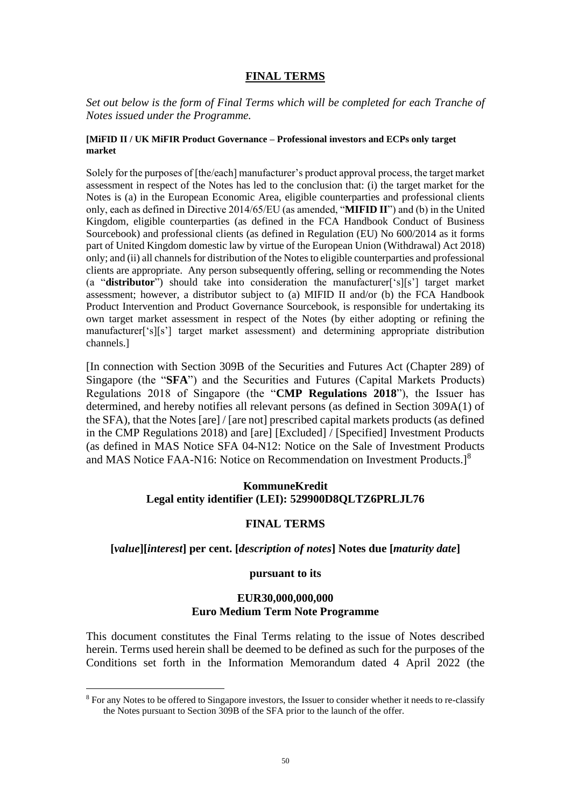#### **FINAL TERMS**

*Set out below is the form of Final Terms which will be completed for each Tranche of Notes issued under the Programme.*

#### **[MiFID II / UK MiFIR Product Governance – Professional investors and ECPs only target market**

Solely for the purposes of [the/each] manufacturer's product approval process, the target market assessment in respect of the Notes has led to the conclusion that: (i) the target market for the Notes is (a) in the European Economic Area, eligible counterparties and professional clients only, each as defined in Directive 2014/65/EU (as amended, "**MIFID II**") and (b) in the United Kingdom, eligible counterparties (as defined in the FCA Handbook Conduct of Business Sourcebook) and professional clients (as defined in Regulation (EU) No 600/2014 as it forms part of United Kingdom domestic law by virtue of the European Union (Withdrawal) Act 2018) only; and (ii) all channels for distribution of the Notes to eligible counterparties and professional clients are appropriate. Any person subsequently offering, selling or recommending the Notes (a "**distributor**") should take into consideration the manufacturer['s][s'] target market assessment; however, a distributor subject to (a) MIFID II and/or (b) the FCA Handbook Product Intervention and Product Governance Sourcebook, is responsible for undertaking its own target market assessment in respect of the Notes (by either adopting or refining the manufacturer['s][s'] target market assessment) and determining appropriate distribution channels.]

[In connection with Section 309B of the Securities and Futures Act (Chapter 289) of Singapore (the "**SFA**") and the Securities and Futures (Capital Markets Products) Regulations 2018 of Singapore (the "**CMP Regulations 2018**"), the Issuer has determined, and hereby notifies all relevant persons (as defined in Section 309A(1) of the SFA), that the Notes [are] / [are not] prescribed capital markets products (as defined in the CMP Regulations 2018) and [are] [Excluded] / [Specified] Investment Products (as defined in MAS Notice SFA 04-N12: Notice on the Sale of Investment Products and MAS Notice FAA-N16: Notice on Recommendation on Investment Products.]<sup>8</sup>

#### **KommuneKredit Legal entity identifier (LEI): 529900D8QLTZ6PRLJL76**

#### **FINAL TERMS**

#### **[***value***][***interest***] per cent. [***description of notes***] Notes due [***maturity date***]**

#### **pursuant to its**

#### **EUR30,000,000,000 Euro Medium Term Note Programme**

This document constitutes the Final Terms relating to the issue of Notes described herein. Terms used herein shall be deemed to be defined as such for the purposes of the Conditions set forth in the Information Memorandum dated 4 April 2022 (the

<sup>8</sup> For any Notes to be offered to Singapore investors, the Issuer to consider whether it needs to re-classify the Notes pursuant to Section 309B of the SFA prior to the launch of the offer.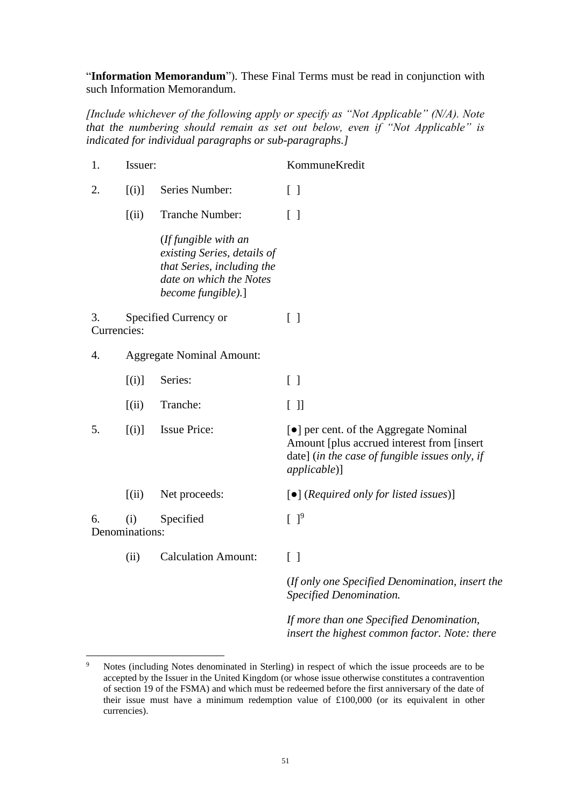"**Information Memorandum**"). These Final Terms must be read in conjunction with such Information Memorandum.

*[Include whichever of the following apply or specify as "Not Applicable" (N/A). Note that the numbering should remain as set out below, even if "Not Applicable" is indicated for individual paragraphs or sub-paragraphs.]*

| 1. | Issuer:               |                                                                                                                                    | KommuneKredit                                                                                                                                                 |  |
|----|-----------------------|------------------------------------------------------------------------------------------------------------------------------------|---------------------------------------------------------------------------------------------------------------------------------------------------------------|--|
| 2. | [(i)]                 | Series Number:                                                                                                                     | $\lceil \rceil$                                                                                                                                               |  |
|    | (iii)                 | Tranche Number:                                                                                                                    | $\lceil$ $\rceil$                                                                                                                                             |  |
|    |                       | (If fungible with an<br>existing Series, details of<br>that Series, including the<br>date on which the Notes<br>become fungible).] |                                                                                                                                                               |  |
| 3. | Currencies:           | Specified Currency or                                                                                                              | $\left[\begin{array}{c}1\end{array}\right]$                                                                                                                   |  |
| 4. |                       | <b>Aggregate Nominal Amount:</b>                                                                                                   |                                                                                                                                                               |  |
|    | [(i)]                 | Series:                                                                                                                            | $\begin{bmatrix} \end{bmatrix}$                                                                                                                               |  |
|    | (iii)                 | Tranche:                                                                                                                           | $[$ $]$                                                                                                                                                       |  |
| 5. | [(i)]                 | <b>Issue Price:</b>                                                                                                                | • per cent. of the Aggregate Nominal<br>Amount [plus accrued interest from [insert]<br>date] (in the case of fungible issues only, if<br><i>applicable</i> )] |  |
|    | (iii)                 | Net proceeds:                                                                                                                      | $\lceil \bullet \rceil$ (Required only for listed issues)]                                                                                                    |  |
| 6. | (i)<br>Denominations: | Specified                                                                                                                          | $[ ]^9$                                                                                                                                                       |  |
|    | (ii)                  | <b>Calculation Amount:</b>                                                                                                         | $\begin{bmatrix} \end{bmatrix}$                                                                                                                               |  |
|    |                       |                                                                                                                                    | (If only one Specified Denomination, insert the<br>Specified Denomination.                                                                                    |  |
|    |                       |                                                                                                                                    | If more than one Specified Denomination,                                                                                                                      |  |

<sup>&</sup>lt;sup>9</sup> Notes (including Notes denominated in Sterling) in respect of which the issue proceeds are to be accepted by the Issuer in the United Kingdom (or whose issue otherwise constitutes a contravention of section 19 of the FSMA) and which must be redeemed before the first anniversary of the date of their issue must have a minimum redemption value of £100,000 (or its equivalent in other currencies).

*insert the highest common factor. Note: there*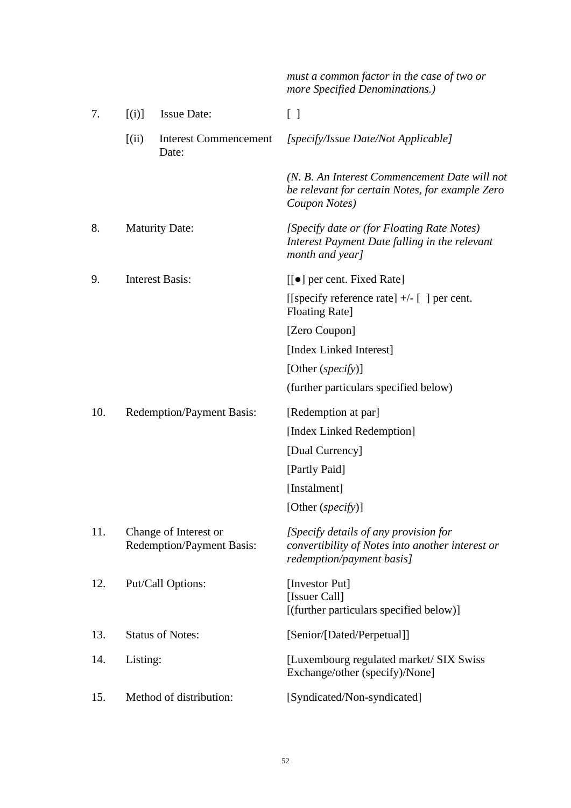|     |          |                                                           | must a common factor in the case of two or<br>more Specified Denominations.)                                           |
|-----|----------|-----------------------------------------------------------|------------------------------------------------------------------------------------------------------------------------|
| 7.  | [(i)]    | <b>Issue Date:</b>                                        | $\begin{bmatrix} \end{bmatrix}$                                                                                        |
|     | [(ii)]   | <b>Interest Commencement</b><br>Date:                     | [specify/Issue Date/Not Applicable]                                                                                    |
|     |          |                                                           | (N. B. An Interest Commencement Date will not<br>be relevant for certain Notes, for example Zero<br>Coupon Notes)      |
| 8.  |          | <b>Maturity Date:</b>                                     | [Specify date or (for Floating Rate Notes)<br>Interest Payment Date falling in the relevant<br>month and year]         |
| 9.  |          | <b>Interest Basis:</b>                                    | $[[\bullet]]$ per cent. Fixed Rate]                                                                                    |
|     |          |                                                           | [[specify reference rate] $+/-$ [] per cent.<br><b>Floating Rate]</b>                                                  |
|     |          |                                                           | [Zero Coupon]                                                                                                          |
|     |          |                                                           | [Index Linked Interest]                                                                                                |
|     |          |                                                           | [Other (specify)]                                                                                                      |
|     |          |                                                           | (further particulars specified below)                                                                                  |
| 10. |          | <b>Redemption/Payment Basis:</b>                          | [Redemption at par]                                                                                                    |
|     |          |                                                           | [Index Linked Redemption]                                                                                              |
|     |          |                                                           | [Dual Currency]                                                                                                        |
|     |          |                                                           | [Partly Paid]                                                                                                          |
|     |          |                                                           | [Instalment]                                                                                                           |
|     |          |                                                           | [Other (specify)]                                                                                                      |
| 11. |          | Change of Interest or<br><b>Redemption/Payment Basis:</b> | [Specify details of any provision for<br>convertibility of Notes into another interest or<br>redemption/payment basis] |
| 12. |          | Put/Call Options:                                         | [Investor Put]<br>[Issuer Call]<br>[(further particulars specified below)]                                             |
| 13. |          | <b>Status of Notes:</b>                                   | [Senior/[Dated/Perpetual]]                                                                                             |
| 14. | Listing: |                                                           | [Luxembourg regulated market/ SIX Swiss]<br>Exchange/other (specify)/None]                                             |
| 15. |          | Method of distribution:                                   | [Syndicated/Non-syndicated]                                                                                            |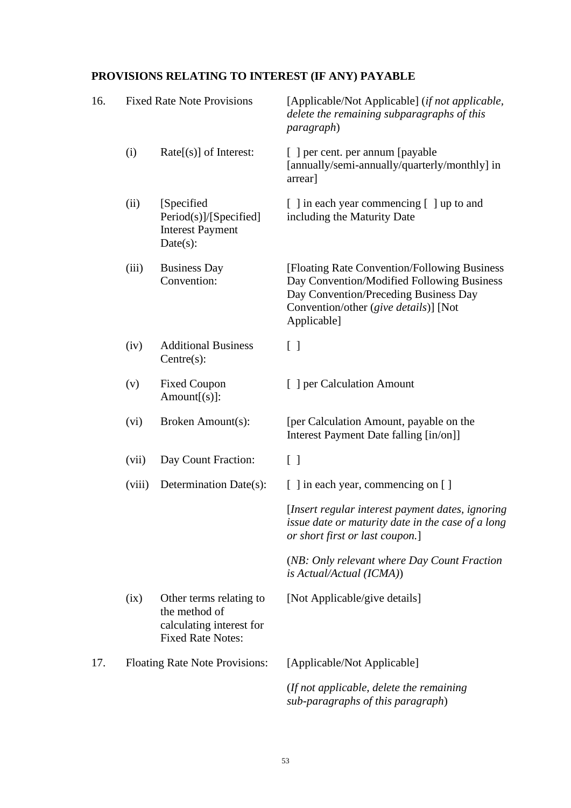# **PROVISIONS RELATING TO INTEREST (IF ANY) PAYABLE**

| 16. |        | <b>Fixed Rate Note Provisions</b>                                                                | [Applicable/Not Applicable] (if not applicable,<br>delete the remaining subparagraphs of this<br><i>paragraph</i> )                                                                          |
|-----|--------|--------------------------------------------------------------------------------------------------|----------------------------------------------------------------------------------------------------------------------------------------------------------------------------------------------|
|     | (i)    | $Rate[(s)]$ of Interest:                                                                         | [ ] per cent. per annum [payable<br>[annually/semi-annually/quarterly/monthly] in<br>arrear]                                                                                                 |
|     | (ii)   | [Specified]<br>Period(s)]/[Specified]<br><b>Interest Payment</b><br>Date(s):                     | [ ] in each year commencing [ ] up to and<br>including the Maturity Date                                                                                                                     |
|     | (iii)  | <b>Business Day</b><br>Convention:                                                               | [Floating Rate Convention/Following Business]<br>Day Convention/Modified Following Business<br>Day Convention/Preceding Business Day<br>Convention/other (give details)] [Not<br>Applicable] |
|     | (iv)   | <b>Additional Business</b><br>Centre(s):                                                         | $\lceil$ $\rceil$                                                                                                                                                                            |
|     | (v)    | <b>Fixed Coupon</b><br>$Amount[s]$ :                                                             | [ ] per Calculation Amount                                                                                                                                                                   |
|     | (vi)   | Broken Amount(s):                                                                                | [per Calculation Amount, payable on the<br>Interest Payment Date falling [in/on]]                                                                                                            |
|     | (vii)  | Day Count Fraction:                                                                              | $\lceil \rceil$                                                                                                                                                                              |
|     | (viii) | Determination Date(s):                                                                           | [ ] in each year, commencing on [ ]                                                                                                                                                          |
|     |        |                                                                                                  | [Insert regular interest payment dates, ignoring]<br>issue date or maturity date in the case of a long<br>or short first or last coupon.]                                                    |
|     |        |                                                                                                  | (NB: Only relevant where Day Count Fraction<br>is Actual/Actual (ICMA))                                                                                                                      |
|     | (ix)   | Other terms relating to<br>the method of<br>calculating interest for<br><b>Fixed Rate Notes:</b> | [Not Applicable/give details]                                                                                                                                                                |
| 17. |        | Floating Rate Note Provisions:                                                                   | [Applicable/Not Applicable]                                                                                                                                                                  |
|     |        |                                                                                                  | (If not applicable, delete the remaining)<br>sub-paragraphs of this paragraph)                                                                                                               |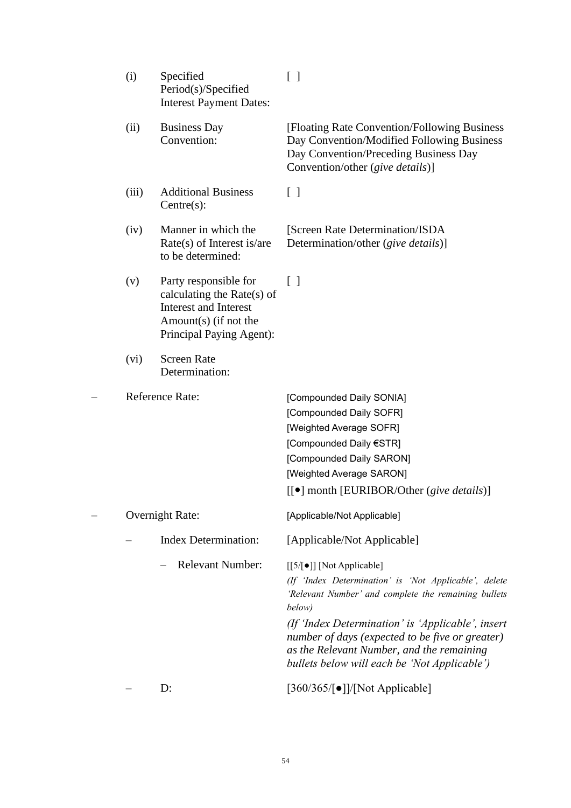| (i)                    | Specified<br>Period(s)/Specified<br><b>Interest Payment Dates:</b>                                                                       | $\left[\begin{array}{c}1\end{array}\right]$                                                                                                                                                                                                                                                                                                               |
|------------------------|------------------------------------------------------------------------------------------------------------------------------------------|-----------------------------------------------------------------------------------------------------------------------------------------------------------------------------------------------------------------------------------------------------------------------------------------------------------------------------------------------------------|
| (ii)                   | <b>Business Day</b><br>Convention:                                                                                                       | [Floating Rate Convention/Following Business]<br>Day Convention/Modified Following Business<br>Day Convention/Preceding Business Day<br>Convention/other (give details)]                                                                                                                                                                                  |
| (iii)                  | <b>Additional Business</b><br>Centre(s):                                                                                                 | $\left[ \begin{array}{c} \end{array} \right]$                                                                                                                                                                                                                                                                                                             |
| (iv)                   | Manner in which the<br>$Rate(s)$ of Interest is/are<br>to be determined:                                                                 | [Screen Rate Determination/ISDA]<br>Determination/other (give details)]                                                                                                                                                                                                                                                                                   |
| (v)                    | Party responsible for<br>calculating the Rate(s) of<br><b>Interest and Interest</b><br>Amount(s) (if not the<br>Principal Paying Agent): | $\lceil$ $\rceil$                                                                                                                                                                                                                                                                                                                                         |
| (vi)                   | <b>Screen Rate</b><br>Determination:                                                                                                     |                                                                                                                                                                                                                                                                                                                                                           |
| <b>Reference Rate:</b> |                                                                                                                                          | [Compounded Daily SONIA]<br>[Compounded Daily SOFR]<br>[Weighted Average SOFR]<br>[Compounded Daily €STR]<br>[Compounded Daily SARON]<br>[Weighted Average SARON]<br>[[ $\bullet$ ] month [EURIBOR/Other (give details)]                                                                                                                                  |
|                        | <b>Overnight Rate:</b>                                                                                                                   | [Applicable/Not Applicable]                                                                                                                                                                                                                                                                                                                               |
|                        | <b>Index Determination:</b>                                                                                                              | [Applicable/Not Applicable]                                                                                                                                                                                                                                                                                                                               |
|                        | <b>Relevant Number:</b>                                                                                                                  | [[5/[•]] [Not Applicable]<br>(If 'Index Determination' is 'Not Applicable', delete<br>'Relevant Number' and complete the remaining bullets<br>below)<br>(If 'Index Determination' is 'Applicable', insert<br>number of days (expected to be five or greater)<br>as the Relevant Number, and the remaining<br>bullets below will each be 'Not Applicable') |
|                        | D:                                                                                                                                       | $[360/365/[\bullet]]/[Not Applicable]$                                                                                                                                                                                                                                                                                                                    |

# 54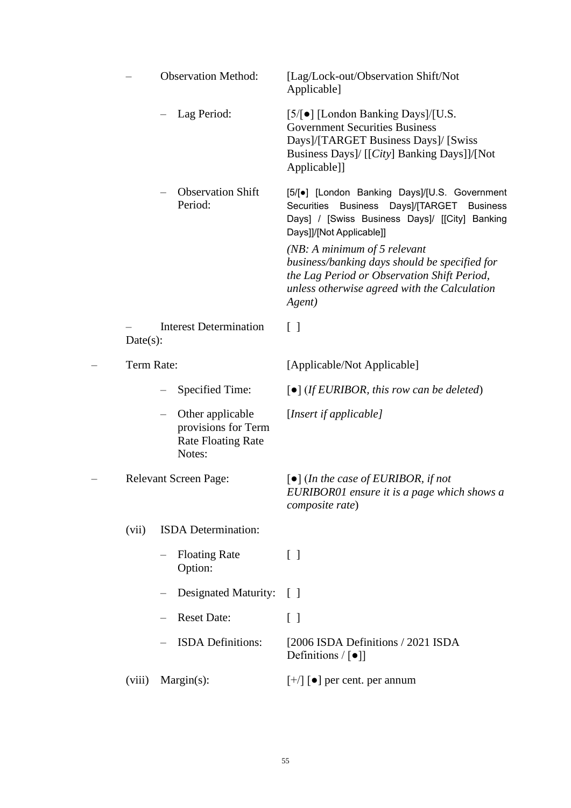|             |                          | <b>Observation Method:</b>                                                     | [Lag/Lock-out/Observation Shift/Not<br>Applicable]                                                                                                                                                                                                                                                                                                                                            |
|-------------|--------------------------|--------------------------------------------------------------------------------|-----------------------------------------------------------------------------------------------------------------------------------------------------------------------------------------------------------------------------------------------------------------------------------------------------------------------------------------------------------------------------------------------|
|             |                          | Lag Period:                                                                    | $[5/ \bullet]$ [London Banking Days]/[U.S.<br><b>Government Securities Business</b><br>Days]/[TARGET Business Days]/ [Swiss<br>Business Days]/ [[City] Banking Days]]/[Not<br>Applicable]]                                                                                                                                                                                                    |
|             |                          | <b>Observation Shift</b><br>Period:                                            | [5/[•] [London Banking Days]/[U.S. Government<br>Days]/[TARGET<br>Securities<br><b>Business</b><br><b>Business</b><br>Days] / [Swiss Business Days]/ [[City] Banking<br>Days]]/[Not Applicable]]<br>( $NB: A minimum of 5 relevant$<br>business/banking days should be specified for<br>the Lag Period or Observation Shift Period,<br>unless otherwise agreed with the Calculation<br>Agent) |
| $Date(s)$ : |                          | <b>Interest Determination</b>                                                  | $\begin{bmatrix} 1 \end{bmatrix}$                                                                                                                                                                                                                                                                                                                                                             |
| Term Rate:  |                          |                                                                                | [Applicable/Not Applicable]                                                                                                                                                                                                                                                                                                                                                                   |
|             |                          | Specified Time:                                                                | $\lceil \bullet \rceil$ (If EURIBOR, this row can be deleted)                                                                                                                                                                                                                                                                                                                                 |
|             | $\overline{\phantom{m}}$ | Other applicable<br>provisions for Term<br><b>Rate Floating Rate</b><br>Notes: | [Insert if applicable]                                                                                                                                                                                                                                                                                                                                                                        |
|             |                          | <b>Relevant Screen Page:</b>                                                   | $\lceil \bullet \rceil$ (In the case of EURIBOR, if not<br>EURIBOR01 ensure it is a page which shows a<br>composite rate)                                                                                                                                                                                                                                                                     |
| (vii)       |                          | ISDA Determination:                                                            |                                                                                                                                                                                                                                                                                                                                                                                               |
|             |                          | <b>Floating Rate</b><br>Option:                                                | $\lceil \rceil$                                                                                                                                                                                                                                                                                                                                                                               |
|             |                          | <b>Designated Maturity:</b>                                                    | $\lceil$                                                                                                                                                                                                                                                                                                                                                                                      |
|             |                          | <b>Reset Date:</b>                                                             | $\lceil$ $\rceil$                                                                                                                                                                                                                                                                                                                                                                             |
|             |                          | <b>ISDA</b> Definitions:                                                       | [2006 ISDA Definitions / 2021 ISDA<br>Definitions $/ \bullet $                                                                                                                                                                                                                                                                                                                                |
| (viii)      |                          | $Margin(s)$ :                                                                  | $[+/]$ [ $\bullet$ ] per cent. per annum                                                                                                                                                                                                                                                                                                                                                      |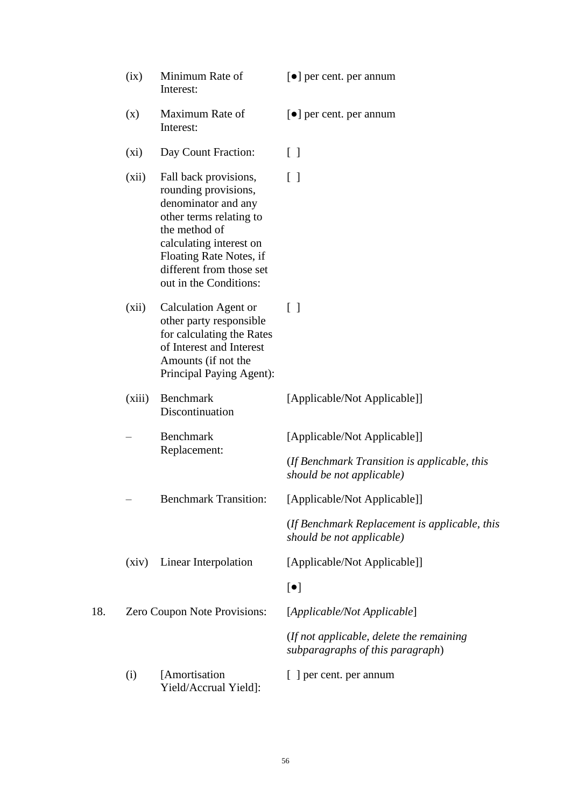|     | (ix)    | Minimum Rate of<br>Interest:                                                                                                                                                                                                 | $\lceil \bullet \rceil$ per cent. per annum                                   |
|-----|---------|------------------------------------------------------------------------------------------------------------------------------------------------------------------------------------------------------------------------------|-------------------------------------------------------------------------------|
|     | (x)     | Maximum Rate of<br>Interest:                                                                                                                                                                                                 | $\lceil \bullet \rceil$ per cent. per annum                                   |
|     | $(x_i)$ | Day Count Fraction:                                                                                                                                                                                                          | $\lceil$ $\rceil$                                                             |
|     | (xii)   | Fall back provisions,<br>rounding provisions,<br>denominator and any<br>other terms relating to<br>the method of<br>calculating interest on<br>Floating Rate Notes, if<br>different from those set<br>out in the Conditions: | $\lceil$ $\rceil$                                                             |
|     | (xii)   | <b>Calculation Agent or</b><br>other party responsible<br>for calculating the Rates<br>of Interest and Interest<br>Amounts (if not the<br>Principal Paying Agent):                                                           | $\lceil$ $\rceil$                                                             |
|     | (xiii)  | Benchmark<br>Discontinuation                                                                                                                                                                                                 | [Applicable/Not Applicable]]                                                  |
|     |         | <b>Benchmark</b><br>Replacement:                                                                                                                                                                                             | [Applicable/Not Applicable]]                                                  |
|     |         |                                                                                                                                                                                                                              | (If Benchmark Transition is applicable, this<br>should be not applicable)     |
|     |         | <b>Benchmark Transition:</b>                                                                                                                                                                                                 | [Applicable/Not Applicable]]                                                  |
|     |         |                                                                                                                                                                                                                              | (If Benchmark Replacement is applicable, this<br>should be not applicable)    |
|     | (xiv)   | Linear Interpolation                                                                                                                                                                                                         | [Applicable/Not Applicable]]                                                  |
|     |         |                                                                                                                                                                                                                              | $[\bullet]$                                                                   |
| 18. |         | Zero Coupon Note Provisions:                                                                                                                                                                                                 | [Applicable/Not Applicable]                                                   |
|     |         |                                                                                                                                                                                                                              | (If not applicable, delete the remaining)<br>subparagraphs of this paragraph) |
|     | (i)     | [Amortisation]<br>Yield/Accrual Yield]:                                                                                                                                                                                      | [ ] per cent. per annum                                                       |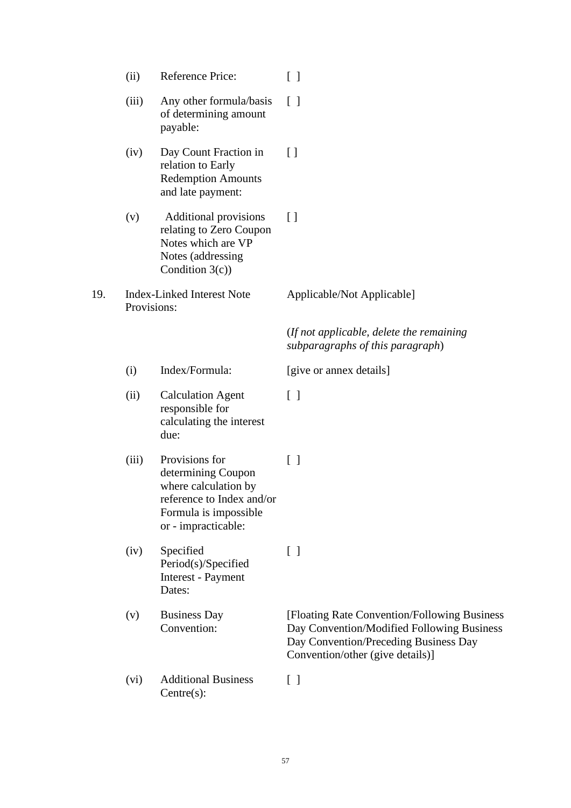|     | (ii)        | Reference Price:                                                                                                                          | $\lceil$ $\rceil$                                                                                                                                                        |
|-----|-------------|-------------------------------------------------------------------------------------------------------------------------------------------|--------------------------------------------------------------------------------------------------------------------------------------------------------------------------|
|     | (iii)       | Any other formula/basis<br>of determining amount<br>payable:                                                                              | $\lceil$ $\rceil$                                                                                                                                                        |
|     | (iv)        | Day Count Fraction in<br>relation to Early<br><b>Redemption Amounts</b><br>and late payment:                                              | $[ \ ]$                                                                                                                                                                  |
|     | (v)         | <b>Additional provisions</b><br>relating to Zero Coupon<br>Notes which are VP<br>Notes (addressing<br>Condition $3(c)$ )                  | $\lceil$                                                                                                                                                                 |
| 19. | Provisions: | <b>Index-Linked Interest Note</b>                                                                                                         | Applicable/Not Applicable]                                                                                                                                               |
|     |             |                                                                                                                                           | (If not applicable, delete the remaining)<br>subparagraphs of this paragraph)                                                                                            |
|     | (i)         | Index/Formula:                                                                                                                            | [give or annex details]                                                                                                                                                  |
|     | (ii)        | <b>Calculation Agent</b><br>responsible for<br>calculating the interest<br>due:                                                           | $\lceil \rceil$                                                                                                                                                          |
|     | (iii)       | Provisions for<br>determining Coupon<br>where calculation by<br>reference to Index and/or<br>Formula is impossible<br>or - impracticable: | $\lceil$ $\rceil$                                                                                                                                                        |
|     | (iv)        | Specified<br>Period(s)/Specified<br>Interest - Payment<br>Dates:                                                                          | $\lceil \rceil$                                                                                                                                                          |
|     | (v)         | <b>Business Day</b><br>Convention:                                                                                                        | [Floating Rate Convention/Following Business]<br>Day Convention/Modified Following Business<br>Day Convention/Preceding Business Day<br>Convention/other (give details)] |
|     | (vi)        | <b>Additional Business</b><br>$Centre(s)$ :                                                                                               | $[\ ]$                                                                                                                                                                   |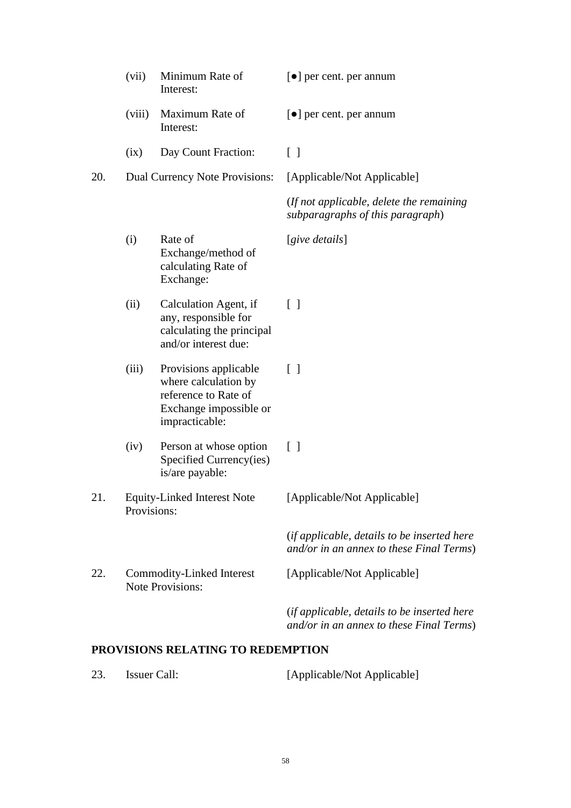|     | (vii)       | Minimum Rate of<br>Interest:                                                                                      | $\lceil \bullet \rceil$ per cent. per annum                                             |
|-----|-------------|-------------------------------------------------------------------------------------------------------------------|-----------------------------------------------------------------------------------------|
|     | (viii)      | Maximum Rate of<br>Interest:                                                                                      | $\lceil \bullet \rceil$ per cent. per annum                                             |
|     | (ix)        | Day Count Fraction:                                                                                               | $\lceil \rceil$                                                                         |
| 20. |             | Dual Currency Note Provisions:                                                                                    | [Applicable/Not Applicable]                                                             |
|     |             |                                                                                                                   | (If not applicable, delete the remaining)<br>subparagraphs of this paragraph)           |
|     | (i)         | Rate of<br>Exchange/method of<br>calculating Rate of<br>Exchange:                                                 | [give details]                                                                          |
|     | (ii)        | Calculation Agent, if<br>any, responsible for<br>calculating the principal<br>and/or interest due:                | $\lceil \rceil$                                                                         |
|     | (iii)       | Provisions applicable<br>where calculation by<br>reference to Rate of<br>Exchange impossible or<br>impracticable: | $\lceil \rceil$                                                                         |
|     | (iv)        | Person at whose option<br>Specified Currency(ies)<br>is/are payable:                                              | $\lceil \rceil$                                                                         |
| 21. | Provisions: | <b>Equity-Linked Interest Note</b>                                                                                | [Applicable/Not Applicable]                                                             |
|     |             |                                                                                                                   | (if applicable, details to be inserted here<br>and/or in an annex to these Final Terms) |
| 22. |             | Commodity-Linked Interest<br><b>Note Provisions:</b>                                                              | [Applicable/Not Applicable]                                                             |
|     |             |                                                                                                                   | (if applicable, details to be inserted here<br>and/or in an annex to these Final Terms) |

# **PROVISIONS RELATING TO REDEMPTION**

| 23. | Issuer Call: | [Applicable/Not Applicable] |
|-----|--------------|-----------------------------|
|     |              |                             |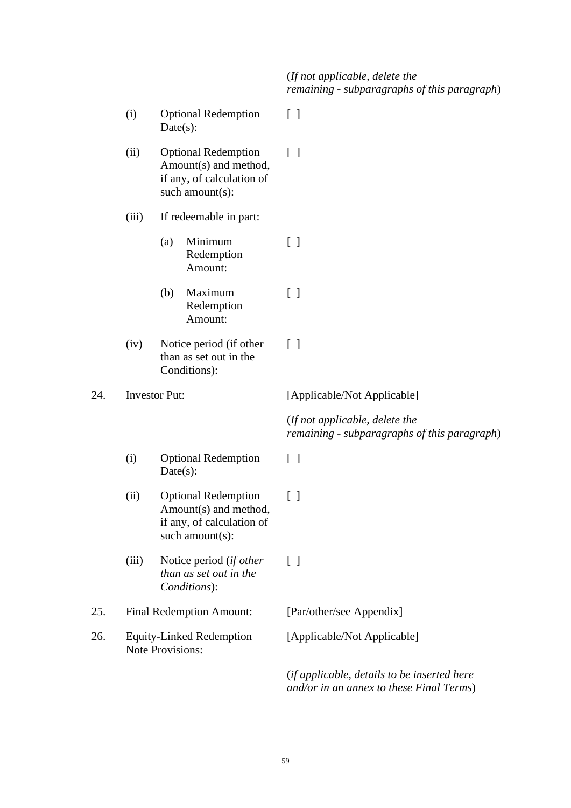## (*If not applicable, delete the remaining - subparagraphs of this paragraph*)

- (i) Optional Redemption Date(s):  $\lceil$   $\rceil$
- (ii) Optional Redemption Amount(s) and method, if any, of calculation of such amount(s):  $\lceil$   $\rceil$
- (iii) If redeemable in part:
	- (a) Minimum Redemption Amount: [ ]
	- (b) Maximum Redemption Amount: [ ]
- (iv) Notice period (if other than as set out in the Conditions):  $\lceil$   $\rceil$

24. Investor Put: [Applicable/Not Applicable]

(*If not applicable, delete the remaining - subparagraphs of this paragraph*)

- (i) Optional Redemption  $Date(s)$ :
- (ii) Optional Redemption Amount(s) and method, if any, of calculation of such amount(s):
- (iii) Notice period (*if other than as set out in the Conditions*):

25. Final Redemption Amount: [Par/other/see Appendix]

26. Equity-Linked Redemption Note Provisions:

[ ]

[ ]

[ ]

[Applicable/Not Applicable]

(*if applicable, details to be inserted here and/or in an annex to these Final Terms*)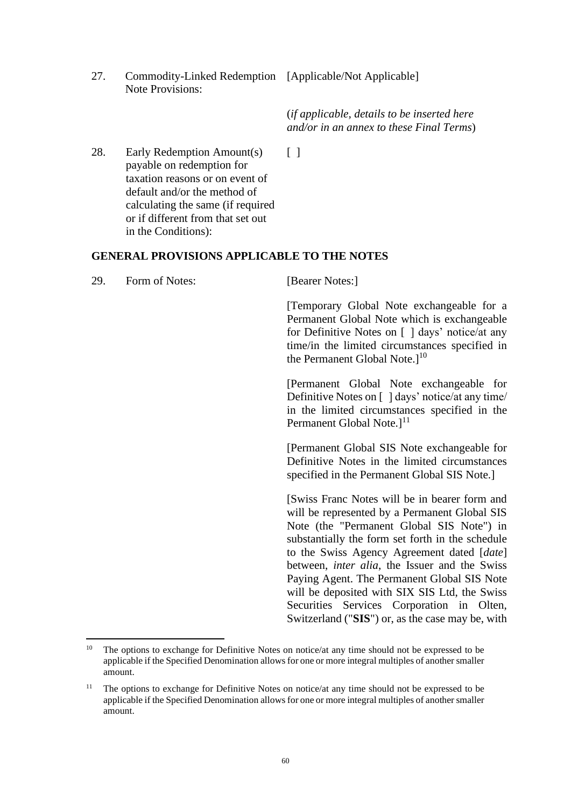27. Commodity-Linked Redemption [Applicable/Not Applicable] Note Provisions:

(*if applicable, details to be inserted here and/or in an annex to these Final Terms*)

will be deposited with SIX SIS Ltd, the Swiss Securities Services Corporation in Olten, Switzerland ("**SIS**") or, as the case may be, with

 $\lceil$   $\rceil$ 

28. Early Redemption Amount(s) payable on redemption for taxation reasons or on event of default and/or the method of calculating the same (if required or if different from that set out in the Conditions):

## **GENERAL PROVISIONS APPLICABLE TO THE NOTES**

29. Form of Notes: [Bearer Notes:] [Temporary Global Note exchangeable for a Permanent Global Note which is exchangeable for Definitive Notes on [ ] days' notice/at any time/in the limited circumstances specified in the Permanent Global Note. $]^{10}$ [Permanent Global Note exchangeable for Definitive Notes on [ ] days' notice/at any time/ in the limited circumstances specified in the Permanent Global Note. $]$ <sup>11</sup> [Permanent Global SIS Note exchangeable for Definitive Notes in the limited circumstances specified in the Permanent Global SIS Note.] [Swiss Franc Notes will be in bearer form and will be represented by a Permanent Global SIS Note (the "Permanent Global SIS Note") in substantially the form set forth in the schedule to the Swiss Agency Agreement dated [*date*] between, *inter alia*, the Issuer and the Swiss Paying Agent. The Permanent Global SIS Note

<sup>&</sup>lt;sup>10</sup> The options to exchange for Definitive Notes on notice/at any time should not be expressed to be applicable if the Specified Denomination allows for one or more integral multiples of another smaller amount.

<sup>11</sup> The options to exchange for Definitive Notes on notice/at any time should not be expressed to be applicable if the Specified Denomination allows for one or more integral multiples of another smaller amount.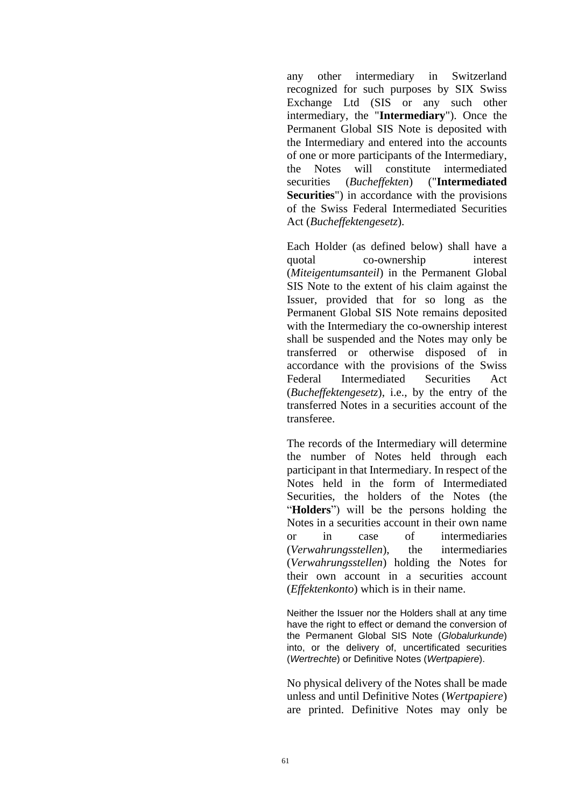any other intermediary in Switzerland recognized for such purposes by SIX Swiss Exchange Ltd (SIS or any such other intermediary, the "**Intermediary**"). Once the Permanent Global SIS Note is deposited with the Intermediary and entered into the accounts of one or more participants of the Intermediary, the Notes will constitute intermediated securities (*Bucheffekten*) ("**Intermediated Securities**") in accordance with the provisions of the Swiss Federal Intermediated Securities Act (*Bucheffektengesetz*).

Each Holder (as defined below) shall have a quotal co-ownership interest (*Miteigentumsanteil*) in the Permanent Global SIS Note to the extent of his claim against the Issuer, provided that for so long as the Permanent Global SIS Note remains deposited with the Intermediary the co-ownership interest shall be suspended and the Notes may only be transferred or otherwise disposed of in accordance with the provisions of the Swiss Federal Intermediated Securities Act (*Bucheffektengesetz*), i.e., by the entry of the transferred Notes in a securities account of the transferee.

The records of the Intermediary will determine the number of Notes held through each participant in that Intermediary. In respect of the Notes held in the form of Intermediated Securities, the holders of the Notes (the "**Holders**") will be the persons holding the Notes in a securities account in their own name or in case of intermediaries (*Verwahrungsstellen*), the intermediaries (*Verwahrungsstellen*) holding the Notes for their own account in a securities account (*Effektenkonto*) which is in their name.

Neither the Issuer nor the Holders shall at any time have the right to effect or demand the conversion of the Permanent Global SIS Note (*Globalurkunde*) into, or the delivery of, uncertificated securities (*Wertrechte*) or Definitive Notes (*Wertpapiere*).

No physical delivery of the Notes shall be made unless and until Definitive Notes (*Wertpapiere*) are printed. Definitive Notes may only be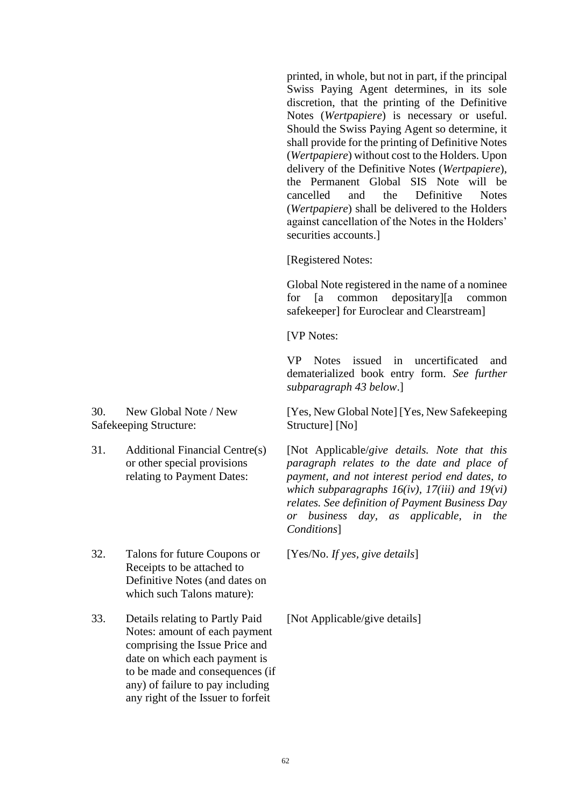printed, in whole, but not in part, if the principal Swiss Paying Agent determines, in its sole discretion, that the printing of the Definitive Notes (*Wertpapiere*) is necessary or useful. Should the Swiss Paying Agent so determine, it shall provide for the printing of Definitive Notes (*Wertpapiere*) without cost to the Holders. Upon delivery of the Definitive Notes (*Wertpapiere*), the Permanent Global SIS Note will be cancelled and the Definitive Notes (*Wertpapiere*) shall be delivered to the Holders against cancellation of the Notes in the Holders' securities accounts.]

[Registered Notes:

Global Note registered in the name of a nominee for [a common depositary][a common safekeeper] for Euroclear and Clearstream]

[VP Notes:

VP Notes issued in uncertificated and dematerialized book entry form. *See further subparagraph 43 below*.]

[Yes, New Global Note] [Yes, New Safekeeping Structure] [No]

[Not Applicable/*give details. Note that this paragraph relates to the date and place of payment, and not interest period end dates, to which subparagraphs 16(iv), 17(iii) and 19(vi) relates. See definition of Payment Business Day or business day, as applicable, in the Conditions*]

[Yes/No. *If yes, give details*]

32. Talons for future Coupons or Receipts to be attached to Definitive Notes (and dates on which such Talons mature):

33. Details relating to Partly Paid Notes: amount of each payment comprising the Issue Price and date on which each payment is to be made and consequences (if any) of failure to pay including any right of the Issuer to forfeit

[Not Applicable/give details]

30. New Global Note / New Safekeeping Structure:

31. Additional Financial Centre(s) or other special provisions relating to Payment Dates: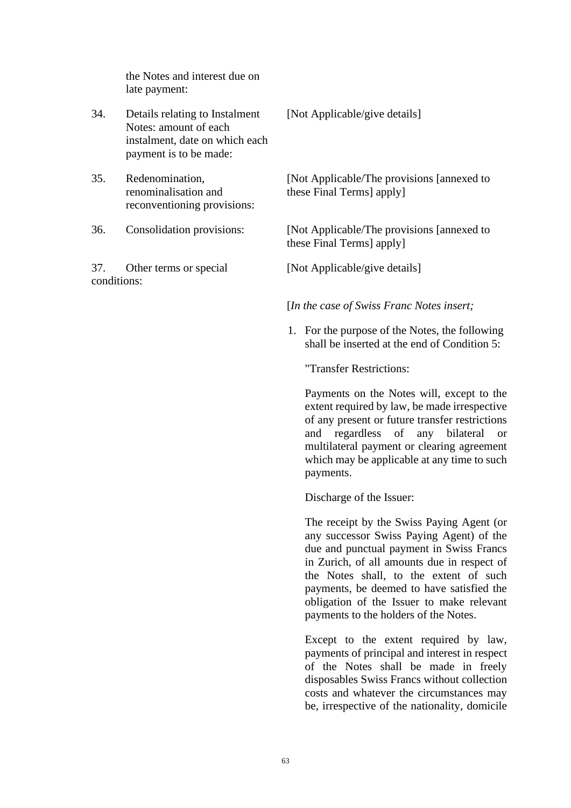the Notes and interest due on late payment:

- 34. Details relating to Instalment Notes: amount of each instalment, date on which each payment is to be made:
- 35. Redenomination, renominalisation and reconventioning provisions:
- 

37. Other terms or special conditions:

[Not Applicable/give details]

[Not Applicable/The provisions [annexed to these Final Terms] apply]

36. Consolidation provisions: [Not Applicable/The provisions [annexed to these Final Terms] apply]

[Not Applicable/give details]

[*In the case of Swiss Franc Notes insert;*

1. For the purpose of the Notes, the following shall be inserted at the end of Condition 5:

"Transfer Restrictions:

Payments on the Notes will, except to the extent required by law, be made irrespective of any present or future transfer restrictions and regardless of any bilateral or multilateral payment or clearing agreement which may be applicable at any time to such payments.

Discharge of the Issuer:

The receipt by the Swiss Paying Agent (or any successor Swiss Paying Agent) of the due and punctual payment in Swiss Francs in Zurich, of all amounts due in respect of the Notes shall, to the extent of such payments, be deemed to have satisfied the obligation of the Issuer to make relevant payments to the holders of the Notes.

Except to the extent required by law, payments of principal and interest in respect of the Notes shall be made in freely disposables Swiss Francs without collection costs and whatever the circumstances may be, irrespective of the nationality, domicile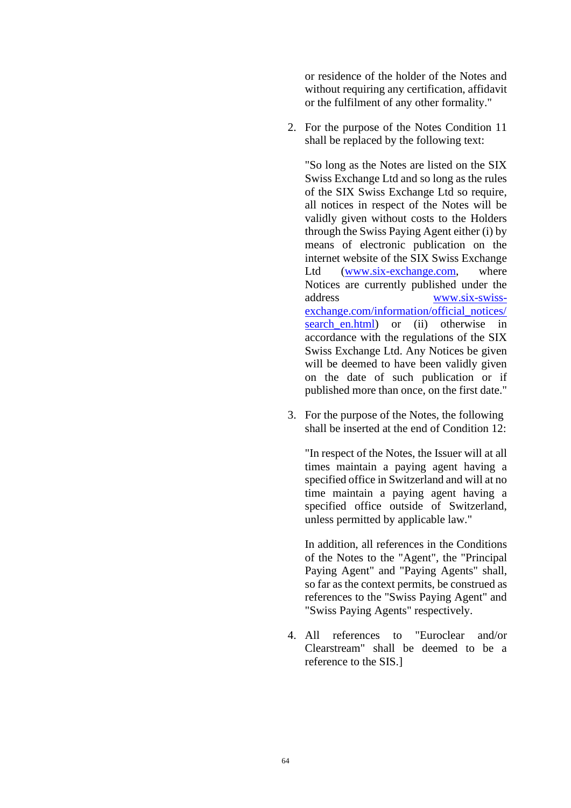or residence of the holder of the Notes and without requiring any certification, affidavit or the fulfilment of any other formality."

2. For the purpose of the Notes Condition 11 shall be replaced by the following text:

"So long as the Notes are listed on the SIX Swiss Exchange Ltd and so long as the rules of the SIX Swiss Exchange Ltd so require, all notices in respect of the Notes will be validly given without costs to the Holders through the Swiss Paying Agent either (i) by means of electronic publication on the internet website of the SIX Swiss Exchange Ltd [\(www.six-exchange.com,](http://www.six-exchange.com/) where Notices are currently published under the address [www.six-swiss](http://www.six-swiss-exchange.com/information/official_notices/search_en.html)[exchange.com/information/official\\_notices/](http://www.six-swiss-exchange.com/information/official_notices/search_en.html) search en.html) or (ii) otherwise in accordance with the regulations of the SIX Swiss Exchange Ltd. Any Notices be given will be deemed to have been validly given on the date of such publication or if published more than once, on the first date."

3. For the purpose of the Notes, the following shall be inserted at the end of Condition 12:

"In respect of the Notes, the Issuer will at all times maintain a paying agent having a specified office in Switzerland and will at no time maintain a paying agent having a specified office outside of Switzerland, unless permitted by applicable law."

In addition, all references in the Conditions of the Notes to the "Agent", the "Principal Paying Agent" and "Paying Agents" shall, so far as the context permits, be construed as references to the "Swiss Paying Agent" and "Swiss Paying Agents" respectively.

4. All references to "Euroclear and/or Clearstream" shall be deemed to be a reference to the SIS.]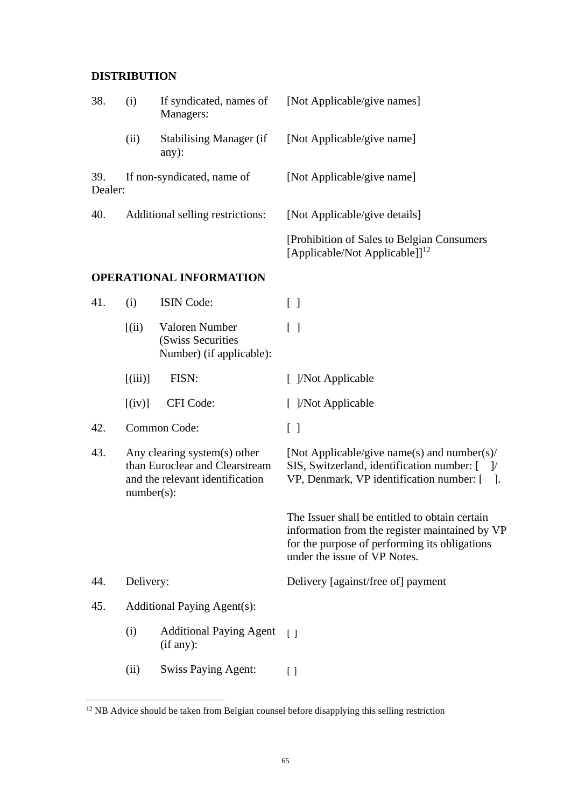# **DISTRIBUTION**

| 38.            | (i)                        | Managers:                                                       | If syndicated, names of [Not Applicable/give names]                                 |
|----------------|----------------------------|-----------------------------------------------------------------|-------------------------------------------------------------------------------------|
|                | (ii)                       | <b>Stabilising Manager (if</b><br>$any)$ :                      | [Not Applicable/give name]                                                          |
| 39.<br>Dealer: | If non-syndicated, name of |                                                                 | [Not Applicable/give name]                                                          |
| 40.            |                            | Additional selling restrictions:                                | [Not Applicable/give details]                                                       |
|                |                            |                                                                 | [Prohibition of Sales to Belgian Consumers]<br>[Applicable/Not Applicable]] $^{12}$ |
|                |                            | <b>OPERATIONAL INFORMATION</b>                                  |                                                                                     |
| 41.            | (i)                        | <b>ISIN</b> Code:                                               | $\lceil$ $\rceil$                                                                   |
|                | (iii)                      | Valoren Number<br>(Swiss Securities<br>Number) (if applicable): | $\lceil$ 1                                                                          |

| 41. | (i)                                                                                                                | <b>ISIN Code:</b>                                               | $\begin{bmatrix} \end{bmatrix}$                                                                                                                                                   |
|-----|--------------------------------------------------------------------------------------------------------------------|-----------------------------------------------------------------|-----------------------------------------------------------------------------------------------------------------------------------------------------------------------------------|
|     | (iii)                                                                                                              | Valoren Number<br>(Swiss Securities<br>Number) (if applicable): | $[\ ]$                                                                                                                                                                            |
|     | $[$ (iii)]                                                                                                         | FISN:                                                           | [ ]/Not Applicable                                                                                                                                                                |
|     | $[$ (iv)]                                                                                                          | CFI Code:                                                       | [ ]/Not Applicable                                                                                                                                                                |
| 42. |                                                                                                                    | Common Code:                                                    | $[\ ]$                                                                                                                                                                            |
| 43. | Any clearing system(s) other<br>than Euroclear and Clearstream<br>and the relevant identification<br>$number(s)$ : |                                                                 | [Not Applicable/give name(s) and number(s)/<br>SIS, Switzerland, identification number: [ ]/<br>VP, Denmark, VP identification number: [].                                        |
|     |                                                                                                                    |                                                                 | The Issuer shall be entitled to obtain certain<br>information from the register maintained by VP<br>for the purpose of performing its obligations<br>under the issue of VP Notes. |
| 44. | Delivery:                                                                                                          |                                                                 | Delivery [against/free of] payment                                                                                                                                                |
| 45. | <b>Additional Paying Agent(s):</b>                                                                                 |                                                                 |                                                                                                                                                                                   |
|     | (i)                                                                                                                | <b>Additional Paying Agent</b><br>(if any):                     | $\lceil$ $\rceil$                                                                                                                                                                 |
|     | (ii)                                                                                                               | <b>Swiss Paying Agent:</b>                                      | $\left[ \ \right]$                                                                                                                                                                |

<sup>&</sup>lt;sup>12</sup> NB Advice should be taken from Belgian counsel before disapplying this selling restriction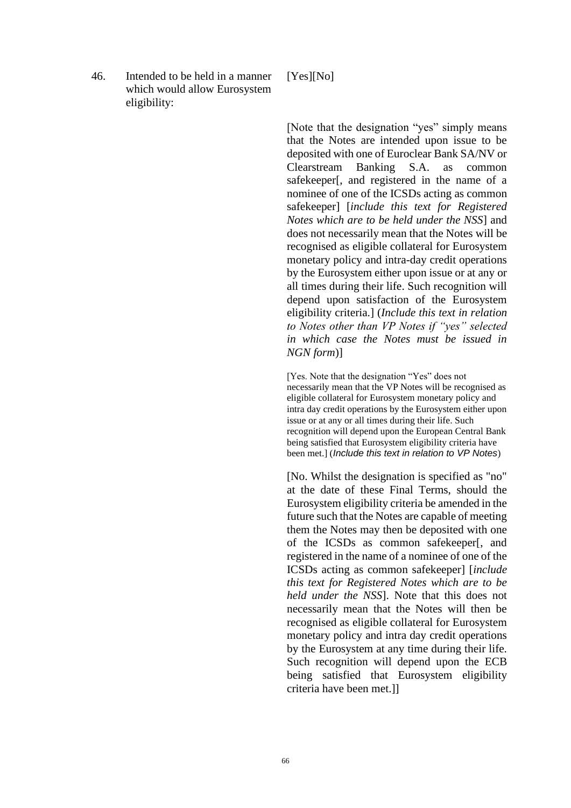46. Intended to be held in a manner which would allow Eurosystem eligibility:

#### [Yes][No]

[Note that the designation "yes" simply means that the Notes are intended upon issue to be deposited with one of Euroclear Bank SA/NV or Clearstream Banking S.A. as common safekeeper[, and registered in the name of a nominee of one of the ICSDs acting as common safekeeper] [*include this text for Registered Notes which are to be held under the NSS*] and does not necessarily mean that the Notes will be recognised as eligible collateral for Eurosystem monetary policy and intra-day credit operations by the Eurosystem either upon issue or at any or all times during their life. Such recognition will depend upon satisfaction of the Eurosystem eligibility criteria.] (*Include this text in relation to Notes other than VP Notes if "yes" selected in which case the Notes must be issued in NGN form*)]

[Yes. Note that the designation "Yes" does not necessarily mean that the VP Notes will be recognised as eligible collateral for Eurosystem monetary policy and intra day credit operations by the Eurosystem either upon issue or at any or all times during their life. Such recognition will depend upon the European Central Bank being satisfied that Eurosystem eligibility criteria have been met.] (*Include this text in relation to VP Notes*)

[No. Whilst the designation is specified as "no" at the date of these Final Terms, should the Eurosystem eligibility criteria be amended in the future such that the Notes are capable of meeting them the Notes may then be deposited with one of the ICSDs as common safekeeper[, and registered in the name of a nominee of one of the ICSDs acting as common safekeeper] [*include this text for Registered Notes which are to be held under the NSS*]. Note that this does not necessarily mean that the Notes will then be recognised as eligible collateral for Eurosystem monetary policy and intra day credit operations by the Eurosystem at any time during their life. Such recognition will depend upon the ECB being satisfied that Eurosystem eligibility criteria have been met.]]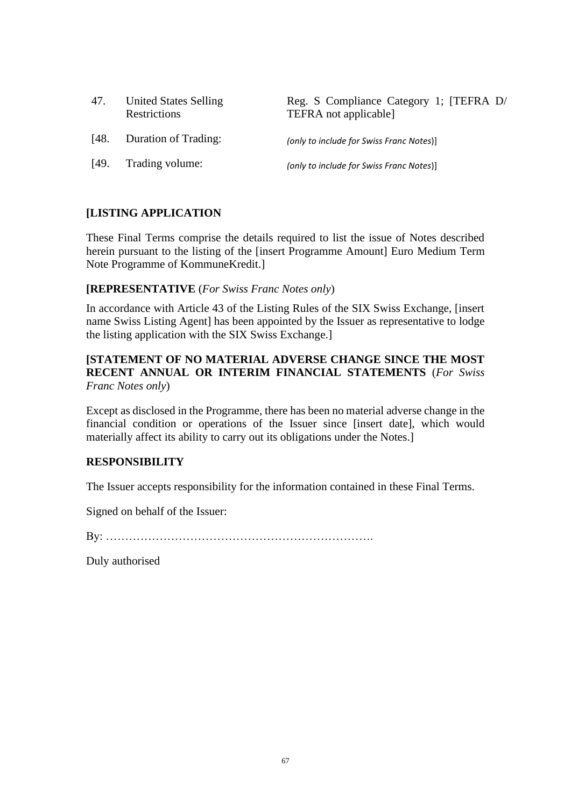| 47.  | <b>United States Selling</b><br>Restrictions | Reg. S Compliance Category 1; [TEFRA D/<br>TEFRA not applicable] |
|------|----------------------------------------------|------------------------------------------------------------------|
| [48. | Duration of Trading:                         | (only to include for Swiss Franc Notes)]                         |
| [49] | Trading volume:                              | (only to include for Swiss Franc Notes)]                         |

# **[LISTING APPLICATION**

These Final Terms comprise the details required to list the issue of Notes described herein pursuant to the listing of the [insert Programme Amount] Euro Medium Term Note Programme of KommuneKredit.]

#### **[REPRESENTATIVE** (*For Swiss Franc Notes only*)

In accordance with Article 43 of the Listing Rules of the SIX Swiss Exchange, [insert name Swiss Listing Agent] has been appointed by the Issuer as representative to lodge the listing application with the SIX Swiss Exchange.]

## **[STATEMENT OF NO MATERIAL ADVERSE CHANGE SINCE THE MOST RECENT ANNUAL OR INTERIM FINANCIAL STATEMENTS** (*For Swiss Franc Notes only*)

Except as disclosed in the Programme, there has been no material adverse change in the financial condition or operations of the Issuer since [insert date], which would materially affect its ability to carry out its obligations under the Notes.]

## **RESPONSIBILITY**

The Issuer accepts responsibility for the information contained in these Final Terms.

Signed on behalf of the Issuer:

By: …………………………………………………………….

Duly authorised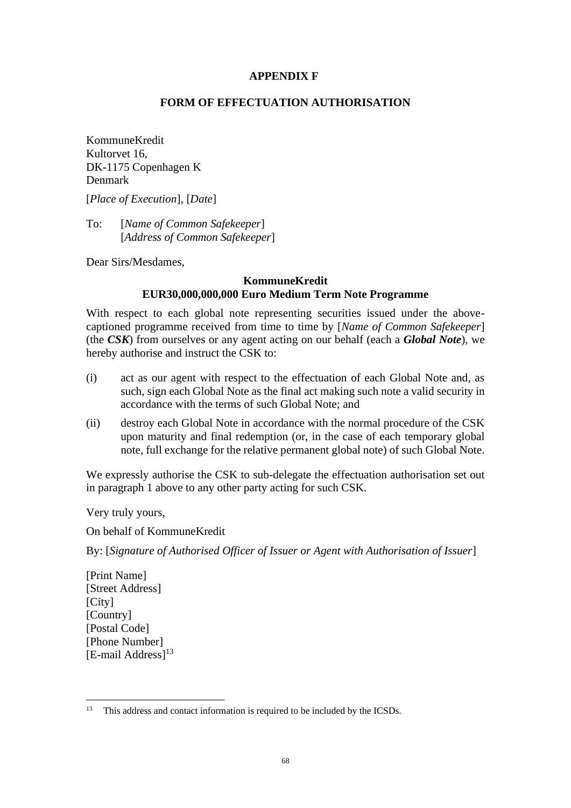#### **APPENDIX F**

#### **FORM OF EFFECTUATION AUTHORISATION**

KommuneKredit Kultorvet 16, DK-1175 Copenhagen K Denmark

[*Place of Execution*], [*Date*]

To: [*Name of Common Safekeeper*] [*Address of Common Safekeeper*]

Dear Sirs/Mesdames,

#### **KommuneKredit EUR30,000,000,000 Euro Medium Term Note Programme**

With respect to each global note representing securities issued under the abovecaptioned programme received from time to time by [*Name of Common Safekeeper*] (the *CSK*) from ourselves or any agent acting on our behalf (each a *Global Note*), we hereby authorise and instruct the CSK to:

- (i) act as our agent with respect to the effectuation of each Global Note and, as such, sign each Global Note as the final act making such note a valid security in accordance with the terms of such Global Note; and
- (ii) destroy each Global Note in accordance with the normal procedure of the CSK upon maturity and final redemption (or, in the case of each temporary global note, full exchange for the relative permanent global note) of such Global Note.

We expressly authorise the CSK to sub-delegate the effectuation authorisation set out in paragraph 1 above to any other party acting for such CSK.

Very truly yours,

On behalf of KommuneKredit

By: [*Signature of Authorised Officer of Issuer or Agent with Authorisation of Issuer*]

[Print Name] [Street Address] [City] [Country] [Postal Code] [Phone Number]  $[E$ -mail Address $]$ <sup>13</sup>

<sup>&</sup>lt;sup>13</sup> This address and contact information is required to be included by the ICSDs.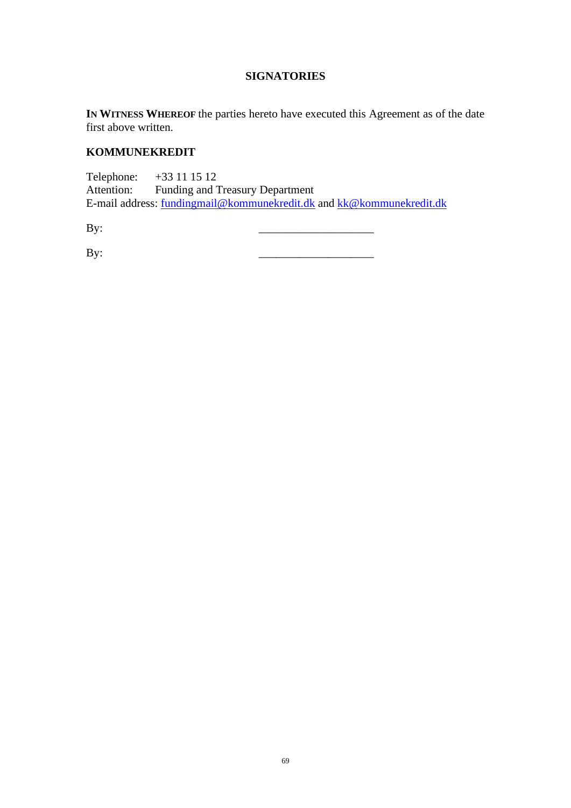## **SIGNATORIES**

**IN WITNESS WHEREOF** the parties hereto have executed this Agreement as of the date first above written.

## **KOMMUNEKREDIT**

Telephone: +33 11 15 12<br>Attention: Funding and T Funding and Treasury Department E-mail address: [fundingmail@kommunekredit.dk](mailto:fundingmail@kommunekredit.dk) and [kk@kommunekredit.dk](mailto:kk@kommunekredit.dk)

By: \_\_\_\_\_\_\_\_\_\_\_\_\_\_\_\_\_\_\_\_

By: \_\_\_\_\_\_\_\_\_\_\_\_\_\_\_\_\_\_\_\_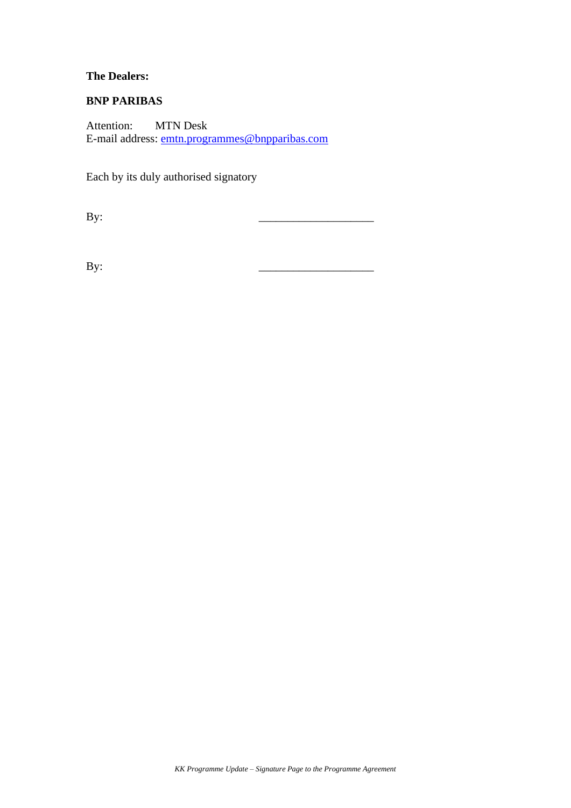## **The Dealers:**

### **BNP PARIBAS**

Attention: MTN Desk E-mail address: [emtn.programmes@bnpparibas.com](mailto:emtn.programmes@bnpparibas.com)

Each by its duly authorised signatory

By: \_\_\_\_\_\_\_\_\_\_\_\_\_\_\_\_\_\_\_\_

By: \_\_\_\_\_\_\_\_\_\_\_\_\_\_\_\_\_\_\_\_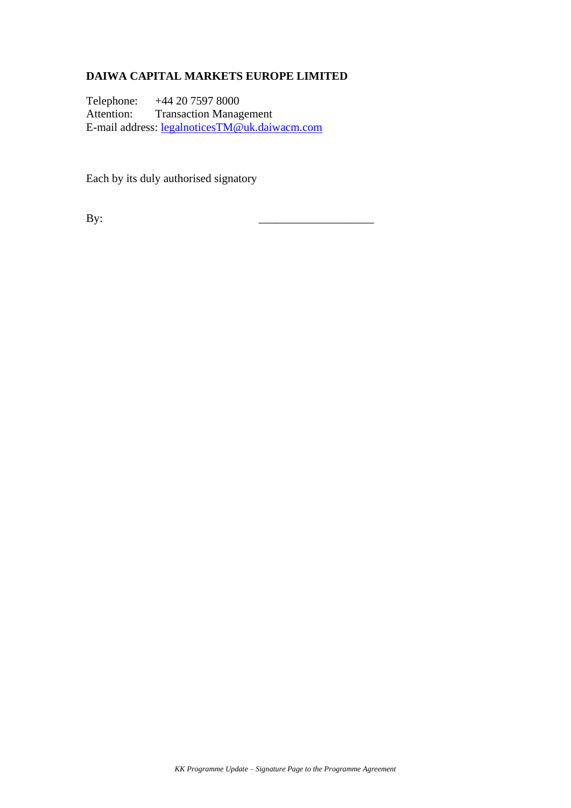# **DAIWA CAPITAL MARKETS EUROPE LIMITED**

Telephone: +44 20 7597 8000 Attention: Transaction Management E-mail address: [legalnoticesTM@uk.daiwacm.com](mailto:legalnoticesTM@uk.daiwacm.com)

Each by its duly authorised signatory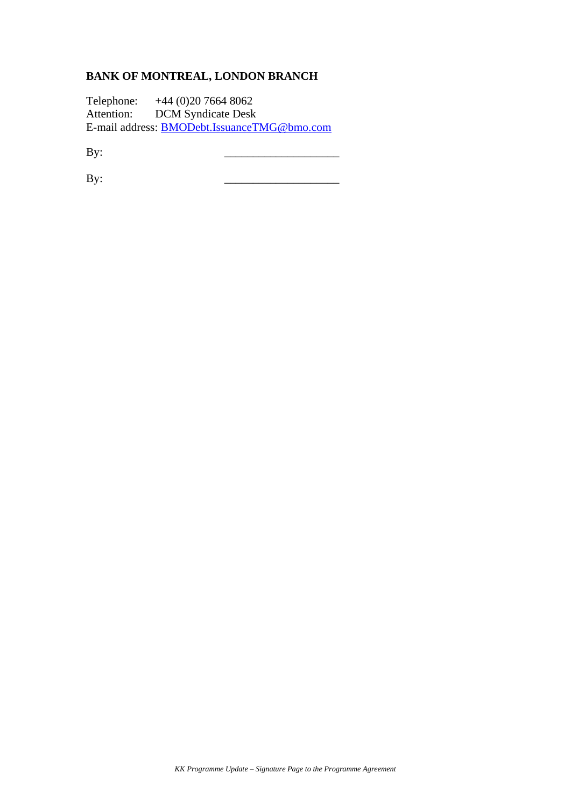# **BANK OF MONTREAL, LONDON BRANCH**

Telephone: +44 (0)20 7664 8062 Attention: DCM Syndicate Desk E-mail address: **[BMODebt.IssuanceTMG@bmo.com](mailto:BMODebt.IssuanceTMG@bmo.com)** 

By: \_\_\_\_\_\_\_\_\_\_\_\_\_\_\_\_\_\_\_\_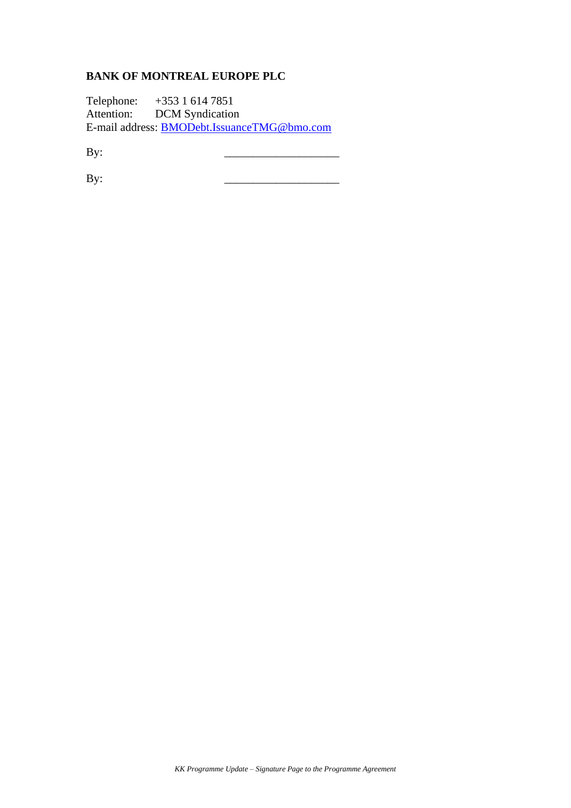# **BANK OF MONTREAL EUROPE PLC**

Telephone: +353 1 614 7851 Attention: DCM Syndication E-mail address: **[BMODebt.IssuanceTMG@bmo.com](mailto:BMODebt.IssuanceTMG@bmo.com)** 

By: \_\_\_\_\_\_\_\_\_\_\_\_\_\_\_\_\_\_\_\_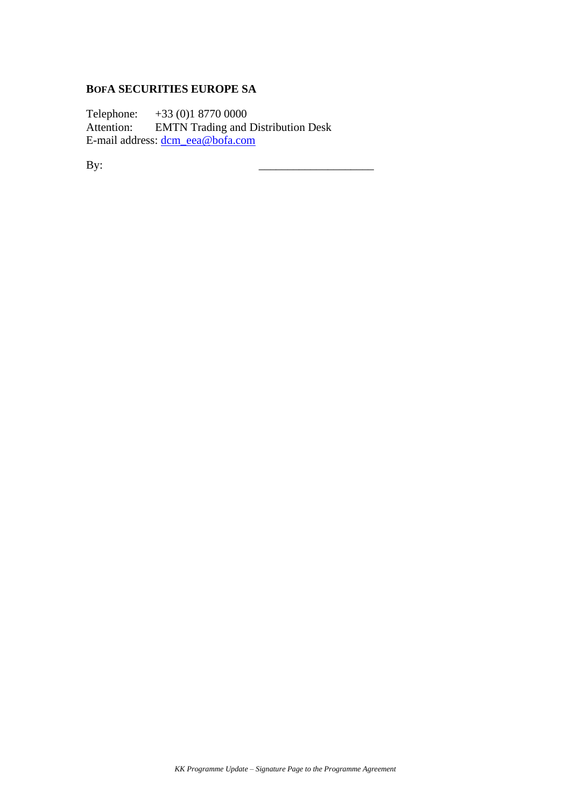#### **BOFA SECURITIES EUROPE SA**

Telephone:  $+33 (0)1 8770 0000$ <br>Attention: EMTN Trading and **EMTN** Trading and Distribution Desk E-mail address: [dcm\\_eea@bofa.com](mailto:dcm_eea@bofa.com)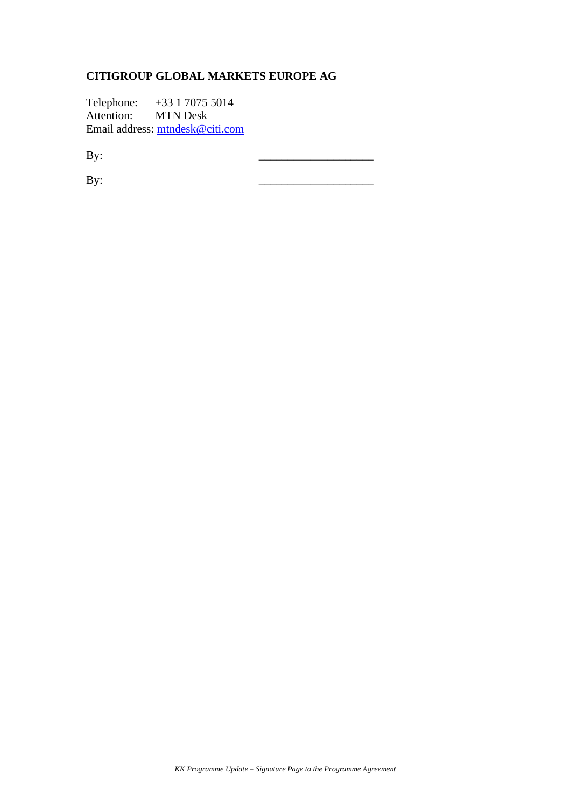# **CITIGROUP GLOBAL MARKETS EUROPE AG**

Telephone: +33 1 7075 5014 Attention: MTN Desk Email address: [mtndesk@citi.com](mailto:mtndesk@citi.com) 

By: \_\_\_\_\_\_\_\_\_\_\_\_\_\_\_\_\_\_\_\_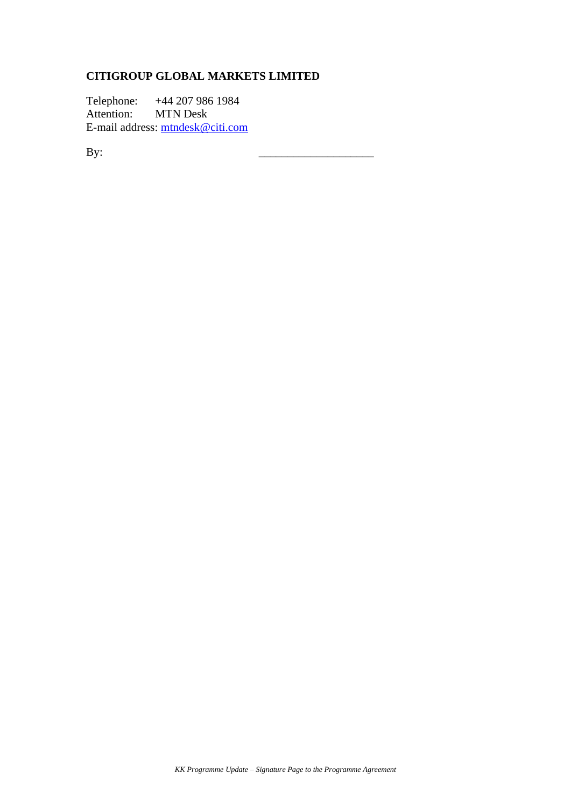# **CITIGROUP GLOBAL MARKETS LIMITED**

Telephone: +44 207 986 1984 Attention: MTN Desk E-mail address: [mtndesk@citi.com](mailto:mtndesk@citi.com)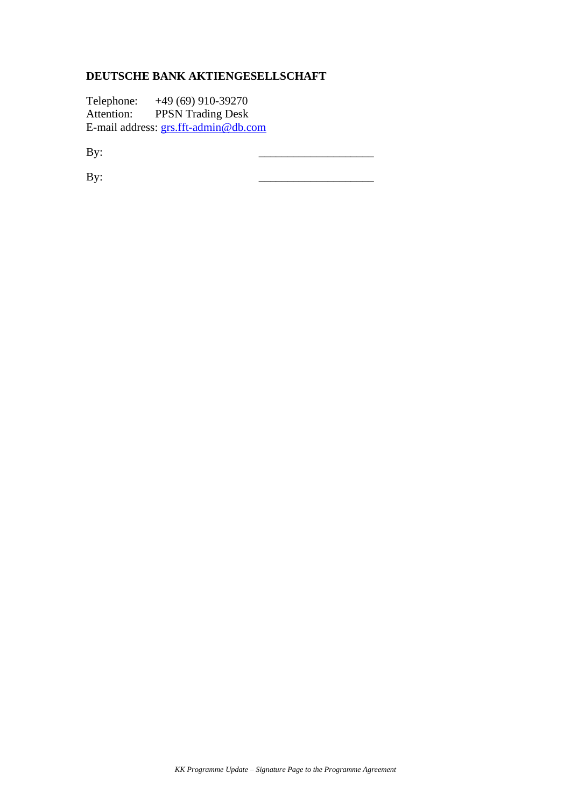## **DEUTSCHE BANK AKTIENGESELLSCHAFT**

Telephone: +49 (69) 910-39270 Attention: PPSN Trading Desk E-mail address: [grs.fft-admin@db.com](mailto:grs.fft-admin@db.com)

By: \_\_\_\_\_\_\_\_\_\_\_\_\_\_\_\_\_\_\_\_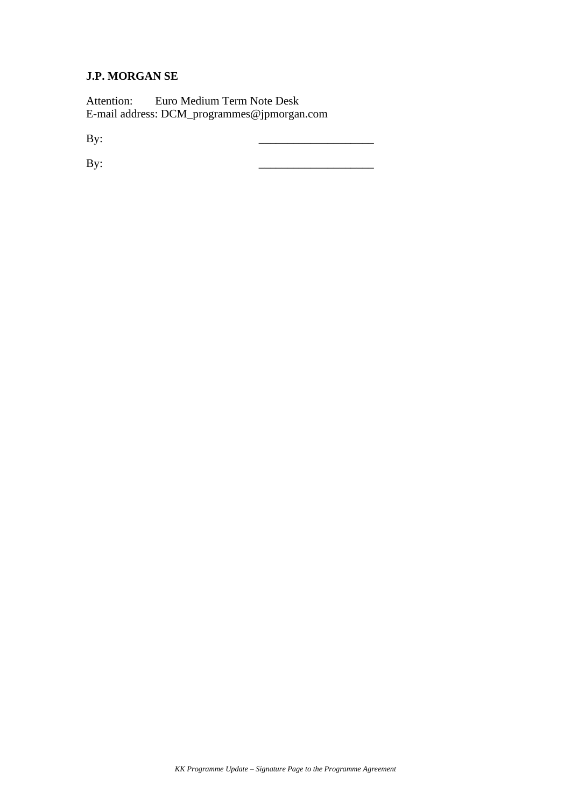#### **J.P. MORGAN SE**

Attention: Euro Medium Term Note Desk E-mail address: DCM\_programmes@jpmorgan.com

By: \_\_\_\_\_\_\_\_\_\_\_\_\_\_\_\_\_\_\_\_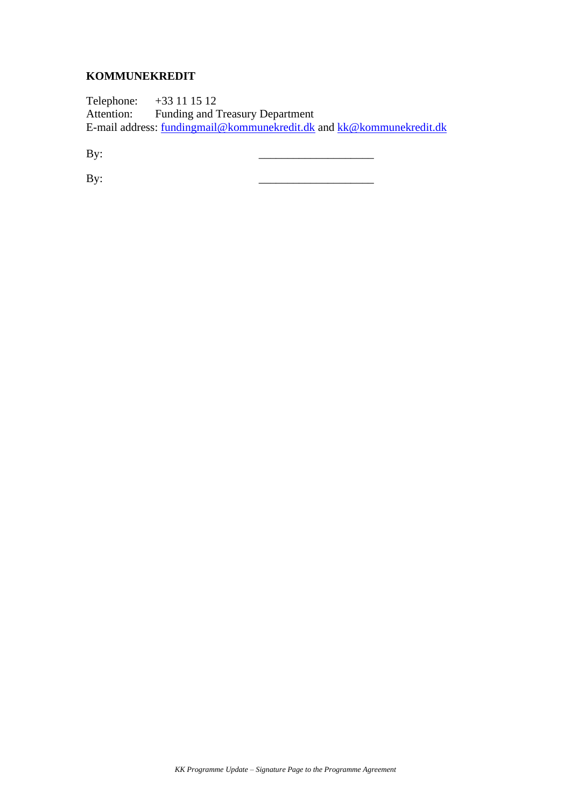## **KOMMUNEKREDIT**

Telephone: +33 11 15 12 Attention: Funding and Treasury Department E-mail address: [fundingmail@kommunekredit.dk](mailto:fundingmail@kommunekredit.dk) and [kk@kommunekredit.dk](mailto:kk@kommunekredit.dk)

By: \_\_\_\_\_\_\_\_\_\_\_\_\_\_\_\_\_\_\_\_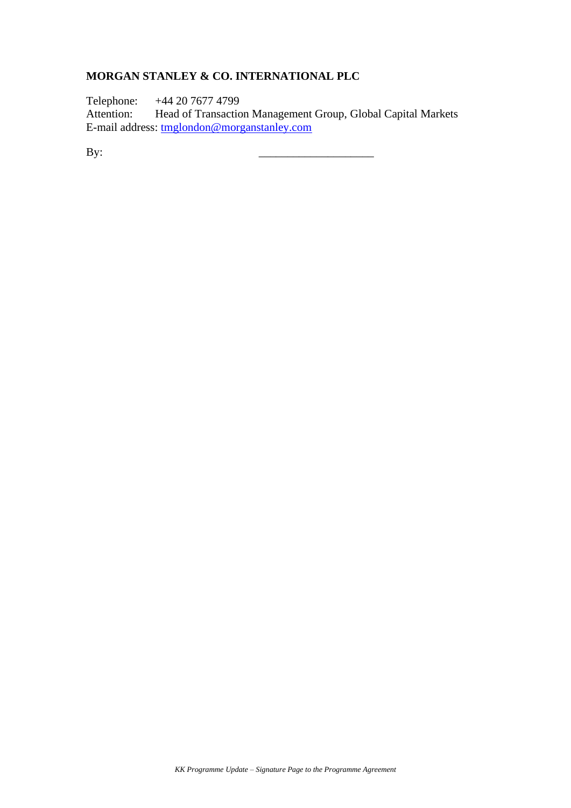### **MORGAN STANLEY & CO. INTERNATIONAL PLC**

Telephone: +44 20 7677 4799

Attention: Head of Transaction Management Group, Global Capital Markets E-mail address: [tmglondon@morganstanley.com](mailto:tmglondon@morganstanley.com)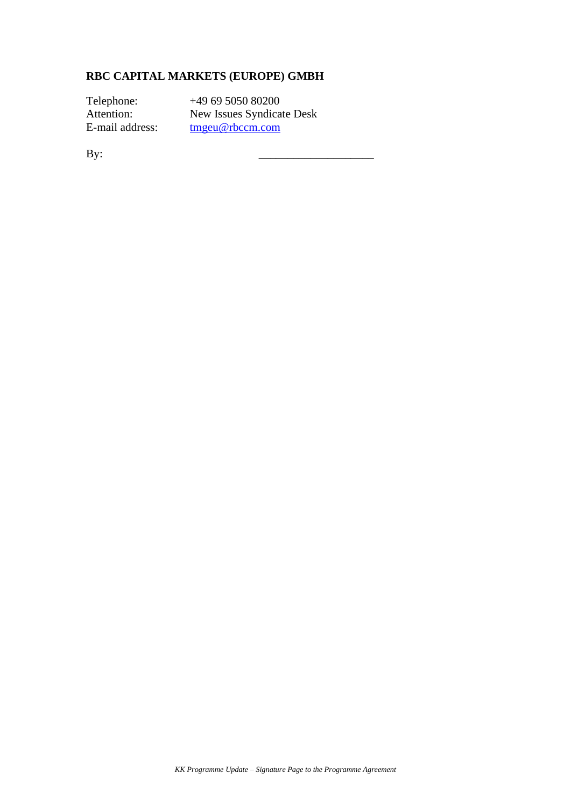### **RBC CAPITAL MARKETS (EUROPE) GMBH**

Telephone: +49 69 5050 80200 Attention: New Issues Syndicate Desk E-mail address: [tmgeu@rbccm.com](mailto:tmgeu@rbccm.com)